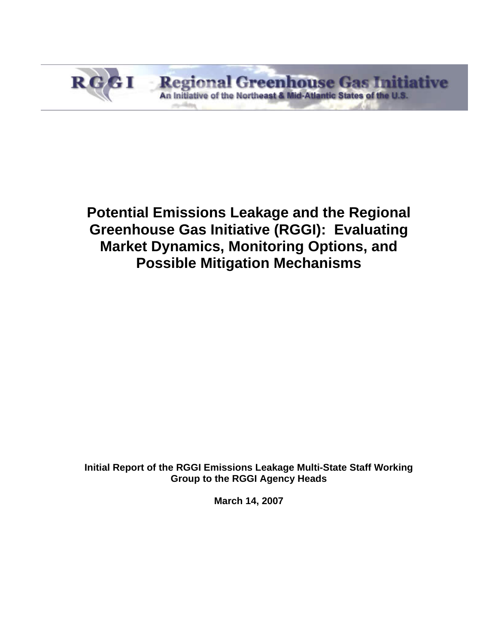

# **Potential Emissions Leakage and the Regional Greenhouse Gas Initiative (RGGI): Evaluating Market Dynamics, Monitoring Options, and Possible Mitigation Mechanisms**

**Initial Report of the RGGI Emissions Leakage Multi-State Staff Working Group to the RGGI Agency Heads** 

**March 14, 2007**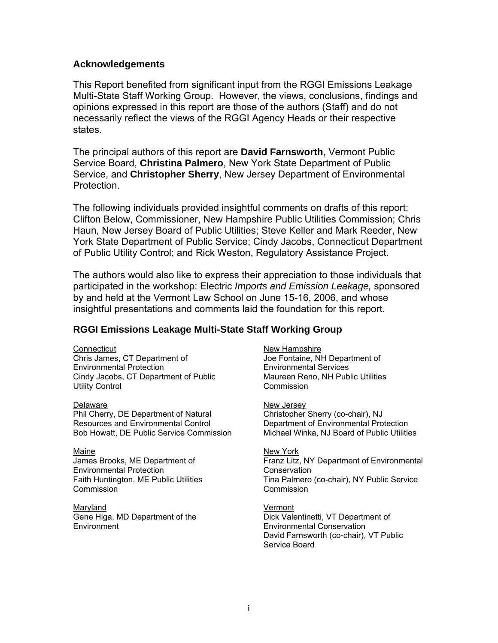#### **Acknowledgements**

This Report benefited from significant input from the RGGI Emissions Leakage Multi-State Staff Working Group. However, the views, conclusions, findings and opinions expressed in this report are those of the authors (Staff) and do not necessarily reflect the views of the RGGI Agency Heads or their respective states.

The principal authors of this report are **David Farnsworth**, Vermont Public Service Board, **Christina Palmero**, New York State Department of Public Service, and **Christopher Sherry**, New Jersey Department of Environmental Protection.

The following individuals provided insightful comments on drafts of this report: Clifton Below, Commissioner, New Hampshire Public Utilities Commission; Chris Haun, New Jersey Board of Public Utilities; Steve Keller and Mark Reeder, New York State Department of Public Service; Cindy Jacobs, Connecticut Department of Public Utility Control; and Rick Weston, Regulatory Assistance Project.

The authors would also like to express their appreciation to those individuals that participated in the workshop: Electric *Imports and Emission Leakage,* sponsored by and held at the Vermont Law School on June 15-16, 2006, and whose insightful presentations and comments laid the foundation for this report.

#### **RGGI Emissions Leakage Multi-State Staff Working Group**

#### **Connecticut**

Chris James, CT Department of Environmental Protection Cindy Jacobs, CT Department of Public Utility Control

**Delaware** 

Phil Cherry, DE Department of Natural Resources and Environmental Control Bob Howatt, DE Public Service Commission

#### Maine

James Brooks, ME Department of Environmental Protection Faith Huntington, ME Public Utilities **Commission** 

#### Maryland

Gene Higa, MD Department of the **Environment** 

#### New Hampshire

Joe Fontaine, NH Department of Environmental Services Maureen Reno, NH Public Utilities Commission

New Jersey Christopher Sherry (co-chair), NJ Department of Environmental Protection Michael Winka, NJ Board of Public Utilities

#### New York Franz Litz, NY Department of Environmental **Conservation** Tina Palmero (co-chair), NY Public Service Commission

Vermont Dick Valentinetti, VT Department of Environmental Conservation David Farnsworth (co-chair), VT Public Service Board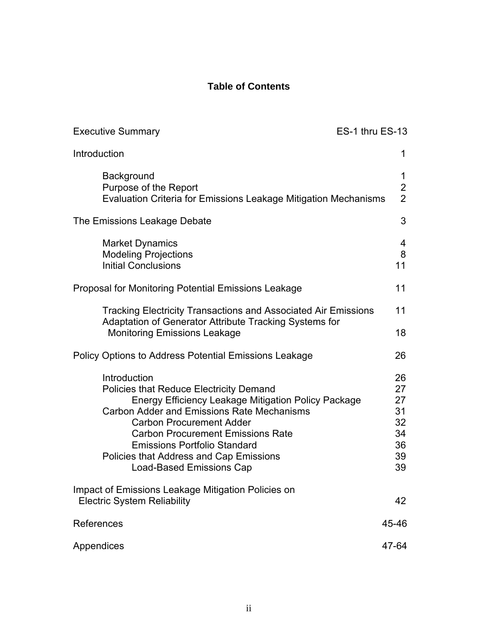# **Table of Contents**

| <b>Executive Summary</b>                                                                                                                                                                                                                                                                                                                                                       | ES-1 thru ES-13                                    |
|--------------------------------------------------------------------------------------------------------------------------------------------------------------------------------------------------------------------------------------------------------------------------------------------------------------------------------------------------------------------------------|----------------------------------------------------|
| Introduction                                                                                                                                                                                                                                                                                                                                                                   | 1                                                  |
| Background<br>Purpose of the Report<br>Evaluation Criteria for Emissions Leakage Mitigation Mechanisms                                                                                                                                                                                                                                                                         | 1<br>$\overline{2}$<br>$\overline{2}$              |
| The Emissions Leakage Debate                                                                                                                                                                                                                                                                                                                                                   | 3                                                  |
| <b>Market Dynamics</b><br><b>Modeling Projections</b><br><b>Initial Conclusions</b>                                                                                                                                                                                                                                                                                            | 4<br>8<br>11                                       |
| Proposal for Monitoring Potential Emissions Leakage                                                                                                                                                                                                                                                                                                                            | 11                                                 |
| <b>Tracking Electricity Transactions and Associated Air Emissions</b><br>Adaptation of Generator Attribute Tracking Systems for                                                                                                                                                                                                                                                | 11<br>18                                           |
| <b>Monitoring Emissions Leakage</b><br><b>Policy Options to Address Potential Emissions Leakage</b>                                                                                                                                                                                                                                                                            | 26                                                 |
| Introduction<br><b>Policies that Reduce Electricity Demand</b><br>Energy Efficiency Leakage Mitigation Policy Package<br><b>Carbon Adder and Emissions Rate Mechanisms</b><br><b>Carbon Procurement Adder</b><br><b>Carbon Procurement Emissions Rate</b><br><b>Emissions Portfolio Standard</b><br>Policies that Address and Cap Emissions<br><b>Load-Based Emissions Cap</b> | 26<br>27<br>27<br>31<br>32<br>34<br>36<br>39<br>39 |
| Impact of Emissions Leakage Mitigation Policies on<br><b>Electric System Reliability</b>                                                                                                                                                                                                                                                                                       | 42                                                 |
| References                                                                                                                                                                                                                                                                                                                                                                     | 45-46                                              |
| Appendices                                                                                                                                                                                                                                                                                                                                                                     | 47-64                                              |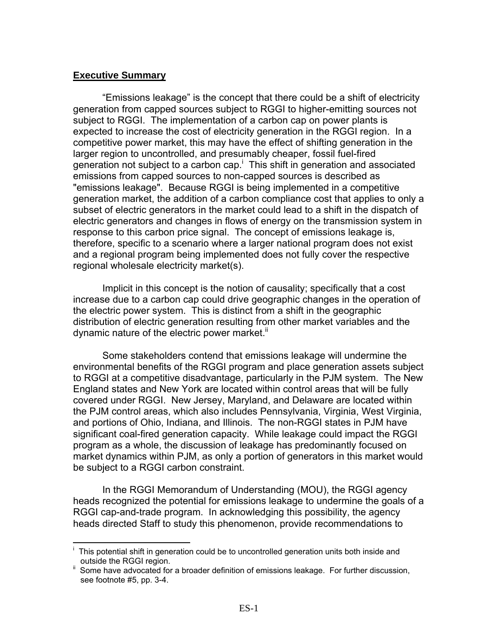#### **Executive Summary**

1

"Emissions leakage" is the concept that there could be a shift of electricity generation from capped sources subject to RGGI to higher-emitting sources not subject to RGGI. The implementation of a carbon cap on power plants is expected to increase the cost of electricity generation in the RGGI region. In a competitive power market, this may have the effect of shifting generation in the larger region to uncontrolled, and presumably cheaper, fossil fuel-fired generation not subject to a carbon cap.<sup>i</sup> This shift in generation and associated emissions from capped sources to non-capped sources is described as "emissions leakage". Because RGGI is being implemented in a competitive generation market, the addition of a carbon compliance cost that applies to only a subset of electric generators in the market could lead to a shift in the dispatch of electric generators and changes in flows of energy on the transmission system in response to this carbon price signal. The concept of emissions leakage is, therefore, specific to a scenario where a larger national program does not exist and a regional program being implemented does not fully cover the respective regional wholesale electricity market(s).

Implicit in this concept is the notion of causality; specifically that a cost increase due to a carbon cap could drive geographic changes in the operation of the electric power system. This is distinct from a shift in the geographic distribution of electric generation resulting from other market variables and the dynamic nature of the electric power market."

Some stakeholders contend that emissions leakage will undermine the environmental benefits of the RGGI program and place generation assets subject to RGGI at a competitive disadvantage, particularly in the PJM system. The New England states and New York are located within control areas that will be fully covered under RGGI. New Jersey, Maryland, and Delaware are located within the PJM control areas, which also includes Pennsylvania, Virginia, West Virginia, and portions of Ohio, Indiana, and Illinois. The non-RGGI states in PJM have significant coal-fired generation capacity. While leakage could impact the RGGI program as a whole, the discussion of leakage has predominantly focused on market dynamics within PJM, as only a portion of generators in this market would be subject to a RGGI carbon constraint.

In the RGGI Memorandum of Understanding (MOU), the RGGI agency heads recognized the potential for emissions leakage to undermine the goals of a RGGI cap-and-trade program. In acknowledging this possibility, the agency heads directed Staff to study this phenomenon, provide recommendations to

i This potential shift in generation could be to uncontrolled generation units both inside and

Some have advocated for a broader definition of emissions leakage. For further discussion, see footnote #5, pp. 3-4.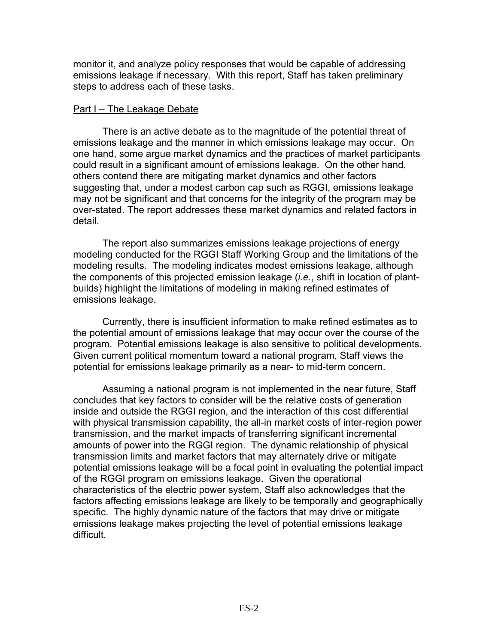monitor it, and analyze policy responses that would be capable of addressing emissions leakage if necessary. With this report, Staff has taken preliminary steps to address each of these tasks.

#### Part I – The Leakage Debate

 There is an active debate as to the magnitude of the potential threat of emissions leakage and the manner in which emissions leakage may occur. On one hand, some argue market dynamics and the practices of market participants could result in a significant amount of emissions leakage. On the other hand, others contend there are mitigating market dynamics and other factors suggesting that, under a modest carbon cap such as RGGI, emissions leakage may not be significant and that concerns for the integrity of the program may be over-stated. The report addresses these market dynamics and related factors in detail.

The report also summarizes emissions leakage projections of energy modeling conducted for the RGGI Staff Working Group and the limitations of the modeling results. The modeling indicates modest emissions leakage, although the components of this projected emission leakage (*i.e.*, shift in location of plantbuilds) highlight the limitations of modeling in making refined estimates of emissions leakage.

 Currently, there is insufficient information to make refined estimates as to the potential amount of emissions leakage that may occur over the course of the program. Potential emissions leakage is also sensitive to political developments. Given current political momentum toward a national program, Staff views the potential for emissions leakage primarily as a near- to mid-term concern.

Assuming a national program is not implemented in the near future, Staff concludes that key factors to consider will be the relative costs of generation inside and outside the RGGI region, and the interaction of this cost differential with physical transmission capability, the all-in market costs of inter-region power transmission, and the market impacts of transferring significant incremental amounts of power into the RGGI region. The dynamic relationship of physical transmission limits and market factors that may alternately drive or mitigate potential emissions leakage will be a focal point in evaluating the potential impact of the RGGI program on emissions leakage. Given the operational characteristics of the electric power system, Staff also acknowledges that the factors affecting emissions leakage are likely to be temporally and geographically specific. The highly dynamic nature of the factors that may drive or mitigate emissions leakage makes projecting the level of potential emissions leakage difficult.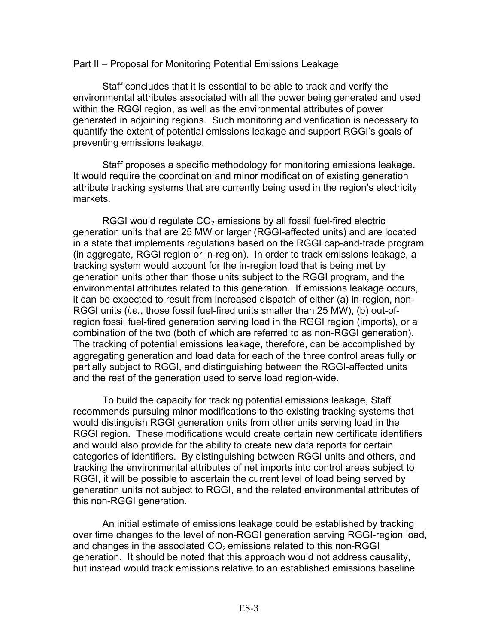#### Part II – Proposal for Monitoring Potential Emissions Leakage

Staff concludes that it is essential to be able to track and verify the environmental attributes associated with all the power being generated and used within the RGGI region, as well as the environmental attributes of power generated in adjoining regions. Such monitoring and verification is necessary to quantify the extent of potential emissions leakage and support RGGI's goals of preventing emissions leakage.

Staff proposes a specific methodology for monitoring emissions leakage. It would require the coordination and minor modification of existing generation attribute tracking systems that are currently being used in the region's electricity markets.

RGGI would regulate  $CO<sub>2</sub>$  emissions by all fossil fuel-fired electric generation units that are 25 MW or larger (RGGI-affected units) and are located in a state that implements regulations based on the RGGI cap-and-trade program (in aggregate, RGGI region or in-region). In order to track emissions leakage, a tracking system would account for the in-region load that is being met by generation units other than those units subject to the RGGI program, and the environmental attributes related to this generation. If emissions leakage occurs, it can be expected to result from increased dispatch of either (a) in-region, non-RGGI units (*i.e.*, those fossil fuel-fired units smaller than 25 MW), (b) out-ofregion fossil fuel-fired generation serving load in the RGGI region (imports), or a combination of the two (both of which are referred to as non-RGGI generation). The tracking of potential emissions leakage, therefore, can be accomplished by aggregating generation and load data for each of the three control areas fully or partially subject to RGGI, and distinguishing between the RGGI-affected units and the rest of the generation used to serve load region-wide.

To build the capacity for tracking potential emissions leakage, Staff recommends pursuing minor modifications to the existing tracking systems that would distinguish RGGI generation units from other units serving load in the RGGI region. These modifications would create certain new certificate identifiers and would also provide for the ability to create new data reports for certain categories of identifiers. By distinguishing between RGGI units and others, and tracking the environmental attributes of net imports into control areas subject to RGGI, it will be possible to ascertain the current level of load being served by generation units not subject to RGGI, and the related environmental attributes of this non-RGGI generation.

An initial estimate of emissions leakage could be established by tracking over time changes to the level of non-RGGI generation serving RGGI-region load, and changes in the associated  $CO<sub>2</sub>$  emissions related to this non-RGGI generation. It should be noted that this approach would not address causality, but instead would track emissions relative to an established emissions baseline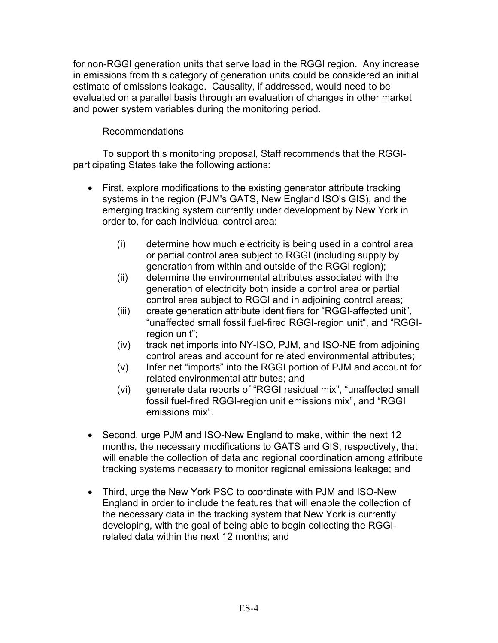for non-RGGI generation units that serve load in the RGGI region. Any increase in emissions from this category of generation units could be considered an initial estimate of emissions leakage. Causality, if addressed, would need to be evaluated on a parallel basis through an evaluation of changes in other market and power system variables during the monitoring period.

# Recommendations

To support this monitoring proposal, Staff recommends that the RGGIparticipating States take the following actions:

- First, explore modifications to the existing generator attribute tracking systems in the region (PJM's GATS, New England ISO's GIS), and the emerging tracking system currently under development by New York in order to, for each individual control area:
	- (i) determine how much electricity is being used in a control area or partial control area subject to RGGI (including supply by generation from within and outside of the RGGI region);
	- (ii) determine the environmental attributes associated with the generation of electricity both inside a control area or partial control area subject to RGGI and in adjoining control areas;
	- (iii) create generation attribute identifiers for "RGGI-affected unit", "unaffected small fossil fuel-fired RGGI-region unit", and "RGGIregion unit";
	- (iv) track net imports into NY-ISO, PJM, and ISO-NE from adjoining control areas and account for related environmental attributes;
	- (v) Infer net "imports" into the RGGI portion of PJM and account for related environmental attributes; and
	- (vi) generate data reports of "RGGI residual mix", "unaffected small fossil fuel-fired RGGI-region unit emissions mix", and "RGGI emissions mix".
- Second, urge PJM and ISO-New England to make, within the next 12 months, the necessary modifications to GATS and GIS, respectively, that will enable the collection of data and regional coordination among attribute tracking systems necessary to monitor regional emissions leakage; and
- Third, urge the New York PSC to coordinate with PJM and ISO-New England in order to include the features that will enable the collection of the necessary data in the tracking system that New York is currently developing, with the goal of being able to begin collecting the RGGIrelated data within the next 12 months; and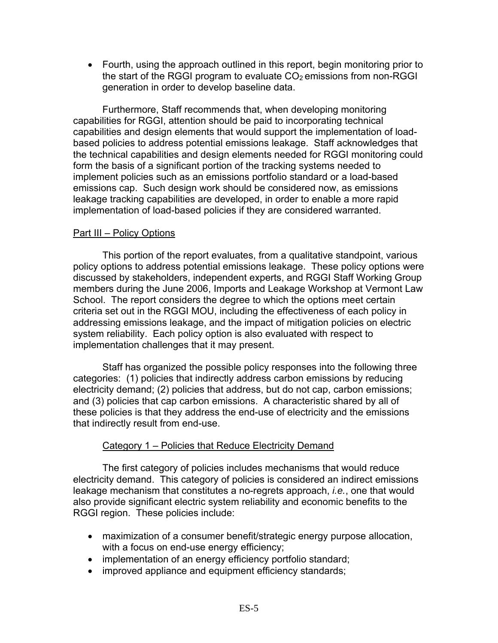• Fourth, using the approach outlined in this report, begin monitoring prior to the start of the RGGI program to evaluate  $CO<sub>2</sub>$  emissions from non-RGGI generation in order to develop baseline data.

Furthermore, Staff recommends that, when developing monitoring capabilities for RGGI, attention should be paid to incorporating technical capabilities and design elements that would support the implementation of loadbased policies to address potential emissions leakage. Staff acknowledges that the technical capabilities and design elements needed for RGGI monitoring could form the basis of a significant portion of the tracking systems needed to implement policies such as an emissions portfolio standard or a load-based emissions cap. Such design work should be considered now, as emissions leakage tracking capabilities are developed, in order to enable a more rapid implementation of load-based policies if they are considered warranted.

### Part III – Policy Options

 This portion of the report evaluates, from a qualitative standpoint, various policy options to address potential emissions leakage. These policy options were discussed by stakeholders, independent experts, and RGGI Staff Working Group members during the June 2006, Imports and Leakage Workshop at Vermont Law School. The report considers the degree to which the options meet certain criteria set out in the RGGI MOU, including the effectiveness of each policy in addressing emissions leakage, and the impact of mitigation policies on electric system reliability. Each policy option is also evaluated with respect to implementation challenges that it may present.

Staff has organized the possible policy responses into the following three categories: (1) policies that indirectly address carbon emissions by reducing electricity demand; (2) policies that address, but do not cap, carbon emissions; and (3) policies that cap carbon emissions. A characteristic shared by all of these policies is that they address the end-use of electricity and the emissions that indirectly result from end-use.

# Category 1 – Policies that Reduce Electricity Demand

The first category of policies includes mechanisms that would reduce electricity demand. This category of policies is considered an indirect emissions leakage mechanism that constitutes a no-regrets approach, *i.e.*, one that would also provide significant electric system reliability and economic benefits to the RGGI region. These policies include:

- maximization of a consumer benefit/strategic energy purpose allocation, with a focus on end-use energy efficiency;
- implementation of an energy efficiency portfolio standard;
- improved appliance and equipment efficiency standards;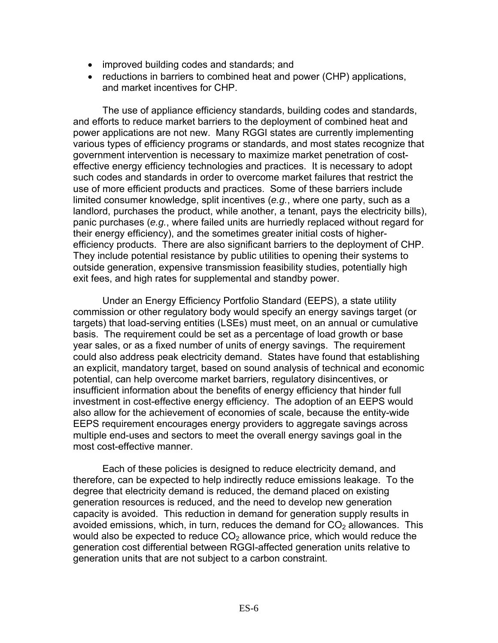- improved building codes and standards; and
- reductions in barriers to combined heat and power (CHP) applications, and market incentives for CHP.

 The use of appliance efficiency standards, building codes and standards, and efforts to reduce market barriers to the deployment of combined heat and power applications are not new. Many RGGI states are currently implementing various types of efficiency programs or standards, and most states recognize that government intervention is necessary to maximize market penetration of costeffective energy efficiency technologies and practices. It is necessary to adopt such codes and standards in order to overcome market failures that restrict the use of more efficient products and practices. Some of these barriers include limited consumer knowledge, split incentives (*e.g.*, where one party, such as a landlord, purchases the product, while another, a tenant, pays the electricity bills), panic purchases (*e.g.*, where failed units are hurriedly replaced without regard for their energy efficiency), and the sometimes greater initial costs of higherefficiency products. There are also significant barriers to the deployment of CHP. They include potential resistance by public utilities to opening their systems to outside generation, expensive transmission feasibility studies, potentially high exit fees, and high rates for supplemental and standby power.

 Under an Energy Efficiency Portfolio Standard (EEPS), a state utility commission or other regulatory body would specify an energy savings target (or targets) that load-serving entities (LSEs) must meet, on an annual or cumulative basis. The requirement could be set as a percentage of load growth or base year sales, or as a fixed number of units of energy savings. The requirement could also address peak electricity demand. States have found that establishing an explicit, mandatory target, based on sound analysis of technical and economic potential, can help overcome market barriers, regulatory disincentives, or insufficient information about the benefits of energy efficiency that hinder full investment in cost-effective energy efficiency. The adoption of an EEPS would also allow for the achievement of economies of scale, because the entity-wide EEPS requirement encourages energy providers to aggregate savings across multiple end-uses and sectors to meet the overall energy savings goal in the most cost-effective manner.

Each of these policies is designed to reduce electricity demand, and therefore, can be expected to help indirectly reduce emissions leakage. To the degree that electricity demand is reduced, the demand placed on existing generation resources is reduced, and the need to develop new generation capacity is avoided. This reduction in demand for generation supply results in avoided emissions, which, in turn, reduces the demand for  $CO<sub>2</sub>$  allowances. This would also be expected to reduce  $CO<sub>2</sub>$  allowance price, which would reduce the generation cost differential between RGGI-affected generation units relative to generation units that are not subject to a carbon constraint.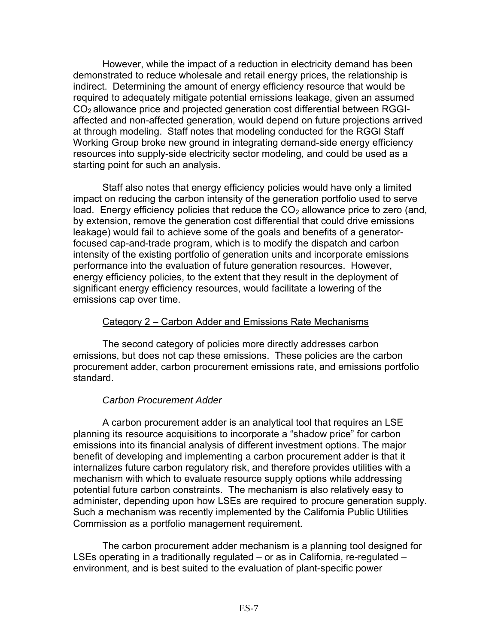However, while the impact of a reduction in electricity demand has been demonstrated to reduce wholesale and retail energy prices, the relationship is indirect. Determining the amount of energy efficiency resource that would be required to adequately mitigate potential emissions leakage, given an assumed  $CO<sub>2</sub>$  allowance price and projected generation cost differential between RGGIaffected and non-affected generation, would depend on future projections arrived at through modeling. Staff notes that modeling conducted for the RGGI Staff Working Group broke new ground in integrating demand-side energy efficiency resources into supply-side electricity sector modeling, and could be used as a starting point for such an analysis.

Staff also notes that energy efficiency policies would have only a limited impact on reducing the carbon intensity of the generation portfolio used to serve load. Energy efficiency policies that reduce the  $CO<sub>2</sub>$  allowance price to zero (and, by extension, remove the generation cost differential that could drive emissions leakage) would fail to achieve some of the goals and benefits of a generatorfocused cap-and-trade program, which is to modify the dispatch and carbon intensity of the existing portfolio of generation units and incorporate emissions performance into the evaluation of future generation resources. However, energy efficiency policies, to the extent that they result in the deployment of significant energy efficiency resources, would facilitate a lowering of the emissions cap over time.

#### Category 2 – Carbon Adder and Emissions Rate Mechanisms

 The second category of policies more directly addresses carbon emissions, but does not cap these emissions. These policies are the carbon procurement adder, carbon procurement emissions rate, and emissions portfolio standard.

#### *Carbon Procurement Adder*

A carbon procurement adder is an analytical tool that requires an LSE planning its resource acquisitions to incorporate a "shadow price" for carbon emissions into its financial analysis of different investment options. The major benefit of developing and implementing a carbon procurement adder is that it internalizes future carbon regulatory risk, and therefore provides utilities with a mechanism with which to evaluate resource supply options while addressing potential future carbon constraints. The mechanism is also relatively easy to administer, depending upon how LSEs are required to procure generation supply. Such a mechanism was recently implemented by the California Public Utilities Commission as a portfolio management requirement.

The carbon procurement adder mechanism is a planning tool designed for LSEs operating in a traditionally regulated – or as in California, re-regulated – environment, and is best suited to the evaluation of plant-specific power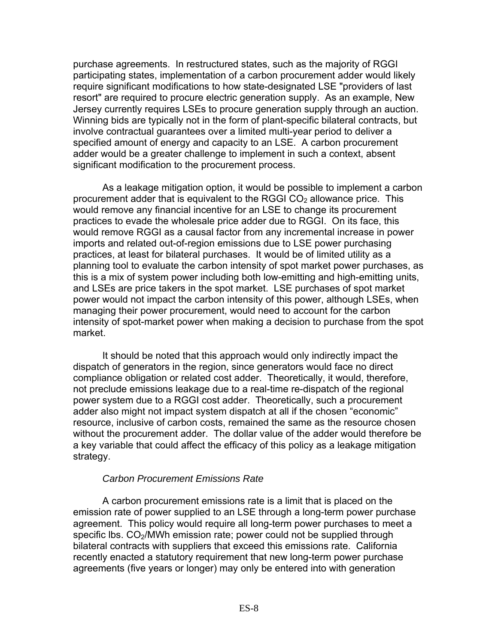purchase agreements. In restructured states, such as the majority of RGGI participating states, implementation of a carbon procurement adder would likely require significant modifications to how state-designated LSE "providers of last resort" are required to procure electric generation supply. As an example, New Jersey currently requires LSEs to procure generation supply through an auction. Winning bids are typically not in the form of plant-specific bilateral contracts, but involve contractual guarantees over a limited multi-year period to deliver a specified amount of energy and capacity to an LSE. A carbon procurement adder would be a greater challenge to implement in such a context, absent significant modification to the procurement process.

As a leakage mitigation option, it would be possible to implement a carbon procurement adder that is equivalent to the RGGI  $CO<sub>2</sub>$  allowance price. This would remove any financial incentive for an LSE to change its procurement practices to evade the wholesale price adder due to RGGI. On its face, this would remove RGGI as a causal factor from any incremental increase in power imports and related out-of-region emissions due to LSE power purchasing practices, at least for bilateral purchases. It would be of limited utility as a planning tool to evaluate the carbon intensity of spot market power purchases, as this is a mix of system power including both low-emitting and high-emitting units, and LSEs are price takers in the spot market. LSE purchases of spot market power would not impact the carbon intensity of this power, although LSEs, when managing their power procurement, would need to account for the carbon intensity of spot-market power when making a decision to purchase from the spot market.

It should be noted that this approach would only indirectly impact the dispatch of generators in the region, since generators would face no direct compliance obligation or related cost adder. Theoretically, it would, therefore, not preclude emissions leakage due to a real-time re-dispatch of the regional power system due to a RGGI cost adder. Theoretically, such a procurement adder also might not impact system dispatch at all if the chosen "economic" resource, inclusive of carbon costs, remained the same as the resource chosen without the procurement adder. The dollar value of the adder would therefore be a key variable that could affect the efficacy of this policy as a leakage mitigation strategy.

# *Carbon Procurement Emissions Rate*

 A carbon procurement emissions rate is a limit that is placed on the emission rate of power supplied to an LSE through a long-term power purchase agreement. This policy would require all long-term power purchases to meet a specific lbs. CO<sub>2</sub>/MWh emission rate; power could not be supplied through bilateral contracts with suppliers that exceed this emissions rate. California recently enacted a statutory requirement that new long-term power purchase agreements (five years or longer) may only be entered into with generation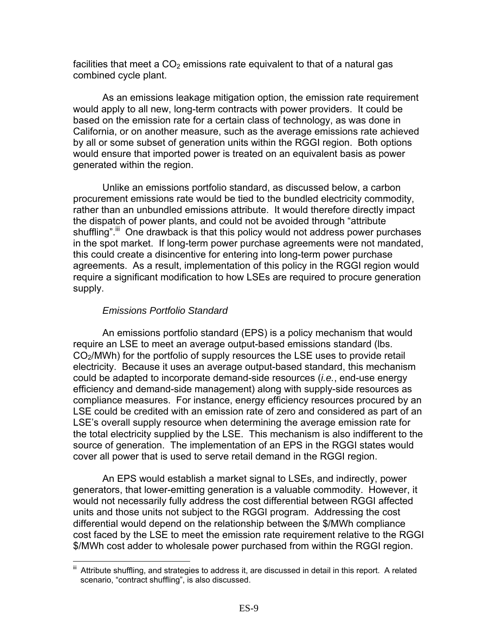facilities that meet a  $CO<sub>2</sub>$  emissions rate equivalent to that of a natural gas combined cycle plant.

 As an emissions leakage mitigation option, the emission rate requirement would apply to all new, long-term contracts with power providers. It could be based on the emission rate for a certain class of technology, as was done in California, or on another measure, such as the average emissions rate achieved by all or some subset of generation units within the RGGI region. Both options would ensure that imported power is treated on an equivalent basis as power generated within the region.

Unlike an emissions portfolio standard, as discussed below, a carbon procurement emissions rate would be tied to the bundled electricity commodity, rather than an unbundled emissions attribute. It would therefore directly impact the dispatch of power plants, and could not be avoided through "attribute shuffling".<sup>iii</sup> One drawback is that this policy would not address power purchases in the spot market. If long-term power purchase agreements were not mandated, this could create a disincentive for entering into long-term power purchase agreements. As a result, implementation of this policy in the RGGI region would require a significant modification to how LSEs are required to procure generation supply.

### *Emissions Portfolio Standard*

An emissions portfolio standard (EPS) is a policy mechanism that would require an LSE to meet an average output-based emissions standard (lbs.  $CO<sub>2</sub>/MWh$ ) for the portfolio of supply resources the LSE uses to provide retail electricity. Because it uses an average output-based standard, this mechanism could be adapted to incorporate demand-side resources (*i.e.*, end-use energy efficiency and demand-side management) along with supply-side resources as compliance measures. For instance, energy efficiency resources procured by an LSE could be credited with an emission rate of zero and considered as part of an LSE's overall supply resource when determining the average emission rate for the total electricity supplied by the LSE. This mechanism is also indifferent to the source of generation. The implementation of an EPS in the RGGI states would cover all power that is used to serve retail demand in the RGGI region.

An EPS would establish a market signal to LSEs, and indirectly, power generators, that lower-emitting generation is a valuable commodity. However, it would not necessarily fully address the cost differential between RGGI affected units and those units not subject to the RGGI program. Addressing the cost differential would depend on the relationship between the \$/MWh compliance cost faced by the LSE to meet the emission rate requirement relative to the RGGI \$/MWh cost adder to wholesale power purchased from within the RGGI region.

<sup>&</sup>lt;u>.</u><br>iii Attribute shuffling, and strategies to address it, are discussed in detail in this report. A related scenario, "contract shuffling", is also discussed.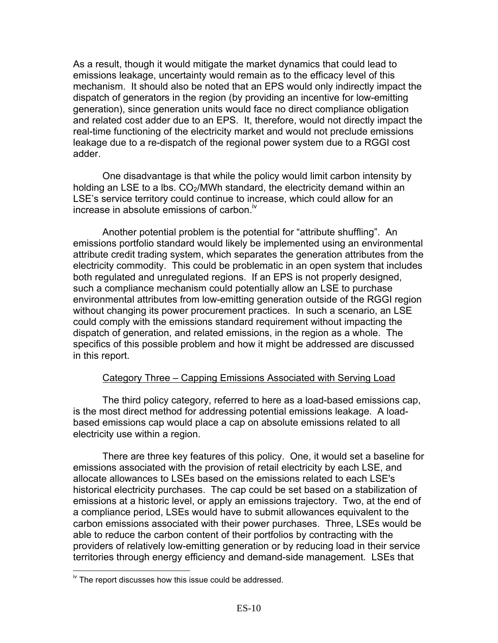As a result, though it would mitigate the market dynamics that could lead to emissions leakage, uncertainty would remain as to the efficacy level of this mechanism. It should also be noted that an EPS would only indirectly impact the dispatch of generators in the region (by providing an incentive for low-emitting generation), since generation units would face no direct compliance obligation and related cost adder due to an EPS. It, therefore, would not directly impact the real-time functioning of the electricity market and would not preclude emissions leakage due to a re-dispatch of the regional power system due to a RGGI cost adder.

 One disadvantage is that while the policy would limit carbon intensity by holding an LSE to a lbs.  $CO<sub>2</sub>/MWh$  standard, the electricity demand within an LSE's service territory could continue to increase, which could allow for an increase in absolute emissions of carbon. $N$ 

Another potential problem is the potential for "attribute shuffling". An emissions portfolio standard would likely be implemented using an environmental attribute credit trading system, which separates the generation attributes from the electricity commodity. This could be problematic in an open system that includes both regulated and unregulated regions. If an EPS is not properly designed, such a compliance mechanism could potentially allow an LSE to purchase environmental attributes from low-emitting generation outside of the RGGI region without changing its power procurement practices. In such a scenario, an LSE could comply with the emissions standard requirement without impacting the dispatch of generation, and related emissions, in the region as a whole. The specifics of this possible problem and how it might be addressed are discussed in this report.

#### Category Three – Capping Emissions Associated with Serving Load

 The third policy category, referred to here as a load-based emissions cap, is the most direct method for addressing potential emissions leakage. A loadbased emissions cap would place a cap on absolute emissions related to all electricity use within a region.

 There are three key features of this policy. One, it would set a baseline for emissions associated with the provision of retail electricity by each LSE, and allocate allowances to LSEs based on the emissions related to each LSE's historical electricity purchases. The cap could be set based on a stabilization of emissions at a historic level, or apply an emissions trajectory. Two, at the end of a compliance period, LSEs would have to submit allowances equivalent to the carbon emissions associated with their power purchases. Three, LSEs would be able to reduce the carbon content of their portfolios by contracting with the providers of relatively low-emitting generation or by reducing load in their service territories through energy efficiency and demand-side management. LSEs that

<sup>1</sup>  $\frac{1}{10}$  The report discusses how this issue could be addressed.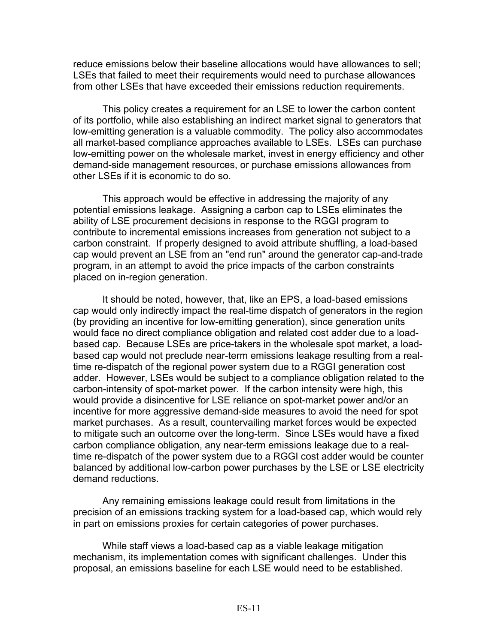reduce emissions below their baseline allocations would have allowances to sell; LSEs that failed to meet their requirements would need to purchase allowances from other LSEs that have exceeded their emissions reduction requirements.

 This policy creates a requirement for an LSE to lower the carbon content of its portfolio, while also establishing an indirect market signal to generators that low-emitting generation is a valuable commodity. The policy also accommodates all market-based compliance approaches available to LSEs. LSEs can purchase low-emitting power on the wholesale market, invest in energy efficiency and other demand-side management resources, or purchase emissions allowances from other LSEs if it is economic to do so.

This approach would be effective in addressing the majority of any potential emissions leakage. Assigning a carbon cap to LSEs eliminates the ability of LSE procurement decisions in response to the RGGI program to contribute to incremental emissions increases from generation not subject to a carbon constraint. If properly designed to avoid attribute shuffling, a load-based cap would prevent an LSE from an "end run" around the generator cap-and-trade program, in an attempt to avoid the price impacts of the carbon constraints placed on in-region generation.

It should be noted, however, that, like an EPS, a load-based emissions cap would only indirectly impact the real-time dispatch of generators in the region (by providing an incentive for low-emitting generation), since generation units would face no direct compliance obligation and related cost adder due to a loadbased cap. Because LSEs are price-takers in the wholesale spot market, a loadbased cap would not preclude near-term emissions leakage resulting from a realtime re-dispatch of the regional power system due to a RGGI generation cost adder. However, LSEs would be subject to a compliance obligation related to the carbon-intensity of spot-market power. If the carbon intensity were high, this would provide a disincentive for LSE reliance on spot-market power and/or an incentive for more aggressive demand-side measures to avoid the need for spot market purchases. As a result, countervailing market forces would be expected to mitigate such an outcome over the long-term. Since LSEs would have a fixed carbon compliance obligation, any near-term emissions leakage due to a realtime re-dispatch of the power system due to a RGGI cost adder would be counter balanced by additional low-carbon power purchases by the LSE or LSE electricity demand reductions.

Any remaining emissions leakage could result from limitations in the precision of an emissions tracking system for a load-based cap, which would rely in part on emissions proxies for certain categories of power purchases.

 While staff views a load-based cap as a viable leakage mitigation mechanism, its implementation comes with significant challenges. Under this proposal, an emissions baseline for each LSE would need to be established.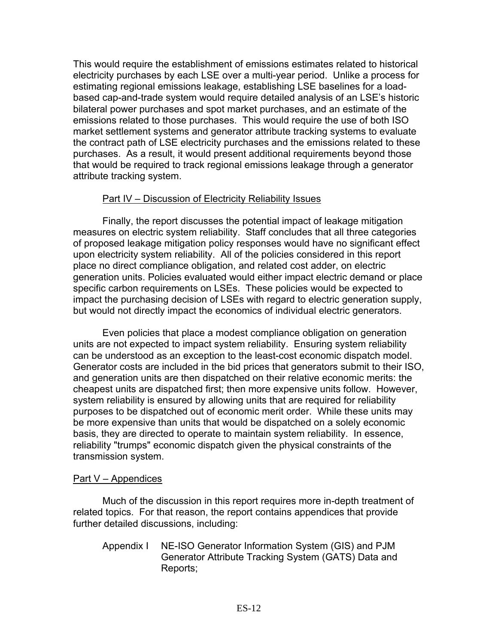This would require the establishment of emissions estimates related to historical electricity purchases by each LSE over a multi-year period. Unlike a process for estimating regional emissions leakage, establishing LSE baselines for a loadbased cap-and-trade system would require detailed analysis of an LSE's historic bilateral power purchases and spot market purchases, and an estimate of the emissions related to those purchases. This would require the use of both ISO market settlement systems and generator attribute tracking systems to evaluate the contract path of LSE electricity purchases and the emissions related to these purchases. As a result, it would present additional requirements beyond those that would be required to track regional emissions leakage through a generator attribute tracking system.

#### Part IV – Discussion of Electricity Reliability Issues

Finally, the report discusses the potential impact of leakage mitigation measures on electric system reliability. Staff concludes that all three categories of proposed leakage mitigation policy responses would have no significant effect upon electricity system reliability. All of the policies considered in this report place no direct compliance obligation, and related cost adder, on electric generation units. Policies evaluated would either impact electric demand or place specific carbon requirements on LSEs. These policies would be expected to impact the purchasing decision of LSEs with regard to electric generation supply, but would not directly impact the economics of individual electric generators.

Even policies that place a modest compliance obligation on generation units are not expected to impact system reliability. Ensuring system reliability can be understood as an exception to the least-cost economic dispatch model. Generator costs are included in the bid prices that generators submit to their ISO, and generation units are then dispatched on their relative economic merits: the cheapest units are dispatched first; then more expensive units follow. However, system reliability is ensured by allowing units that are required for reliability purposes to be dispatched out of economic merit order. While these units may be more expensive than units that would be dispatched on a solely economic basis, they are directed to operate to maintain system reliability. In essence, reliability "trumps" economic dispatch given the physical constraints of the transmission system.

#### Part V – Appendices

 Much of the discussion in this report requires more in-depth treatment of related topics. For that reason, the report contains appendices that provide further detailed discussions, including:

Appendix I NE-ISO Generator Information System (GIS) and PJM Generator Attribute Tracking System (GATS) Data and Reports;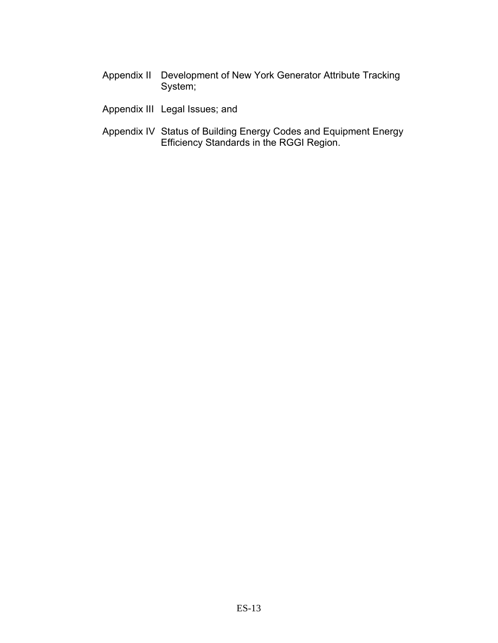- Appendix II Development of New York Generator Attribute Tracking System;
- Appendix III Legal Issues; and
- Appendix IV Status of Building Energy Codes and Equipment Energy Efficiency Standards in the RGGI Region.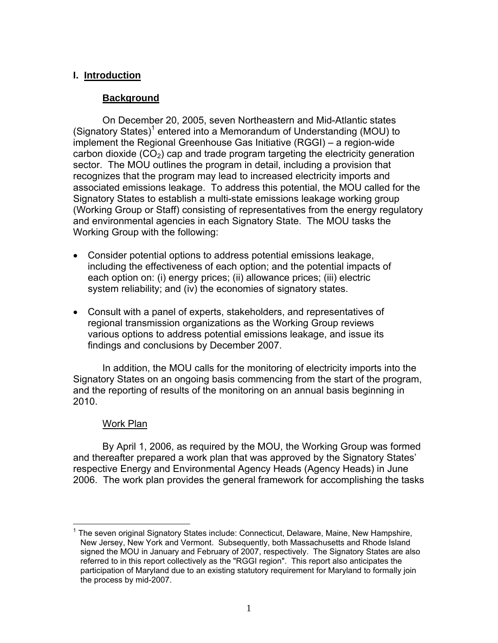### **I. Introduction**

### **Background**

 On December 20, 2005, seven Northeastern and Mid-Atlantic states (Signatory States)<sup>1</sup> entered into a Memorandum of Understanding (MOU) to implement the Regional Greenhouse Gas Initiative (RGGI) – a region-wide carbon dioxide  $(CO<sub>2</sub>)$  cap and trade program targeting the electricity generation sector. The MOU outlines the program in detail, including a provision that recognizes that the program may lead to increased electricity imports and associated emissions leakage. To address this potential, the MOU called for the Signatory States to establish a multi-state emissions leakage working group (Working Group or Staff) consisting of representatives from the energy regulatory and environmental agencies in each Signatory State. The MOU tasks the Working Group with the following:

- Consider potential options to address potential emissions leakage, including the effectiveness of each option; and the potential impacts of each option on: (i) energy prices; (ii) allowance prices; (iii) electric system reliability; and (iv) the economies of signatory states.
- Consult with a panel of experts, stakeholders, and representatives of regional transmission organizations as the Working Group reviews various options to address potential emissions leakage, and issue its findings and conclusions by December 2007.

 In addition, the MOU calls for the monitoring of electricity imports into the Signatory States on an ongoing basis commencing from the start of the program, and the reporting of results of the monitoring on an annual basis beginning in 2010.

#### Work Plan

 $\overline{\phantom{a}}$ 

 By April 1, 2006, as required by the MOU, the Working Group was formed and thereafter prepared a work plan that was approved by the Signatory States' respective Energy and Environmental Agency Heads (Agency Heads) in June 2006. The work plan provides the general framework for accomplishing the tasks

<sup>1</sup> The seven original Signatory States include: Connecticut, Delaware, Maine, New Hampshire, New Jersey, New York and Vermont. Subsequently, both Massachusetts and Rhode Island signed the MOU in January and February of 2007, respectively. The Signatory States are also referred to in this report collectively as the "RGGI region". This report also anticipates the participation of Maryland due to an existing statutory requirement for Maryland to formally join the process by mid-2007.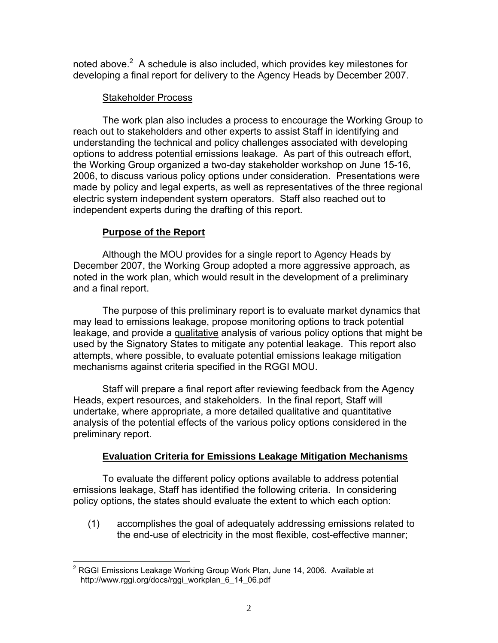noted above. $2$  A schedule is also included, which provides key milestones for developing a final report for delivery to the Agency Heads by December 2007.

# Stakeholder Process

 The work plan also includes a process to encourage the Working Group to reach out to stakeholders and other experts to assist Staff in identifying and understanding the technical and policy challenges associated with developing options to address potential emissions leakage. As part of this outreach effort, the Working Group organized a two-day stakeholder workshop on June 15-16, 2006, to discuss various policy options under consideration. Presentations were made by policy and legal experts, as well as representatives of the three regional electric system independent system operators. Staff also reached out to independent experts during the drafting of this report.

# **Purpose of the Report**

 Although the MOU provides for a single report to Agency Heads by December 2007, the Working Group adopted a more aggressive approach, as noted in the work plan, which would result in the development of a preliminary and a final report.

 The purpose of this preliminary report is to evaluate market dynamics that may lead to emissions leakage, propose monitoring options to track potential leakage, and provide a qualitative analysis of various policy options that might be used by the Signatory States to mitigate any potential leakage. This report also attempts, where possible, to evaluate potential emissions leakage mitigation mechanisms against criteria specified in the RGGI MOU.

 Staff will prepare a final report after reviewing feedback from the Agency Heads, expert resources, and stakeholders. In the final report, Staff will undertake, where appropriate, a more detailed qualitative and quantitative analysis of the potential effects of the various policy options considered in the preliminary report.

# **Evaluation Criteria for Emissions Leakage Mitigation Mechanisms**

 To evaluate the different policy options available to address potential emissions leakage, Staff has identified the following criteria. In considering policy options, the states should evaluate the extent to which each option:

(1) accomplishes the goal of adequately addressing emissions related to the end-use of electricity in the most flexible, cost-effective manner;

 2 RGGI Emissions Leakage Working Group Work Plan, June 14, 2006. Available at http://www.rggi.org/docs/rggi\_workplan\_6\_14\_06.pdf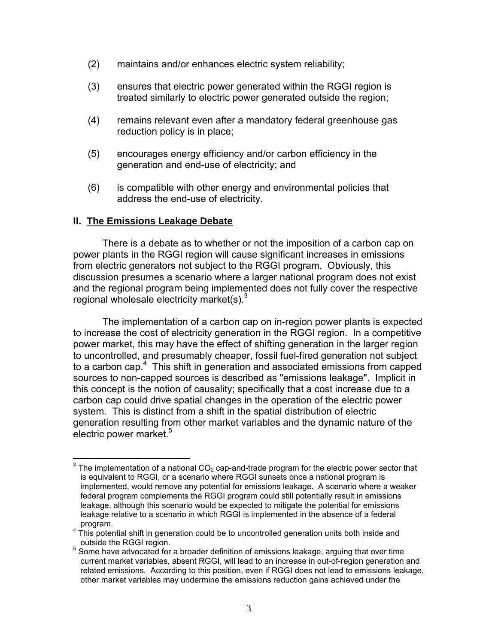- (2) maintains and/or enhances electric system reliability;
- (3) ensures that electric power generated within the RGGI region is treated similarly to electric power generated outside the region;
- (4) remains relevant even after a mandatory federal greenhouse gas reduction policy is in place;
- (5) encourages energy efficiency and/or carbon efficiency in the generation and end-use of electricity; and
- (6) is compatible with other energy and environmental policies that address the end-use of electricity.

#### **II. The Emissions Leakage Debate**

There is a debate as to whether or not the imposition of a carbon cap on power plants in the RGGI region will cause significant increases in emissions from electric generators not subject to the RGGI program. Obviously, this discussion presumes a scenario where a larger national program does not exist and the regional program being implemented does not fully cover the respective regional wholesale electricity market(s). $3$ 

The implementation of a carbon cap on in-region power plants is expected to increase the cost of electricity generation in the RGGI region. In a competitive power market, this may have the effect of shifting generation in the larger region to uncontrolled, and presumably cheaper, fossil fuel-fired generation not subject to a carbon cap.<sup>4</sup> This shift in generation and associated emissions from capped sources to non-capped sources is described as "emissions leakage". Implicit in this concept is the notion of causality; specifically that a cost increase due to a carbon cap could drive spatial changes in the operation of the electric power system. This is distinct from a shift in the spatial distribution of electric generation resulting from other market variables and the dynamic nature of the electric power market.<sup>5</sup>

 $\frac{1}{3}$  The implementation of a national CO<sub>2</sub> cap-and-trade program for the electric power sector that is equivalent to RGGI, or a scenario where RGGI sunsets once a national program is implemented, would remove any potential for emissions leakage. A scenario where a weaker federal program complements the RGGI program could still potentially result in emissions leakage, although this scenario would be expected to mitigate the potential for emissions leakage relative to a scenario in which RGGI is implemented in the absence of a federal program. 4

This potential shift in generation could be to uncontrolled generation units both inside and

outside the RGGI region.<br><sup>5</sup> Some have advocated for a broader definition of emissions leakage, arguing that over time current market variables, absent RGGI, will lead to an increase in out-of-region generation and related emissions. According to this position, even if RGGI does not lead to emissions leakage, other market variables may undermine the emissions reduction gains achieved under the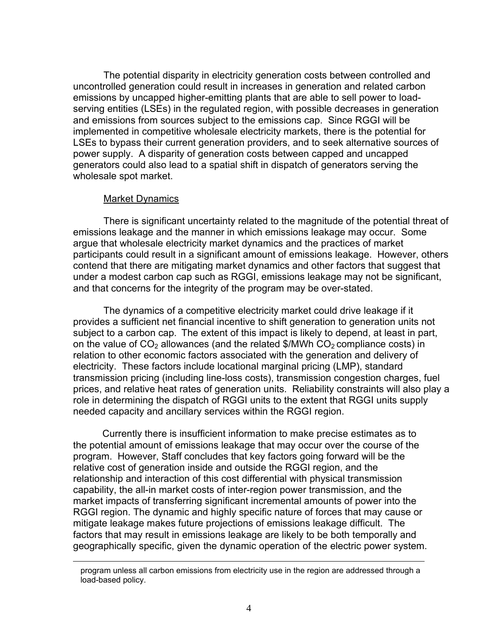The potential disparity in electricity generation costs between controlled and uncontrolled generation could result in increases in generation and related carbon emissions by uncapped higher-emitting plants that are able to sell power to loadserving entities (LSEs) in the regulated region, with possible decreases in generation and emissions from sources subject to the emissions cap. Since RGGI will be implemented in competitive wholesale electricity markets, there is the potential for LSEs to bypass their current generation providers, and to seek alternative sources of power supply. A disparity of generation costs between capped and uncapped generators could also lead to a spatial shift in dispatch of generators serving the wholesale spot market.

#### Market Dynamics

1

There is significant uncertainty related to the magnitude of the potential threat of emissions leakage and the manner in which emissions leakage may occur. Some argue that wholesale electricity market dynamics and the practices of market participants could result in a significant amount of emissions leakage. However, others contend that there are mitigating market dynamics and other factors that suggest that under a modest carbon cap such as RGGI, emissions leakage may not be significant, and that concerns for the integrity of the program may be over-stated.

The dynamics of a competitive electricity market could drive leakage if it provides a sufficient net financial incentive to shift generation to generation units not subject to a carbon cap. The extent of this impact is likely to depend, at least in part, on the value of  $CO<sub>2</sub>$  allowances (and the related \$/MWh  $CO<sub>2</sub>$  compliance costs) in relation to other economic factors associated with the generation and delivery of electricity. These factors include locational marginal pricing (LMP), standard transmission pricing (including line-loss costs), transmission congestion charges, fuel prices, and relative heat rates of generation units. Reliability constraints will also play a role in determining the dispatch of RGGI units to the extent that RGGI units supply needed capacity and ancillary services within the RGGI region.

Currently there is insufficient information to make precise estimates as to the potential amount of emissions leakage that may occur over the course of the program. However, Staff concludes that key factors going forward will be the relative cost of generation inside and outside the RGGI region, and the relationship and interaction of this cost differential with physical transmission capability, the all-in market costs of inter-region power transmission, and the market impacts of transferring significant incremental amounts of power into the RGGI region. The dynamic and highly specific nature of forces that may cause or mitigate leakage makes future projections of emissions leakage difficult. The factors that may result in emissions leakage are likely to be both temporally and geographically specific, given the dynamic operation of the electric power system.

program unless all carbon emissions from electricity use in the region are addressed through a load-based policy.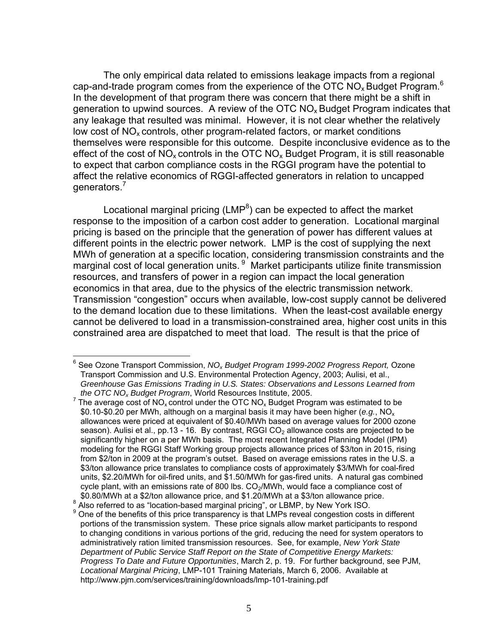The only empirical data related to emissions leakage impacts from a regional cap-and-trade program comes from the experience of the OTC NO<sub>x</sub> Budget Program.<sup>6</sup> In the development of that program there was concern that there might be a shift in generation to upwind sources. A review of the OTC  $NO<sub>x</sub>$  Budget Program indicates that any leakage that resulted was minimal. However, it is not clear whether the relatively low cost of  $NO<sub>x</sub>$  controls, other program-related factors, or market conditions themselves were responsible for this outcome. Despite inconclusive evidence as to the effect of the cost of  $NO_x$  controls in the OTC  $NO_x$  Budget Program, it is still reasonable to expect that carbon compliance costs in the RGGI program have the potential to affect the relative economics of RGGI-affected generators in relation to uncapped generators.<sup>7</sup>

Locational marginal pricing (LMP ${}^{8}$ ) can be expected to affect the market response to the imposition of a carbon cost adder to generation. Locational marginal pricing is based on the principle that the generation of power has different values at different points in the electric power network. LMP is the cost of supplying the next MWh of generation at a specific location, considering transmission constraints and the marginal cost of local generation units. <sup>9</sup> Market participants utilize finite transmission resources, and transfers of power in a region can impact the local generation economics in that area, due to the physics of the electric transmission network. Transmission "congestion" occurs when available, low-cost supply cannot be delivered to the demand location due to these limitations. When the least-cost available energy cannot be delivered to load in a transmission-constrained area, higher cost units in this constrained area are dispatched to meet that load. The result is that the price of

 $\overline{a}$ 6 See Ozone Transport Commission, *NOx Budget Program 1999-2002 Progress Report,* Ozone Transport Commission and U.S. Environmental Protection Agency, 2003; Aulisi, et al., *Greenhouse Gas Emissions Trading in U.S. States: Observations and Lessons Learned from the OTC NOx Budget Program*, World Resources Institute, 2005.

 $7$  The average cost of NO<sub>x</sub> control under the OTC NO<sub>x</sub> Budget Program was estimated to be \$0.10-\$0.20 per MWh, although on a marginal basis it may have been higher (*e.g.*, NOx allowances were priced at equivalent of \$0.40/MWh based on average values for 2000 ozone season). Aulisi et al., pp.13 - 16. By contrast, RGGI  $CO<sub>2</sub>$  allowance costs are projected to be significantly higher on a per MWh basis. The most recent Integrated Planning Model (IPM) modeling for the RGGI Staff Working group projects allowance prices of \$3/ton in 2015, rising from \$2/ton in 2009 at the program's outset. Based on average emissions rates in the U.S. a \$3/ton allowance price translates to compliance costs of approximately \$3/MWh for coal-fired units, \$2.20/MWh for oil-fired units, and \$1.50/MWh for gas-fired units. A natural gas combined cycle plant, with an emissions rate of 800 lbs.  $CO_2/MWh$ , would face a compliance cost of \$0.80/MWh at a \$2/ton allowance price. \$0.80/MWh at a \$2/ton allowance price, and \$1.20/MWh at a \$3/ton allowance price.<br>8.0 lee referred to as "legation based marginal prising", at LBMB, by Naw York ISO

 $^{\circ}$  Also referred to as "location-based marginal pricing", or LBMP, by New York ISO.<br>9 One of the benefits of this price transporces is that LMPs reveal congestion cost

<sup>&</sup>lt;sup>9</sup> One of the benefits of this price transparency is that LMPs reveal congestion costs in different portions of the transmission system. These price signals allow market participants to respond to changing conditions in various portions of the grid, reducing the need for system operators to administratively ration limited transmission resources. See, for example, *New York State Department of Public Service Staff Report on the State of Competitive Energy Markets: Progress To Date and Future Opportunities*, March 2, p. 19. For further background, see PJM, *Locational Marginal Pricing*, LMP-101 Training Materials, March 6, 2006. Available at http://www.pjm.com/services/training/downloads/lmp-101-training.pdf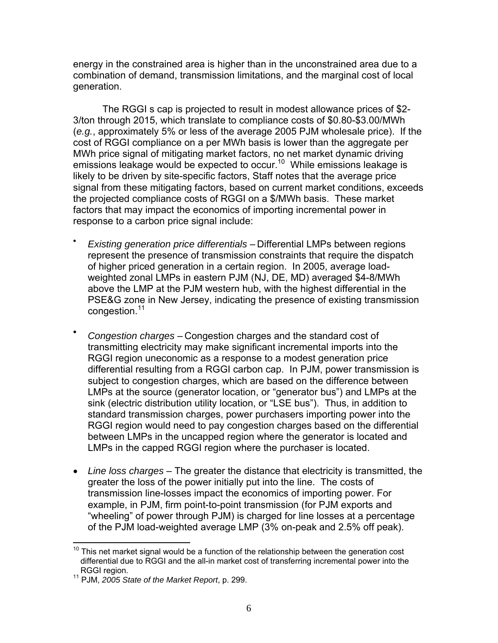energy in the constrained area is higher than in the unconstrained area due to a combination of demand, transmission limitations, and the marginal cost of local generation.

The RGGI s cap is projected to result in modest allowance prices of \$2- 3/ton through 2015, which translate to compliance costs of \$0.80-\$3.00/MWh (*e.g.*, approximately 5% or less of the average 2005 PJM wholesale price). If the cost of RGGI compliance on a per MWh basis is lower than the aggregate per MWh price signal of mitigating market factors, no net market dynamic driving emissions leakage would be expected to occur.<sup>10</sup> While emissions leakage is likely to be driven by site-specific factors, Staff notes that the average price signal from these mitigating factors, based on current market conditions, exceeds the projected compliance costs of RGGI on a \$/MWh basis. These market factors that may impact the economics of importing incremental power in response to a carbon price signal include:

- *Existing generation price differentials* Differential LMPs between regions represent the presence of transmission constraints that require the dispatch of higher priced generation in a certain region. In 2005, average loadweighted zonal LMPs in eastern PJM (NJ, DE, MD) averaged \$4-8/MWh above the LMP at the PJM western hub, with the highest differential in the PSE&G zone in New Jersey, indicating the presence of existing transmission congestion.<sup>11</sup>
- *Congestion charges* Congestion charges and the standard cost of transmitting electricity may make significant incremental imports into the RGGI region uneconomic as a response to a modest generation price differential resulting from a RGGI carbon cap. In PJM, power transmission is subject to congestion charges, which are based on the difference between LMPs at the source (generator location, or "generator bus") and LMPs at the sink (electric distribution utility location, or "LSE bus"). Thus, in addition to standard transmission charges, power purchasers importing power into the RGGI region would need to pay congestion charges based on the differential between LMPs in the uncapped region where the generator is located and LMPs in the capped RGGI region where the purchaser is located.
- *Line loss charges* The greater the distance that electricity is transmitted, the greater the loss of the power initially put into the line. The costs of transmission line-losses impact the economics of importing power. For example, in PJM, firm point-to-point transmission (for PJM exports and "wheeling" of power through PJM) is charged for line losses at a percentage of the PJM load-weighted average LMP (3% on-peak and 2.5% off peak).

 $\overline{\phantom{a}}$ This net market signal would be a function of the relationship between the generation cost differential due to RGGI and the all-in market cost of transferring incremental power into the RGGI region.<br><sup>11</sup> PJM, 2005 State of the Market Report, p. 299.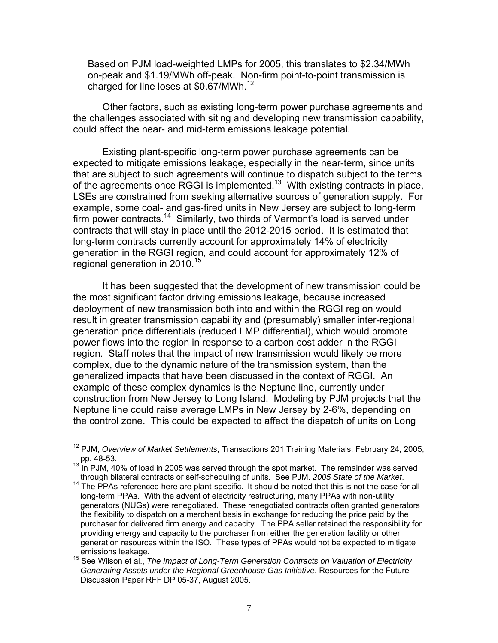Based on PJM load-weighted LMPs for 2005, this translates to \$2.34/MWh on-peak and \$1.19/MWh off-peak. Non-firm point-to-point transmission is charged for line loses at \$0.67/MWh.<sup>12</sup>

Other factors, such as existing long-term power purchase agreements and the challenges associated with siting and developing new transmission capability, could affect the near- and mid-term emissions leakage potential.

Existing plant-specific long-term power purchase agreements can be expected to mitigate emissions leakage, especially in the near-term, since units that are subject to such agreements will continue to dispatch subject to the terms of the agreements once RGGI is implemented.<sup>13</sup> With existing contracts in place, LSEs are constrained from seeking alternative sources of generation supply. For example, some coal- and gas-fired units in New Jersey are subject to long-term firm power contracts.14 Similarly, two thirds of Vermont's load is served under contracts that will stay in place until the 2012-2015 period. It is estimated that long-term contracts currently account for approximately 14% of electricity generation in the RGGI region, and could account for approximately 12% of regional generation in 2010.<sup>15</sup>

It has been suggested that the development of new transmission could be the most significant factor driving emissions leakage, because increased deployment of new transmission both into and within the RGGI region would result in greater transmission capability and (presumably) smaller inter-regional generation price differentials (reduced LMP differential), which would promote power flows into the region in response to a carbon cost adder in the RGGI region. Staff notes that the impact of new transmission would likely be more complex, due to the dynamic nature of the transmission system, than the generalized impacts that have been discussed in the context of RGGI. An example of these complex dynamics is the Neptune line, currently under construction from New Jersey to Long Island. Modeling by PJM projects that the Neptune line could raise average LMPs in New Jersey by 2-6%, depending on the control zone. This could be expected to affect the dispatch of units on Long

 $\overline{\phantom{a}}$ 

<sup>12</sup> PJM, *Overview of Market Settlements*, Transactions 201 Training Materials, February 24, 2005,

pp. 48-53.<br><sup>13</sup> In PJM, 40% of load in 2005 was served through the spot market. The remainder was served<br>through bilateral contracts or self-scheduling of units. See PJM. 2005 State of the Market.

<sup>&</sup>lt;sup>14</sup> The PPAs referenced here are plant-specific. It should be noted that this is not the case for all long-term PPAs. With the advent of electricity restructuring, many PPAs with non-utility generators (NUGs) were renegotiated. These renegotiated contracts often granted generators the flexibility to dispatch on a merchant basis in exchange for reducing the price paid by the purchaser for delivered firm energy and capacity. The PPA seller retained the responsibility for providing energy and capacity to the purchaser from either the generation facility or other generation resources within the ISO. These types of PPAs would not be expected to mitigate

emissions leakage.<br><sup>15</sup> See Wilson et al., *The Impact of Long-Term Generation Contracts on Valuation of Electricity Generating Assets under the Regional Greenhouse Gas Initiative*, Resources for the Future Discussion Paper RFF DP 05-37, August 2005.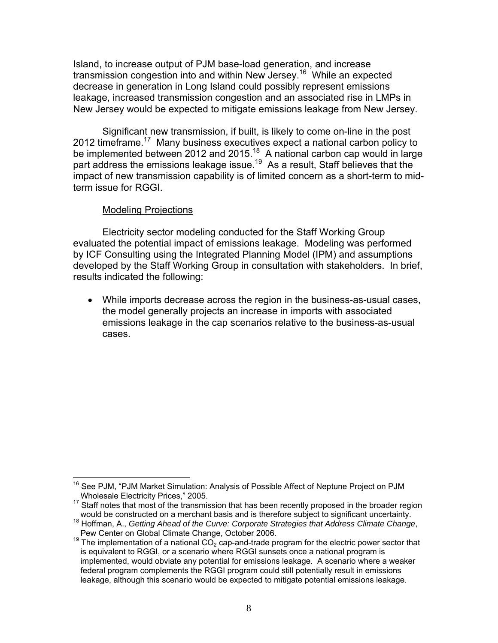Island, to increase output of PJM base-load generation, and increase transmission congestion into and within New Jersey.16 While an expected decrease in generation in Long Island could possibly represent emissions leakage, increased transmission congestion and an associated rise in LMPs in New Jersey would be expected to mitigate emissions leakage from New Jersey.

Significant new transmission, if built, is likely to come on-line in the post 2012 timeframe.17 Many business executives expect a national carbon policy to be implemented between 2012 and 2015.<sup>18</sup> A national carbon cap would in large part address the emissions leakage issue.<sup>19</sup> As a result, Staff believes that the impact of new transmission capability is of limited concern as a short-term to midterm issue for RGGI.

### Modeling Projections

 Electricity sector modeling conducted for the Staff Working Group evaluated the potential impact of emissions leakage. Modeling was performed by ICF Consulting using the Integrated Planning Model (IPM) and assumptions developed by the Staff Working Group in consultation with stakeholders. In brief, results indicated the following:

• While imports decrease across the region in the business-as-usual cases, the model generally projects an increase in imports with associated emissions leakage in the cap scenarios relative to the business-as-usual cases.

 $\overline{\phantom{a}}$ <sup>16</sup> See PJM, "PJM Market Simulation: Analysis of Possible Affect of Neptune Project on PJM Wholesale Electricity Prices," 2005.

 $17$  Staff notes that most of the transmission that has been recently proposed in the broader region

would be constructed on a merchant basis and is therefore subject to significant uncertainty.<br><sup>18</sup> Hoffman, A., *Getting Ahead of the Curve: Corporate Strategies that Address Climate Change*,<br>Pew Center on Global Climate C

<sup>&</sup>lt;sup>19</sup> The implementation of a national CO<sub>2</sub> cap-and-trade program for the electric power sector that is equivalent to RGGI, or a scenario where RGGI sunsets once a national program is implemented, would obviate any potential for emissions leakage. A scenario where a weaker federal program complements the RGGI program could still potentially result in emissions leakage, although this scenario would be expected to mitigate potential emissions leakage.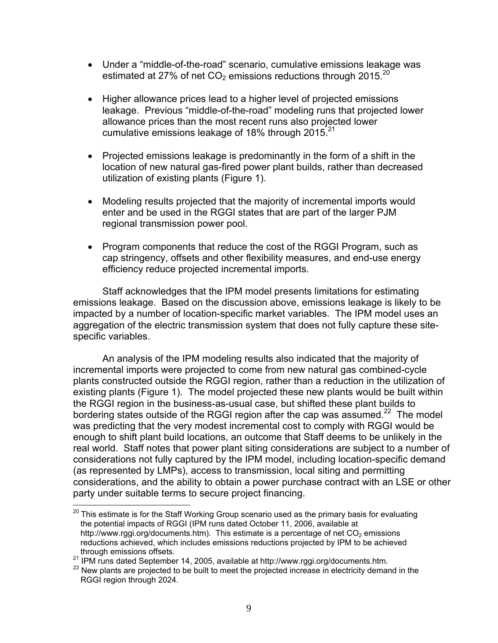- Under a "middle-of-the-road" scenario, cumulative emissions leakage was estimated at 27% of net  $CO<sub>2</sub>$  emissions reductions through 2015.<sup>20</sup>
- Higher allowance prices lead to a higher level of projected emissions leakage. Previous "middle-of-the-road" modeling runs that projected lower allowance prices than the most recent runs also projected lower cumulative emissions leakage of 18% through 2015.<sup>21</sup>
- Projected emissions leakage is predominantly in the form of a shift in the location of new natural gas-fired power plant builds, rather than decreased utilization of existing plants (Figure 1).
- Modeling results projected that the majority of incremental imports would enter and be used in the RGGI states that are part of the larger PJM regional transmission power pool.
- Program components that reduce the cost of the RGGI Program, such as cap stringency, offsets and other flexibility measures, and end-use energy efficiency reduce projected incremental imports.

 Staff acknowledges that the IPM model presents limitations for estimating emissions leakage. Based on the discussion above, emissions leakage is likely to be impacted by a number of location-specific market variables. The IPM model uses an aggregation of the electric transmission system that does not fully capture these sitespecific variables.

 An analysis of the IPM modeling results also indicated that the majority of incremental imports were projected to come from new natural gas combined-cycle plants constructed outside the RGGI region, rather than a reduction in the utilization of existing plants (Figure 1). The model projected these new plants would be built within the RGGI region in the business-as-usual case, but shifted these plant builds to bordering states outside of the RGGI region after the cap was assumed.<sup>22</sup> The model was predicting that the very modest incremental cost to comply with RGGI would be enough to shift plant build locations, an outcome that Staff deems to be unlikely in the real world. Staff notes that power plant siting considerations are subject to a number of considerations not fully captured by the IPM model, including location-specific demand (as represented by LMPs), access to transmission, local siting and permitting considerations, and the ability to obtain a power purchase contract with an LSE or other party under suitable terms to secure project financing.

1

 $^{20}$  This estimate is for the Staff Working Group scenario used as the primary basis for evaluating the potential impacts of RGGI (IPM runs dated October 11, 2006, available at http://www.rggi.org/documents.htm). This estimate is a percentage of net  $CO<sub>2</sub>$  emissions reductions achieved, which includes emissions reductions projected by IPM to be achieved

through emissions offsets.<br><sup>21</sup> IPM runs dated September 14, 2005, available at http://www.rggi.org/documents.htm.<br><sup>22</sup> New plants are projected to be built to meet the projected increase in electricity demand in the RGGI region through 2024.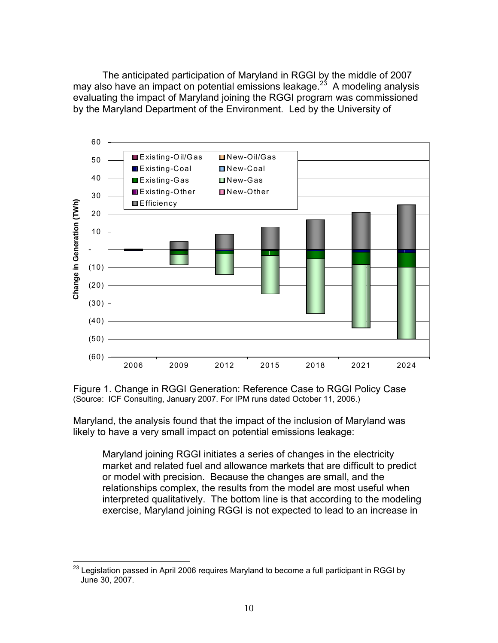The anticipated participation of Maryland in RGGI by the middle of 2007 may also have an impact on potential emissions leakage.<sup>23</sup> A modeling analysis evaluating the impact of Maryland joining the RGGI program was commissioned by the Maryland Department of the Environment. Led by the University of



Figure 1. Change in RGGI Generation: Reference Case to RGGI Policy Case (Source: ICF Consulting, January 2007. For IPM runs dated October 11, 2006.)

Maryland, the analysis found that the impact of the inclusion of Maryland was likely to have a very small impact on potential emissions leakage:

Maryland joining RGGI initiates a series of changes in the electricity market and related fuel and allowance markets that are difficult to predict or model with precision. Because the changes are small, and the relationships complex, the results from the model are most useful when interpreted qualitatively. The bottom line is that according to the modeling exercise, Maryland joining RGGI is not expected to lead to an increase in

 $\overline{\phantom{a}}$  $^{23}$  Legislation passed in April 2006 requires Maryland to become a full participant in RGGI by June 30, 2007.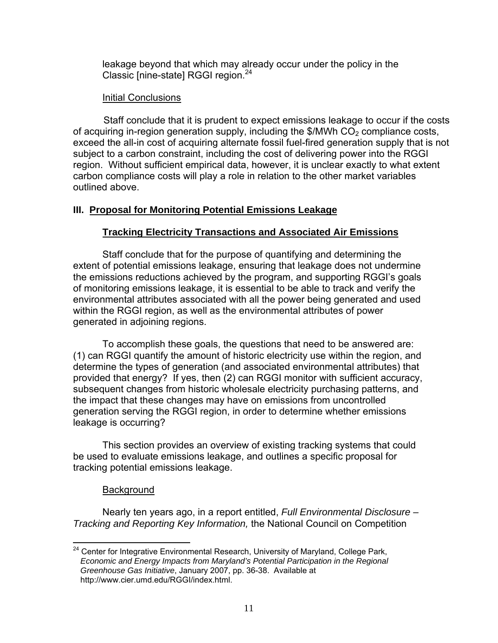leakage beyond that which may already occur under the policy in the Classic [nine-state] RGGI region.<sup>24</sup>

### **Initial Conclusions**

Staff conclude that it is prudent to expect emissions leakage to occur if the costs of acquiring in-region generation supply, including the  $\frac{1}{2}$  MWh CO<sub>2</sub> compliance costs, exceed the all-in cost of acquiring alternate fossil fuel-fired generation supply that is not subject to a carbon constraint, including the cost of delivering power into the RGGI region. Without sufficient empirical data, however, it is unclear exactly to what extent carbon compliance costs will play a role in relation to the other market variables outlined above.

# **III. Proposal for Monitoring Potential Emissions Leakage**

# **Tracking Electricity Transactions and Associated Air Emissions**

Staff conclude that for the purpose of quantifying and determining the extent of potential emissions leakage, ensuring that leakage does not undermine the emissions reductions achieved by the program, and supporting RGGI's goals of monitoring emissions leakage, it is essential to be able to track and verify the environmental attributes associated with all the power being generated and used within the RGGI region, as well as the environmental attributes of power generated in adjoining regions.

 To accomplish these goals, the questions that need to be answered are: (1) can RGGI quantify the amount of historic electricity use within the region, and determine the types of generation (and associated environmental attributes) that provided that energy? If yes, then (2) can RGGI monitor with sufficient accuracy, subsequent changes from historic wholesale electricity purchasing patterns, and the impact that these changes may have on emissions from uncontrolled generation serving the RGGI region, in order to determine whether emissions leakage is occurring?

 This section provides an overview of existing tracking systems that could be used to evaluate emissions leakage, and outlines a specific proposal for tracking potential emissions leakage.

#### **Background**

 Nearly ten years ago, in a report entitled, *Full Environmental Disclosure – Tracking and Reporting Key Information,* the National Council on Competition

 $\overline{\phantom{a}}$ <sup>24</sup> Center for Integrative Environmental Research, University of Maryland, College Park, *Economic and Energy Impacts from Maryland's Potential Participation in the Regional Greenhouse Gas Initiative*, January 2007, pp. 36-38. Available at http://www.cier.umd.edu/RGGI/index.html.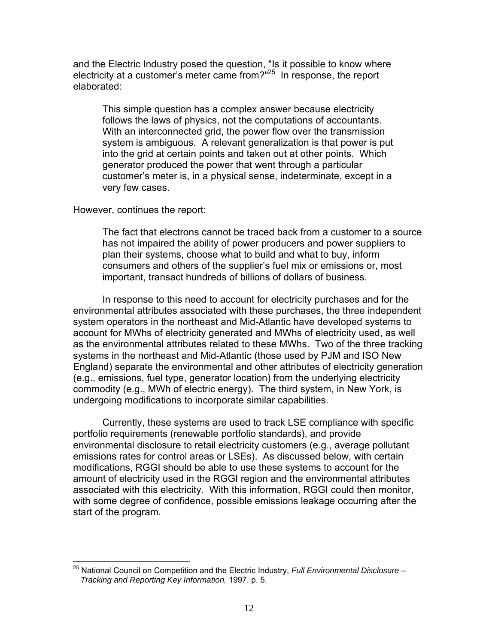and the Electric Industry posed the question, "Is it possible to know where electricity at a customer's meter came from?"<sup>25</sup> In response, the report elaborated:

This simple question has a complex answer because electricity follows the laws of physics, not the computations of accountants. With an interconnected grid, the power flow over the transmission system is ambiguous. A relevant generalization is that power is put into the grid at certain points and taken out at other points. Which generator produced the power that went through a particular customer's meter is, in a physical sense, indeterminate, except in a very few cases.

#### However, continues the report:

The fact that electrons cannot be traced back from a customer to a source has not impaired the ability of power producers and power suppliers to plan their systems, choose what to build and what to buy, inform consumers and others of the supplier's fuel mix or emissions or, most important, transact hundreds of billions of dollars of business.

 In response to this need to account for electricity purchases and for the environmental attributes associated with these purchases, the three independent system operators in the northeast and Mid-Atlantic have developed systems to account for MWhs of electricity generated and MWhs of electricity used, as well as the environmental attributes related to these MWhs. Two of the three tracking systems in the northeast and Mid-Atlantic (those used by PJM and ISO New England) separate the environmental and other attributes of electricity generation (e.g., emissions, fuel type, generator location) from the underlying electricity commodity (e.g., MWh of electric energy). The third system, in New York, is undergoing modifications to incorporate similar capabilities.

 Currently, these systems are used to track LSE compliance with specific portfolio requirements (renewable portfolio standards), and provide environmental disclosure to retail electricity customers (e.g., average pollutant emissions rates for control areas or LSEs). As discussed below, with certain modifications, RGGI should be able to use these systems to account for the amount of electricity used in the RGGI region and the environmental attributes associated with this electricity. With this information, RGGI could then monitor, with some degree of confidence, possible emissions leakage occurring after the start of the program.

<sup>1</sup> 25 National Council on Competition and the Electric Industry, *Full Environmental Disclosure – Tracking and Reporting Key Information,* 1997. p. 5.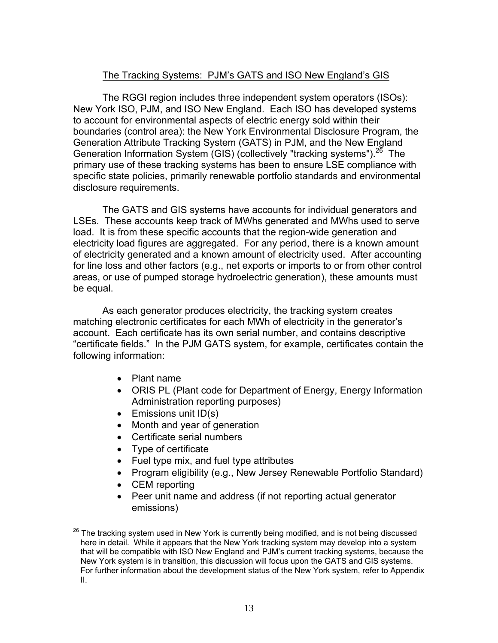# The Tracking Systems: PJM's GATS and ISO New England's GIS

 The RGGI region includes three independent system operators (ISOs): New York ISO, PJM, and ISO New England. Each ISO has developed systems to account for environmental aspects of electric energy sold within their boundaries (control area): the New York Environmental Disclosure Program, the Generation Attribute Tracking System (GATS) in PJM, and the New England Generation Information System (GIS) (collectively "tracking systems").<sup>26</sup> The primary use of these tracking systems has been to ensure LSE compliance with specific state policies, primarily renewable portfolio standards and environmental disclosure requirements.

The GATS and GIS systems have accounts for individual generators and LSEs. These accounts keep track of MWhs generated and MWhs used to serve load. It is from these specific accounts that the region-wide generation and electricity load figures are aggregated. For any period, there is a known amount of electricity generated and a known amount of electricity used. After accounting for line loss and other factors (e.g., net exports or imports to or from other control areas, or use of pumped storage hydroelectric generation), these amounts must be equal.

As each generator produces electricity, the tracking system creates matching electronic certificates for each MWh of electricity in the generator's account. Each certificate has its own serial number, and contains descriptive "certificate fields." In the PJM GATS system, for example, certificates contain the following information:

- Plant name
- ORIS PL (Plant code for Department of Energy, Energy Information Administration reporting purposes)
- Emissions unit ID(s)
- Month and year of generation
- Certificate serial numbers
- Type of certificate
- Fuel type mix, and fuel type attributes
- Program eligibility (e.g., New Jersey Renewable Portfolio Standard)
- CEM reporting

1

• Peer unit name and address (if not reporting actual generator emissions)

 $^{26}$  The tracking system used in New York is currently being modified, and is not being discussed here in detail. While it appears that the New York tracking system may develop into a system that will be compatible with ISO New England and PJM's current tracking systems, because the New York system is in transition, this discussion will focus upon the GATS and GIS systems. For further information about the development status of the New York system, refer to Appendix II.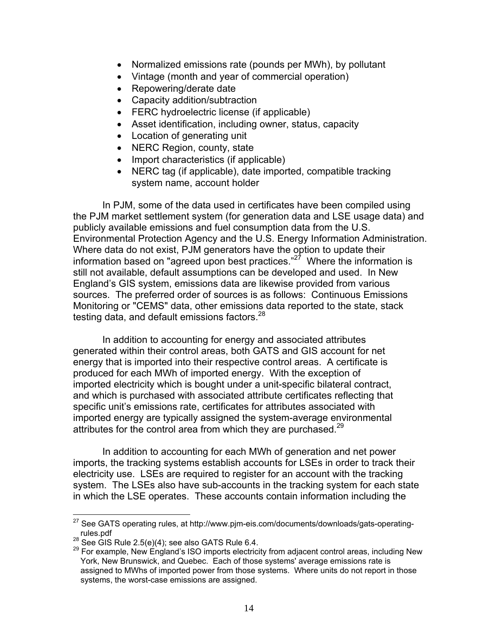- Normalized emissions rate (pounds per MWh), by pollutant
- Vintage (month and year of commercial operation)
- Repowering/derate date
- Capacity addition/subtraction
- FERC hydroelectric license (if applicable)
- Asset identification, including owner, status, capacity
- Location of generating unit
- NERC Region, county, state
- Import characteristics (if applicable)
- NERC tag (if applicable), date imported, compatible tracking system name, account holder

 In PJM, some of the data used in certificates have been compiled using the PJM market settlement system (for generation data and LSE usage data) and publicly available emissions and fuel consumption data from the U.S. Environmental Protection Agency and the U.S. Energy Information Administration. Where data do not exist, PJM generators have the option to update their information based on "agreed upon best practices." $27$  Where the information is still not available, default assumptions can be developed and used. In New England's GIS system, emissions data are likewise provided from various sources. The preferred order of sources is as follows: Continuous Emissions Monitoring or "CEMS" data, other emissions data reported to the state, stack testing data, and default emissions factors.<sup>28</sup>

In addition to accounting for energy and associated attributes generated within their control areas, both GATS and GIS account for net energy that is imported into their respective control areas. A certificate is produced for each MWh of imported energy. With the exception of imported electricity which is bought under a unit-specific bilateral contract, and which is purchased with associated attribute certificates reflecting that specific unit's emissions rate, certificates for attributes associated with imported energy are typically assigned the system-average environmental attributes for the control area from which they are purchased.<sup>29</sup>

 In addition to accounting for each MWh of generation and net power imports, the tracking systems establish accounts for LSEs in order to track their electricity use. LSEs are required to register for an account with the tracking system. The LSEs also have sub-accounts in the tracking system for each state in which the LSE operates. These accounts contain information including the

1

 $27$  See GATS operating rules, at http://www.pjm-eis.com/documents/downloads/gats-operating-

rules.pdf<br><sup>28</sup> See GIS Rule 2.5(e)(4); see also GATS Rule 6.4.<br><sup>29</sup> For example, New England's ISO imports electricity from adjacent control areas, including New York, New Brunswick, and Quebec. Each of those systems' average emissions rate is assigned to MWhs of imported power from those systems. Where units do not report in those systems, the worst-case emissions are assigned.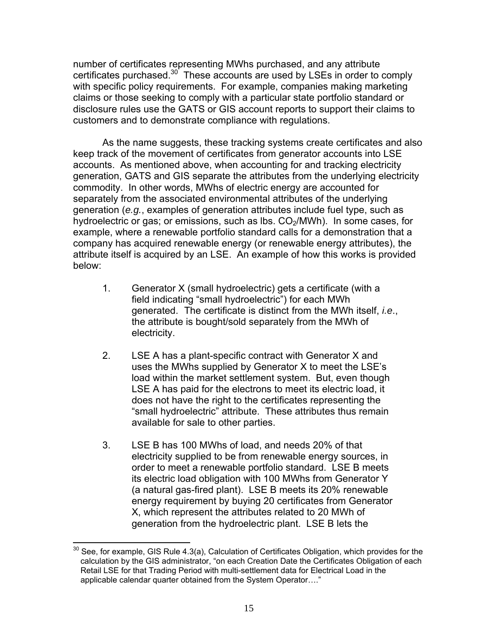number of certificates representing MWhs purchased, and any attribute certificates purchased.<sup>30</sup> These accounts are used by LSEs in order to comply with specific policy requirements. For example, companies making marketing claims or those seeking to comply with a particular state portfolio standard or disclosure rules use the GATS or GIS account reports to support their claims to customers and to demonstrate compliance with regulations.

As the name suggests, these tracking systems create certificates and also keep track of the movement of certificates from generator accounts into LSE accounts. As mentioned above, when accounting for and tracking electricity generation, GATS and GIS separate the attributes from the underlying electricity commodity. In other words, MWhs of electric energy are accounted for separately from the associated environmental attributes of the underlying generation (*e.g.*, examples of generation attributes include fuel type, such as hydroelectric or gas; or emissions, such as lbs.  $CO<sub>2</sub>/MWh$ ). In some cases, for example, where a renewable portfolio standard calls for a demonstration that a company has acquired renewable energy (or renewable energy attributes), the attribute itself is acquired by an LSE. An example of how this works is provided below:

- 1. Generator X (small hydroelectric) gets a certificate (with a field indicating "small hydroelectric") for each MWh generated. The certificate is distinct from the MWh itself, *i.e*., the attribute is bought/sold separately from the MWh of electricity.
- 2. LSE A has a plant-specific contract with Generator X and uses the MWhs supplied by Generator X to meet the LSE's load within the market settlement system. But, even though LSE A has paid for the electrons to meet its electric load, it does not have the right to the certificates representing the "small hydroelectric" attribute. These attributes thus remain available for sale to other parties.
- 3. LSE B has 100 MWhs of load, and needs 20% of that electricity supplied to be from renewable energy sources, in order to meet a renewable portfolio standard. LSE B meets its electric load obligation with 100 MWhs from Generator Y (a natural gas-fired plant). LSE B meets its 20% renewable energy requirement by buying 20 certificates from Generator X, which represent the attributes related to 20 MWh of generation from the hydroelectric plant. LSE B lets the

 $\overline{\phantom{a}}$  $30$  See, for example, GIS Rule 4.3(a), Calculation of Certificates Obligation, which provides for the calculation by the GIS administrator, "on each Creation Date the Certificates Obligation of each Retail LSE for that Trading Period with multi-settlement data for Electrical Load in the applicable calendar quarter obtained from the System Operator…."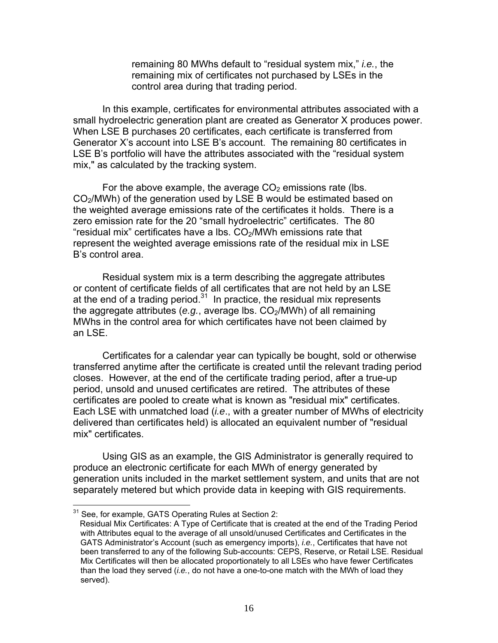remaining 80 MWhs default to "residual system mix," *i.e.*, the remaining mix of certificates not purchased by LSEs in the control area during that trading period.

 In this example, certificates for environmental attributes associated with a small hydroelectric generation plant are created as Generator X produces power. When LSE B purchases 20 certificates, each certificate is transferred from Generator X's account into LSE B's account. The remaining 80 certificates in LSE B's portfolio will have the attributes associated with the "residual system mix," as calculated by the tracking system.

For the above example, the average  $CO<sub>2</sub>$  emissions rate (lbs.  $CO<sub>2</sub>/MWh$ ) of the generation used by LSE B would be estimated based on the weighted average emissions rate of the certificates it holds. There is a zero emission rate for the 20 "small hydroelectric" certificates. The 80 "residual mix" certificates have a lbs.  $CO<sub>2</sub>/MWh$  emissions rate that represent the weighted average emissions rate of the residual mix in LSE B's control area.

Residual system mix is a term describing the aggregate attributes or content of certificate fields of all certificates that are not held by an LSE at the end of a trading period.<sup>31</sup> In practice, the residual mix represents the aggregate attributes ( $e.g.,$  average lbs.  $CO<sub>2</sub>/MWh$ ) of all remaining MWhs in the control area for which certificates have not been claimed by an LSE.

Certificates for a calendar year can typically be bought, sold or otherwise transferred anytime after the certificate is created until the relevant trading period closes. However, at the end of the certificate trading period, after a true-up period, unsold and unused certificates are retired. The attributes of these certificates are pooled to create what is known as "residual mix" certificates. Each LSE with unmatched load (*i.e*., with a greater number of MWhs of electricity delivered than certificates held) is allocated an equivalent number of "residual mix" certificates.

Using GIS as an example, the GIS Administrator is generally required to produce an electronic certificate for each MWh of energy generated by generation units included in the market settlement system, and units that are not separately metered but which provide data in keeping with GIS requirements.

1

 $31$  See, for example, GATS Operating Rules at Section 2:

Residual Mix Certificates: A Type of Certificate that is created at the end of the Trading Period with Attributes equal to the average of all unsold/unused Certificates and Certificates in the GATS Administrator's Account (such as emergency imports), *i.e.*, Certificates that have not been transferred to any of the following Sub-accounts: CEPS, Reserve, or Retail LSE. Residual Mix Certificates will then be allocated proportionately to all LSEs who have fewer Certificates than the load they served (*i.e.*, do not have a one-to-one match with the MWh of load they served).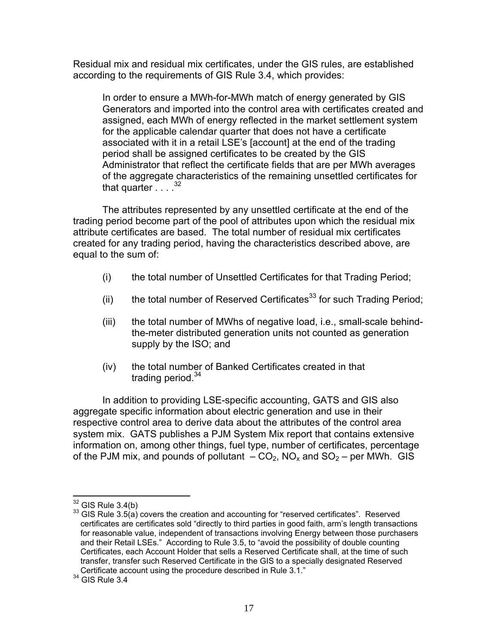Residual mix and residual mix certificates, under the GIS rules, are established according to the requirements of GIS Rule 3.4, which provides:

In order to ensure a MWh-for-MWh match of energy generated by GIS Generators and imported into the control area with certificates created and assigned, each MWh of energy reflected in the market settlement system for the applicable calendar quarter that does not have a certificate associated with it in a retail LSE's [account] at the end of the trading period shall be assigned certificates to be created by the GIS Administrator that reflect the certificate fields that are per MWh averages of the aggregate characteristics of the remaining unsettled certificates for that quarter  $\ldots$   $32$ 

 The attributes represented by any unsettled certificate at the end of the trading period become part of the pool of attributes upon which the residual mix attribute certificates are based. The total number of residual mix certificates created for any trading period, having the characteristics described above, are equal to the sum of:

- (i) the total number of Unsettled Certificates for that Trading Period;
- (ii) the total number of Reserved Certificates<sup>33</sup> for such Trading Period;
- (iii) the total number of MWhs of negative load, i.e., small-scale behindthe-meter distributed generation units not counted as generation supply by the ISO; and
- (iv) the total number of Banked Certificates created in that trading period. $34$

 In addition to providing LSE-specific accounting, GATS and GIS also aggregate specific information about electric generation and use in their respective control area to derive data about the attributes of the control area system mix. GATS publishes a PJM System Mix report that contains extensive information on, among other things, fuel type, number of certificates, percentage of the PJM mix, and pounds of pollutant  $-CO_2$ , NO<sub>x</sub> and SO<sub>2</sub> – per MWh. GIS

1

 $32$  GIS Rule 3.4(b)<br> $33$  GIS Rule 3.5(a) covers the creation and accounting for "reserved certificates". Reserved certificates are certificates sold "directly to third parties in good faith, arm's length transactions for reasonable value, independent of transactions involving Energy between those purchasers and their Retail LSEs." According to Rule 3.5, to "avoid the possibility of double counting Certificates, each Account Holder that sells a Reserved Certificate shall, at the time of such transfer, transfer such Reserved Certificate in the GIS to a specially designated Reserved Certificate account using the procedure described in Rule 3.1."

 $34$  GIS Rule 3.4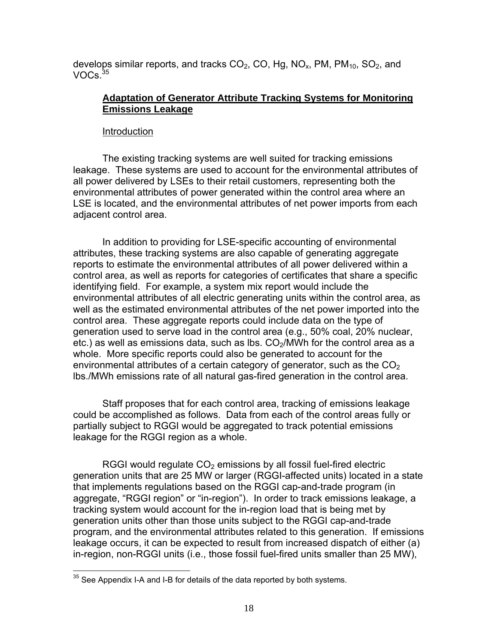develops similar reports, and tracks  $CO<sub>2</sub>$ , CO, Hg, NO<sub>x</sub>, PM, PM<sub>10</sub>, SO<sub>2</sub>, and VOCs $35$ 

### **Adaptation of Generator Attribute Tracking Systems for Monitoring Emissions Leakage**

#### Introduction

The existing tracking systems are well suited for tracking emissions leakage. These systems are used to account for the environmental attributes of all power delivered by LSEs to their retail customers, representing both the environmental attributes of power generated within the control area where an LSE is located, and the environmental attributes of net power imports from each adjacent control area.

In addition to providing for LSE-specific accounting of environmental attributes, these tracking systems are also capable of generating aggregate reports to estimate the environmental attributes of all power delivered within a control area, as well as reports for categories of certificates that share a specific identifying field. For example, a system mix report would include the environmental attributes of all electric generating units within the control area, as well as the estimated environmental attributes of the net power imported into the control area. These aggregate reports could include data on the type of generation used to serve load in the control area (e.g., 50% coal, 20% nuclear, etc.) as well as emissions data, such as lbs.  $CO<sub>2</sub>/MWh$  for the control area as a whole. More specific reports could also be generated to account for the environmental attributes of a certain category of generator, such as the  $CO<sub>2</sub>$ lbs./MWh emissions rate of all natural gas-fired generation in the control area.

Staff proposes that for each control area, tracking of emissions leakage could be accomplished as follows. Data from each of the control areas fully or partially subject to RGGI would be aggregated to track potential emissions leakage for the RGGI region as a whole.

RGGI would regulate  $CO<sub>2</sub>$  emissions by all fossil fuel-fired electric generation units that are 25 MW or larger (RGGI-affected units) located in a state that implements regulations based on the RGGI cap-and-trade program (in aggregate, "RGGI region" or "in-region"). In order to track emissions leakage, a tracking system would account for the in-region load that is being met by generation units other than those units subject to the RGGI cap-and-trade program, and the environmental attributes related to this generation. If emissions leakage occurs, it can be expected to result from increased dispatch of either (a) in-region, non-RGGI units (i.e., those fossil fuel-fired units smaller than 25 MW),

<sup>1</sup>  $35$  See Appendix I-A and I-B for details of the data reported by both systems.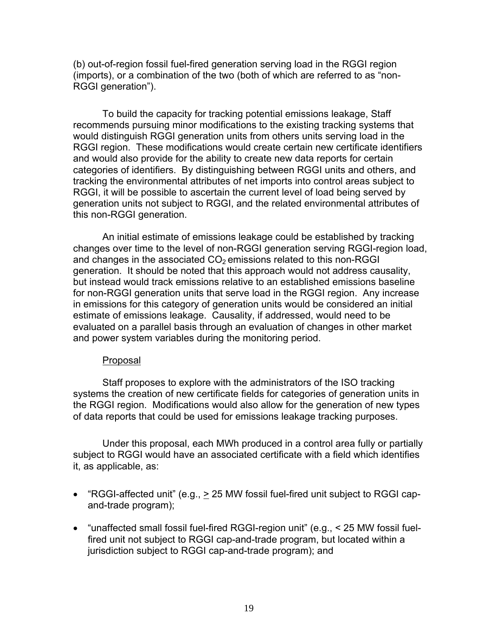(b) out-of-region fossil fuel-fired generation serving load in the RGGI region (imports), or a combination of the two (both of which are referred to as "non-RGGI generation").

To build the capacity for tracking potential emissions leakage, Staff recommends pursuing minor modifications to the existing tracking systems that would distinguish RGGI generation units from others units serving load in the RGGI region. These modifications would create certain new certificate identifiers and would also provide for the ability to create new data reports for certain categories of identifiers. By distinguishing between RGGI units and others, and tracking the environmental attributes of net imports into control areas subject to RGGI, it will be possible to ascertain the current level of load being served by generation units not subject to RGGI, and the related environmental attributes of this non-RGGI generation.

An initial estimate of emissions leakage could be established by tracking changes over time to the level of non-RGGI generation serving RGGI-region load, and changes in the associated  $CO<sub>2</sub>$  emissions related to this non-RGGI generation. It should be noted that this approach would not address causality, but instead would track emissions relative to an established emissions baseline for non-RGGI generation units that serve load in the RGGI region. Any increase in emissions for this category of generation units would be considered an initial estimate of emissions leakage. Causality, if addressed, would need to be evaluated on a parallel basis through an evaluation of changes in other market and power system variables during the monitoring period.

#### Proposal

Staff proposes to explore with the administrators of the ISO tracking systems the creation of new certificate fields for categories of generation units in the RGGI region. Modifications would also allow for the generation of new types of data reports that could be used for emissions leakage tracking purposes.

Under this proposal, each MWh produced in a control area fully or partially subject to RGGI would have an associated certificate with a field which identifies it, as applicable, as:

- "RGGI-affected unit" (e.g.,  $\geq$  25 MW fossil fuel-fired unit subject to RGGI capand-trade program);
- "unaffected small fossil fuel-fired RGGI-region unit" (e.g., < 25 MW fossil fuelfired unit not subject to RGGI cap-and-trade program, but located within a jurisdiction subject to RGGI cap-and-trade program); and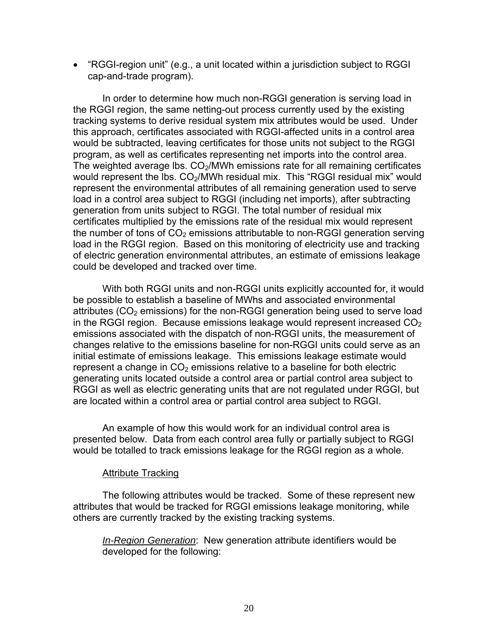• "RGGI-region unit" (e.g., a unit located within a jurisdiction subject to RGGI cap-and-trade program).

In order to determine how much non-RGGI generation is serving load in the RGGI region, the same netting-out process currently used by the existing tracking systems to derive residual system mix attributes would be used. Under this approach, certificates associated with RGGI-affected units in a control area would be subtracted, leaving certificates for those units not subject to the RGGI program, as well as certificates representing net imports into the control area. The weighted average lbs.  $CO<sub>2</sub>/MWh$  emissions rate for all remaining certificates would represent the lbs. CO<sub>2</sub>/MWh residual mix. This "RGGI residual mix" would represent the environmental attributes of all remaining generation used to serve load in a control area subject to RGGI (including net imports), after subtracting generation from units subject to RGGI. The total number of residual mix certificates multiplied by the emissions rate of the residual mix would represent the number of tons of  $CO<sub>2</sub>$  emissions attributable to non-RGGI generation serving load in the RGGI region. Based on this monitoring of electricity use and tracking of electric generation environmental attributes, an estimate of emissions leakage could be developed and tracked over time.

With both RGGI units and non-RGGI units explicitly accounted for, it would be possible to establish a baseline of MWhs and associated environmental attributes  $(CO<sub>2</sub>$  emissions) for the non-RGGI generation being used to serve load in the RGGI region. Because emissions leakage would represent increased  $CO<sub>2</sub>$ emissions associated with the dispatch of non-RGGI units, the measurement of changes relative to the emissions baseline for non-RGGI units could serve as an initial estimate of emissions leakage. This emissions leakage estimate would represent a change in  $CO<sub>2</sub>$  emissions relative to a baseline for both electric generating units located outside a control area or partial control area subject to RGGI as well as electric generating units that are not regulated under RGGI, but are located within a control area or partial control area subject to RGGI.

An example of how this would work for an individual control area is presented below. Data from each control area fully or partially subject to RGGI would be totalled to track emissions leakage for the RGGI region as a whole.

#### Attribute Tracking

 The following attributes would be tracked. Some of these represent new attributes that would be tracked for RGGI emissions leakage monitoring, while others are currently tracked by the existing tracking systems.

*In-Region Generation*: New generation attribute identifiers would be developed for the following: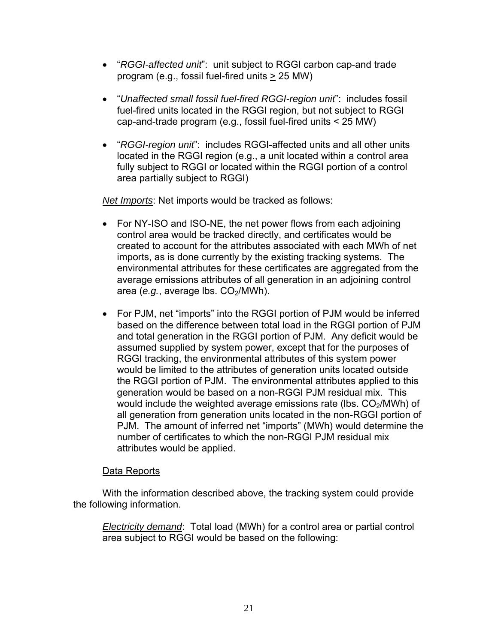- "*RGGI-affected unit*": unit subject to RGGI carbon cap-and trade program (e.g., fossil fuel-fired units > 25 MW)
- "*Unaffected small fossil fuel-fired RGGI-region unit*": includes fossil fuel-fired units located in the RGGI region, but not subject to RGGI cap-and-trade program (e.g., fossil fuel-fired units < 25 MW)
- "*RGGI-region unit*": includes RGGI-affected units and all other units located in the RGGI region (e.g., a unit located within a control area fully subject to RGGI or located within the RGGI portion of a control area partially subject to RGGI)

*Net Imports*: Net imports would be tracked as follows:

- For NY-ISO and ISO-NE, the net power flows from each adjoining control area would be tracked directly, and certificates would be created to account for the attributes associated with each MWh of net imports, as is done currently by the existing tracking systems. The environmental attributes for these certificates are aggregated from the average emissions attributes of all generation in an adjoining control area (*e.g.*, average lbs. CO<sub>2</sub>/MWh).
- For PJM, net "imports" into the RGGI portion of PJM would be inferred based on the difference between total load in the RGGI portion of PJM and total generation in the RGGI portion of PJM. Any deficit would be assumed supplied by system power, except that for the purposes of RGGI tracking, the environmental attributes of this system power would be limited to the attributes of generation units located outside the RGGI portion of PJM. The environmental attributes applied to this generation would be based on a non-RGGI PJM residual mix. This would include the weighted average emissions rate (lbs.  $CO<sub>2</sub>/MWh$ ) of all generation from generation units located in the non-RGGI portion of PJM. The amount of inferred net "imports" (MWh) would determine the number of certificates to which the non-RGGI PJM residual mix attributes would be applied.

### Data Reports

With the information described above, the tracking system could provide the following information.

*Electricity demand*: Total load (MWh) for a control area or partial control area subject to RGGI would be based on the following: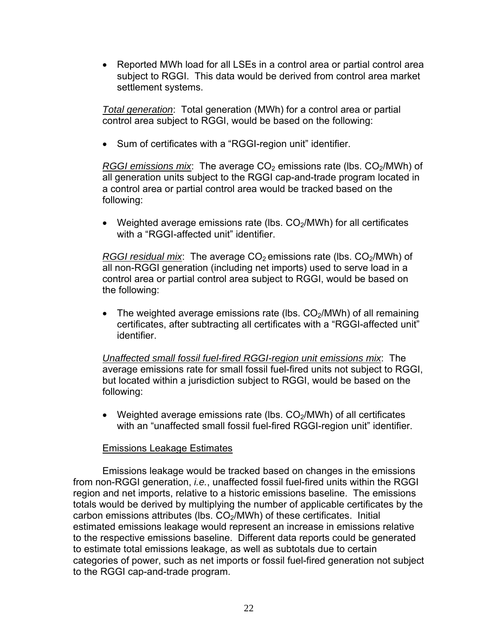• Reported MWh load for all LSEs in a control area or partial control area subject to RGGI. This data would be derived from control area market settlement systems.

*Total generation*: Total generation (MWh) for a control area or partial control area subject to RGGI, would be based on the following:

• Sum of certificates with a "RGGI-region unit" identifier.

*RGGI emissions mix*: The average CO<sub>2</sub> emissions rate (lbs. CO<sub>2</sub>/MWh) of all generation units subject to the RGGI cap-and-trade program located in a control area or partial control area would be tracked based on the following:

• Weighted average emissions rate (lbs.  $CO<sub>2</sub>/MWh$ ) for all certificates with a "RGGI-affected unit" identifier.

*RGGI residual mix*: The average CO<sub>2</sub> emissions rate (lbs. CO<sub>2</sub>/MWh) of all non-RGGI generation (including net imports) used to serve load in a control area or partial control area subject to RGGI, would be based on the following:

• The weighted average emissions rate (lbs.  $CO<sub>2</sub>/MWh$ ) of all remaining certificates, after subtracting all certificates with a "RGGI-affected unit" identifier.

*Unaffected small fossil fuel-fired RGGI-region unit emissions mix*: The average emissions rate for small fossil fuel-fired units not subject to RGGI, but located within a jurisdiction subject to RGGI, would be based on the following:

• Weighted average emissions rate (lbs.  $CO<sub>2</sub>/MWh$ ) of all certificates with an "unaffected small fossil fuel-fired RGGI-region unit" identifier.

### Emissions Leakage Estimates

Emissions leakage would be tracked based on changes in the emissions from non-RGGI generation, *i.e.*, unaffected fossil fuel-fired units within the RGGI region and net imports, relative to a historic emissions baseline. The emissions totals would be derived by multiplying the number of applicable certificates by the carbon emissions attributes (lbs.  $CO<sub>2</sub>/MWh$ ) of these certificates. Initial estimated emissions leakage would represent an increase in emissions relative to the respective emissions baseline. Different data reports could be generated to estimate total emissions leakage, as well as subtotals due to certain categories of power, such as net imports or fossil fuel-fired generation not subject to the RGGI cap-and-trade program.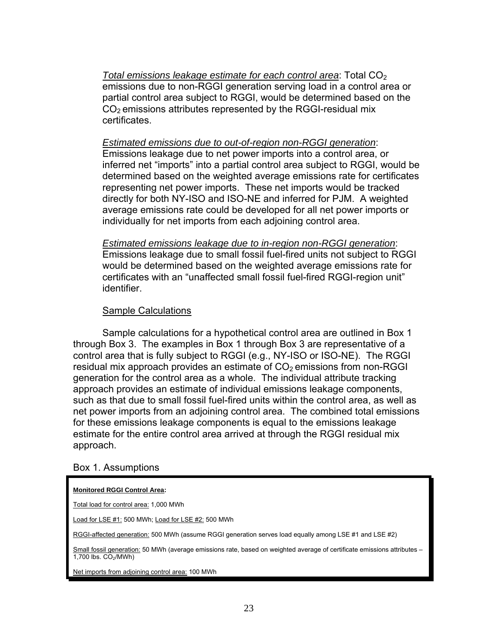*Total emissions leakage estimate for each control area: Total CO<sub>2</sub>* emissions due to non-RGGI generation serving load in a control area or partial control area subject to RGGI, would be determined based on the  $CO<sub>2</sub>$  emissions attributes represented by the RGGI-residual mix certificates.

### *Estimated emissions due to out-of-region non-RGGI generation*:

Emissions leakage due to net power imports into a control area, or inferred net "imports" into a partial control area subject to RGGI, would be determined based on the weighted average emissions rate for certificates representing net power imports. These net imports would be tracked directly for both NY-ISO and ISO-NE and inferred for PJM. A weighted average emissions rate could be developed for all net power imports or individually for net imports from each adjoining control area.

*Estimated emissions leakage due to in-region non-RGGI generation*: Emissions leakage due to small fossil fuel-fired units not subject to RGGI would be determined based on the weighted average emissions rate for certificates with an "unaffected small fossil fuel-fired RGGI-region unit" identifier.

### Sample Calculations

Sample calculations for a hypothetical control area are outlined in Box 1 through Box 3. The examples in Box 1 through Box 3 are representative of a control area that is fully subject to RGGI (e.g., NY-ISO or ISO-NE). The RGGI residual mix approach provides an estimate of  $CO<sub>2</sub>$  emissions from non-RGGI generation for the control area as a whole. The individual attribute tracking approach provides an estimate of individual emissions leakage components, such as that due to small fossil fuel-fired units within the control area, as well as net power imports from an adjoining control area. The combined total emissions for these emissions leakage components is equal to the emissions leakage estimate for the entire control area arrived at through the RGGI residual mix approach.

### Box 1. Assumptions

#### **Monitored RGGI Control Area:**

Total load for control area: 1,000 MWh

Load for LSE #1: 500 MWh; Load for LSE #2: 500 MWh

RGGI-affected generation: 500 MWh (assume RGGI generation serves load equally among LSE #1 and LSE #2)

Small fossil generation: 50 MWh (average emissions rate, based on weighted average of certificate emissions attributes –  $1,700$  lbs.  $CO<sub>2</sub>/MWh$ )

Net imports from adjoining control area: 100 MWh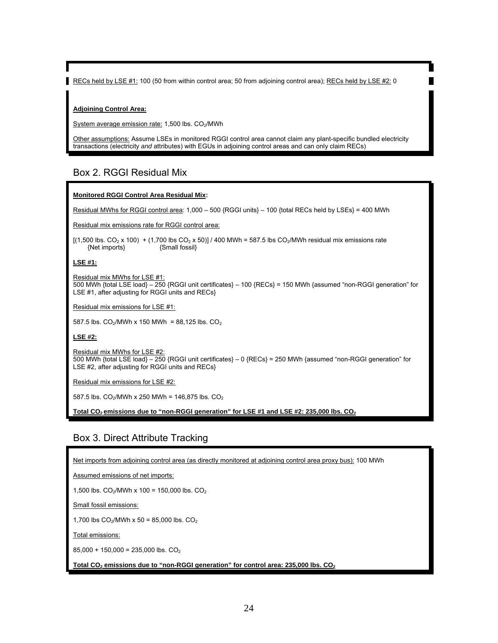RECs held by LSE #1: 100 (50 from within control area; 50 from adjoining control area); RECs held by LSE #2: 0

#### **Adjoining Control Area:**

System average emission rate: 1,500 lbs. CO<sub>2</sub>/MWh

Other assumptions: Assume LSEs in monitored RGGI control area cannot claim any plant-specific bundled electricity transactions (electricity *and* attributes) with EGUs in adjoining control areas and can only claim RECs)

### Box 2. RGGI Residual Mix

#### **Monitored RGGI Control Area Residual Mix:**

Residual MWhs for RGGI control area: 1,000 - 500 {RGGI units} - 100 {total RECs held by LSEs} = 400 MWh

Residual mix emissions rate for RGGI control area:

[(1,500 lbs. CO<sub>2</sub> x 100) + (1,700 lbs CO<sub>2</sub> x 50)] / 400 MWh = 587.5 lbs CO<sub>2</sub>/MWh residual mix emissions rate<br>{\small fossil} {Small fossil}  ${Net$  imports $}$ 

#### **LSE #1:**

Residual mix MWhs for LSE #1: 500 MWh {total LSE load} – 250 {RGGI unit certificates} – 100 {RECs} = 150 MWh {assumed "non-RGGI generation" for LSE #1, after adjusting for RGGI units and RECs}

Residual mix emissions for LSE #1:

587.5 lbs.  $CO_2$ /MWh x 150 MWh = 88,125 lbs.  $CO_2$ 

**LSE #2:**

Residual mix MWhs for LSE #2: 500 MWh {total LSE load} – 250 {RGGI unit certificates} – 0 {RECs} = 250 MWh {assumed "non-RGGI generation" for LSE #2, after adjusting for RGGI units and RECs}

Residual mix emissions for LSE #2:

587.5 lbs.  $CO_2$ /MWh x 250 MWh = 146,875 lbs.  $CO_2$ 

Total CO<sub>2</sub> emissions due to "non-RGGI generation" for LSE #1 and LSE #2: 235,000 lbs. CO<sub>2</sub>

### Box 3. Direct Attribute Tracking

Net imports from adjoining control area (as directly monitored at adjoining control area proxy bus): 100 MWh

Assumed emissions of net imports:

1,500 lbs.  $CO_2$ /MWh x 100 = 150,000 lbs.  $CO_2$ 

Small fossil emissions:

1,700 lbs  $CO_2$ /MWh x 50 = 85,000 lbs.  $CO_2$ 

Total emissions:

 $85,000 + 150,000 = 235,000$  lbs.  $CO<sub>2</sub>$ 

Total CO<sub>2</sub> emissions due to "non-RGGI generation" for control area: 235,000 lbs. CO<sub>2</sub>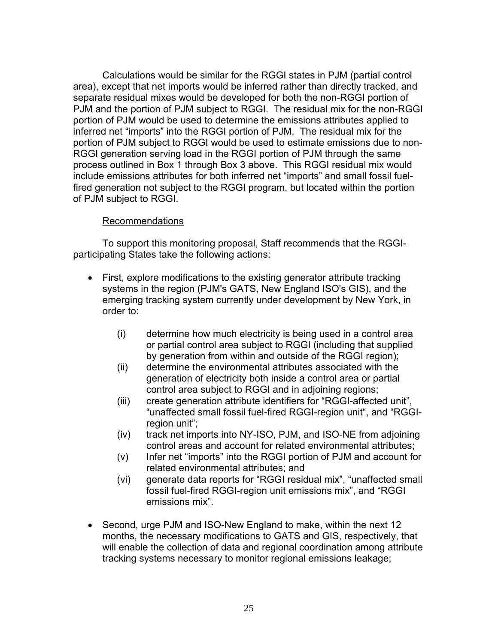Calculations would be similar for the RGGI states in PJM (partial control area), except that net imports would be inferred rather than directly tracked, and separate residual mixes would be developed for both the non-RGGI portion of PJM and the portion of PJM subject to RGGI. The residual mix for the non-RGGI portion of PJM would be used to determine the emissions attributes applied to inferred net "imports" into the RGGI portion of PJM. The residual mix for the portion of PJM subject to RGGI would be used to estimate emissions due to non-RGGI generation serving load in the RGGI portion of PJM through the same process outlined in Box 1 through Box 3 above. This RGGI residual mix would include emissions attributes for both inferred net "imports" and small fossil fuelfired generation not subject to the RGGI program, but located within the portion of PJM subject to RGGI.

# Recommendations

To support this monitoring proposal, Staff recommends that the RGGIparticipating States take the following actions:

- First, explore modifications to the existing generator attribute tracking systems in the region (PJM's GATS, New England ISO's GIS), and the emerging tracking system currently under development by New York, in order to:
	- (i) determine how much electricity is being used in a control area or partial control area subject to RGGI (including that supplied by generation from within and outside of the RGGI region);
	- (ii) determine the environmental attributes associated with the generation of electricity both inside a control area or partial control area subject to RGGI and in adjoining regions;
	- (iii) create generation attribute identifiers for "RGGI-affected unit", "unaffected small fossil fuel-fired RGGI-region unit", and "RGGIregion unit";
	- (iv) track net imports into NY-ISO, PJM, and ISO-NE from adjoining control areas and account for related environmental attributes;
	- (v) Infer net "imports" into the RGGI portion of PJM and account for related environmental attributes; and
	- (vi) generate data reports for "RGGI residual mix", "unaffected small fossil fuel-fired RGGI-region unit emissions mix", and "RGGI emissions mix".
- Second, urge PJM and ISO-New England to make, within the next 12 months, the necessary modifications to GATS and GIS, respectively, that will enable the collection of data and regional coordination among attribute tracking systems necessary to monitor regional emissions leakage;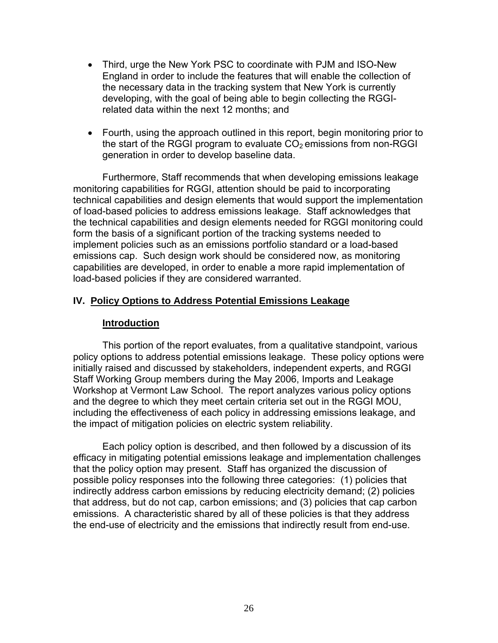- Third, urge the New York PSC to coordinate with PJM and ISO-New England in order to include the features that will enable the collection of the necessary data in the tracking system that New York is currently developing, with the goal of being able to begin collecting the RGGIrelated data within the next 12 months; and
- Fourth, using the approach outlined in this report, begin monitoring prior to the start of the RGGI program to evaluate  $CO<sub>2</sub>$  emissions from non-RGGI generation in order to develop baseline data.

Furthermore, Staff recommends that when developing emissions leakage monitoring capabilities for RGGI, attention should be paid to incorporating technical capabilities and design elements that would support the implementation of load-based policies to address emissions leakage. Staff acknowledges that the technical capabilities and design elements needed for RGGI monitoring could form the basis of a significant portion of the tracking systems needed to implement policies such as an emissions portfolio standard or a load-based emissions cap. Such design work should be considered now, as monitoring capabilities are developed, in order to enable a more rapid implementation of load-based policies if they are considered warranted.

# **IV. Policy Options to Address Potential Emissions Leakage**

### **Introduction**

 This portion of the report evaluates, from a qualitative standpoint, various policy options to address potential emissions leakage. These policy options were initially raised and discussed by stakeholders, independent experts, and RGGI Staff Working Group members during the May 2006, Imports and Leakage Workshop at Vermont Law School. The report analyzes various policy options and the degree to which they meet certain criteria set out in the RGGI MOU, including the effectiveness of each policy in addressing emissions leakage, and the impact of mitigation policies on electric system reliability.

Each policy option is described, and then followed by a discussion of its efficacy in mitigating potential emissions leakage and implementation challenges that the policy option may present. Staff has organized the discussion of possible policy responses into the following three categories: (1) policies that indirectly address carbon emissions by reducing electricity demand; (2) policies that address, but do not cap, carbon emissions; and (3) policies that cap carbon emissions. A characteristic shared by all of these policies is that they address the end-use of electricity and the emissions that indirectly result from end-use.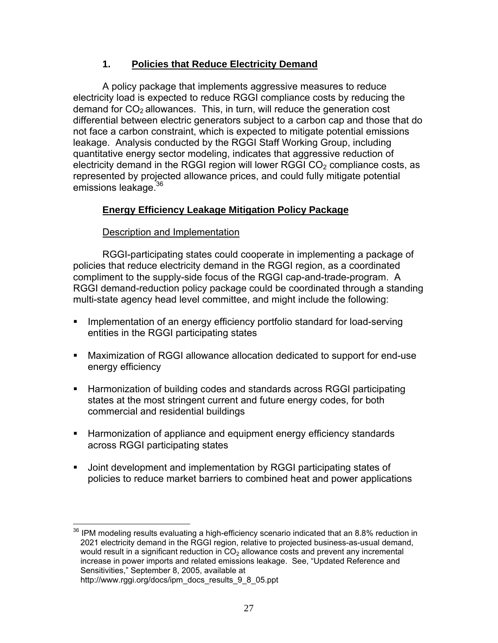# **1. Policies that Reduce Electricity Demand**

A policy package that implements aggressive measures to reduce electricity load is expected to reduce RGGI compliance costs by reducing the demand for  $CO<sub>2</sub>$  allowances. This, in turn, will reduce the generation cost differential between electric generators subject to a carbon cap and those that do not face a carbon constraint, which is expected to mitigate potential emissions leakage. Analysis conducted by the RGGI Staff Working Group, including quantitative energy sector modeling, indicates that aggressive reduction of electricity demand in the RGGI region will lower RGGI  $CO<sub>2</sub>$  compliance costs, as represented by projected allowance prices, and could fully mitigate potential emissions leakage.<sup>36</sup>

# **Energy Efficiency Leakage Mitigation Policy Package**

# Description and Implementation

RGGI-participating states could cooperate in implementing a package of policies that reduce electricity demand in the RGGI region, as a coordinated compliment to the supply-side focus of the RGGI cap-and-trade-program. A RGGI demand-reduction policy package could be coordinated through a standing multi-state agency head level committee, and might include the following:

- **IMPLEMENT IMPLEMENT IMPLEM** Implementation of an energy efficiency portfolio standard for load-serving entities in the RGGI participating states
- Maximization of RGGI allowance allocation dedicated to support for end-use energy efficiency
- Harmonization of building codes and standards across RGGI participating states at the most stringent current and future energy codes, for both commercial and residential buildings
- **Harmonization of appliance and equipment energy efficiency standards** across RGGI participating states
- Joint development and implementation by RGGI participating states of policies to reduce market barriers to combined heat and power applications

 $\overline{a}$ <sup>36</sup> IPM modeling results evaluating a high-efficiency scenario indicated that an 8.8% reduction in 2021 electricity demand in the RGGI region, relative to projected business-as-usual demand, would result in a significant reduction in CO<sub>2</sub> allowance costs and prevent any incremental increase in power imports and related emissions leakage. See, "Updated Reference and Sensitivities," September 8, 2005, available at http://www.rggi.org/docs/ipm\_docs\_results\_9\_8\_05.ppt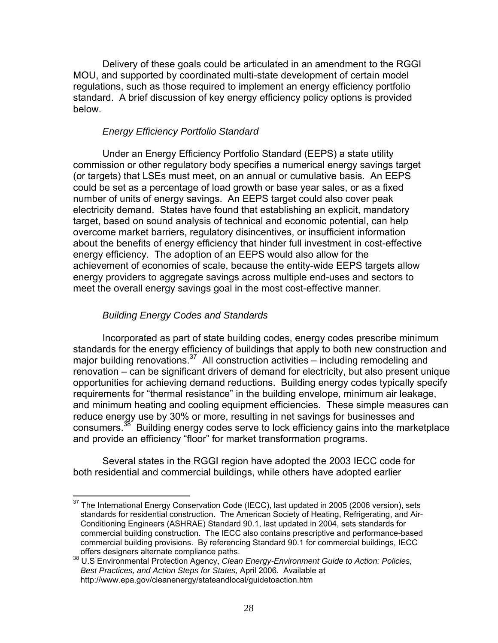Delivery of these goals could be articulated in an amendment to the RGGI MOU, and supported by coordinated multi-state development of certain model regulations, such as those required to implement an energy efficiency portfolio standard. A brief discussion of key energy efficiency policy options is provided below.

# *Energy Efficiency Portfolio Standard*

Under an Energy Efficiency Portfolio Standard (EEPS) a state utility commission or other regulatory body specifies a numerical energy savings target (or targets) that LSEs must meet, on an annual or cumulative basis. An EEPS could be set as a percentage of load growth or base year sales, or as a fixed number of units of energy savings. An EEPS target could also cover peak electricity demand. States have found that establishing an explicit, mandatory target, based on sound analysis of technical and economic potential, can help overcome market barriers, regulatory disincentives, or insufficient information about the benefits of energy efficiency that hinder full investment in cost-effective energy efficiency. The adoption of an EEPS would also allow for the achievement of economies of scale, because the entity-wide EEPS targets allow energy providers to aggregate savings across multiple end-uses and sectors to meet the overall energy savings goal in the most cost-effective manner.

# *Building Energy Codes and Standards*

 $\overline{a}$ 

 Incorporated as part of state building codes, energy codes prescribe minimum standards for the energy efficiency of buildings that apply to both new construction and major building renovations.  $37$  All construction activities – including remodeling and renovation – can be significant drivers of demand for electricity, but also present unique opportunities for achieving demand reductions. Building energy codes typically specify requirements for "thermal resistance" in the building envelope, minimum air leakage, and minimum heating and cooling equipment efficiencies. These simple measures can reduce energy use by 30% or more, resulting in net savings for businesses and consumers.<sup>38</sup> Building energy codes serve to lock efficiency gains into the marketplace and provide an efficiency "floor" for market transformation programs.

Several states in the RGGI region have adopted the 2003 IECC code for both residential and commercial buildings, while others have adopted earlier

 $37$  The International Energy Conservation Code (IECC), last updated in 2005 (2006 version), sets standards for residential construction. The American Society of Heating, Refrigerating, and Air-Conditioning Engineers (ASHRAE) Standard 90.1, last updated in 2004, sets standards for commercial building construction. The IECC also contains prescriptive and performance-based commercial building provisions. By referencing Standard 90.1 for commercial buildings, IECC

offers designers alternate compliance paths. 38 U.S Environmental Protection Agency, *Clean Energy-Environment Guide to Action: Policies, Best Practices, and Action Steps for States,* April 2006. Available at http://www.epa.gov/cleanenergy/stateandlocal/guidetoaction.htm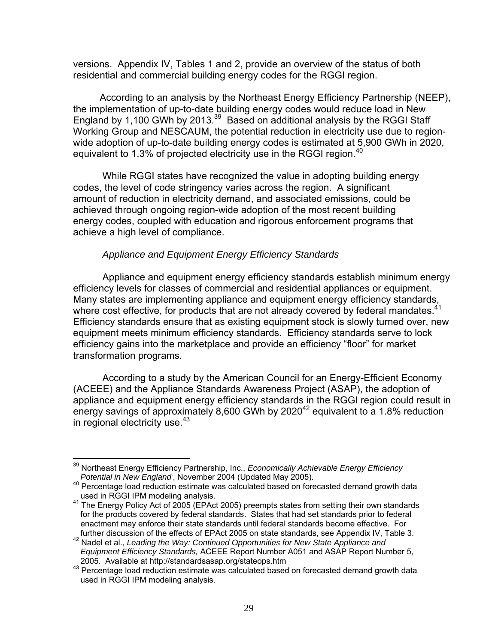versions. Appendix IV, Tables 1 and 2, provide an overview of the status of both residential and commercial building energy codes for the RGGI region.

 According to an analysis by the Northeast Energy Efficiency Partnership (NEEP), the implementation of up-to-date building energy codes would reduce load in New England by 1,100 GWh by 2013. $39$  Based on additional analysis by the RGGI Staff Working Group and NESCAUM, the potential reduction in electricity use due to regionwide adoption of up-to-date building energy codes is estimated at 5,900 GWh in 2020, equivalent to 1.3% of projected electricity use in the RGGI region. $40$ 

While RGGI states have recognized the value in adopting building energy codes, the level of code stringency varies across the region. A significant amount of reduction in electricity demand, and associated emissions, could be achieved through ongoing region-wide adoption of the most recent building energy codes, coupled with education and rigorous enforcement programs that achieve a high level of compliance.

### *Appliance and Equipment Energy Efficiency Standards*

 Appliance and equipment energy efficiency standards establish minimum energy efficiency levels for classes of commercial and residential appliances or equipment. Many states are implementing appliance and equipment energy efficiency standards, where cost effective, for products that are not already covered by federal mandates.<sup>41</sup> Efficiency standards ensure that as existing equipment stock is slowly turned over, new equipment meets minimum efficiency standards. Efficiency standards serve to lock efficiency gains into the marketplace and provide an efficiency "floor" for market transformation programs.

 According to a study by the American Council for an Energy-Efficient Economy (ACEEE) and the Appliance Standards Awareness Project (ASAP), the adoption of appliance and equipment energy efficiency standards in the RGGI region could result in energy savings of approximately 8,600 GWh by 2020<sup>42</sup> equivalent to a 1.8% reduction in regional electricity use.<sup>43</sup>

<sup>1</sup> 39 Northeast Energy Efficiency Partnership, Inc., *Economically Achievable Energy Efficiency Potential in New England*.

 $40$  Percentage load reduction estimate was calculated based on forecasted demand growth data used in RGGI IPM modeling analysis.

<sup>41</sup> The Energy Policy Act of 2005 (EPAct 2005) preempts states from setting their own standards for the products covered by federal standards. States that had set standards prior to federal enactment may enforce their state standards until federal standards become effective. For further discussion of the effects of EPAct 2005 on state standards, see Appendix IV, Table 3.

further discussion of the effects of the effects of the effects of the effects of and the State Appliance and <sup>42</sup> Nadel et al., Leading the Way: Continued Opportunities for New State Appliance and *Equipment Efficiency Standards,* ACEEE Report Number A051 and ASAP Report Number 5, 2005. Available at http://standardsasap.org/stateops.htm<br><sup>43</sup> Percentage load reduction estimate was calculated based on forecasted demand growth data

used in RGGI IPM modeling analysis.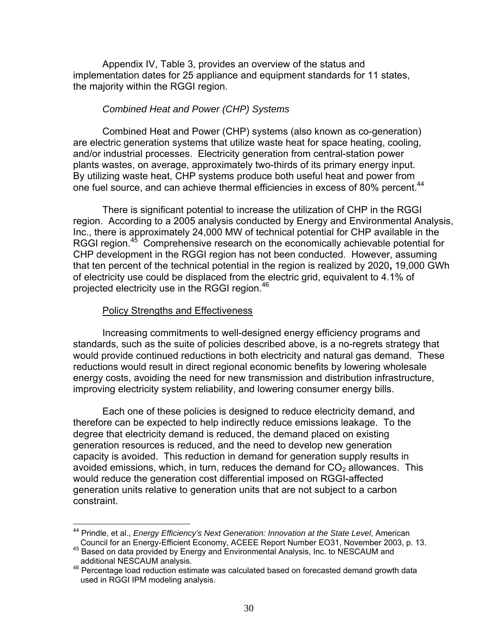Appendix IV, Table 3, provides an overview of the status and implementation dates for 25 appliance and equipment standards for 11 states, the majority within the RGGI region.

### *Combined Heat and Power (CHP) Systems*

Combined Heat and Power (CHP) systems (also known as co-generation) are electric generation systems that utilize waste heat for space heating, cooling, and/or industrial processes. Electricity generation from central-station power plants wastes, on average, approximately two-thirds of its primary energy input. By utilizing waste heat, CHP systems produce both useful heat and power from one fuel source, and can achieve thermal efficiencies in excess of 80% percent.<sup>44</sup>

 There is significant potential to increase the utilization of CHP in the RGGI region. According to a 2005 analysis conducted by Energy and Environmental Analysis, Inc., there is approximately 24,000 MW of technical potential for CHP available in the RGGI region.<sup>45</sup> Comprehensive research on the economically achievable potential for CHP development in the RGGI region has not been conducted. However, assuming that ten percent of the technical potential in the region is realized by 2020**,** 19,000 GWh of electricity use could be displaced from the electric grid, equivalent to 4.1% of projected electricity use in the RGGI region.<sup>46</sup>

# Policy Strengths and Effectiveness

 Increasing commitments to well-designed energy efficiency programs and standards, such as the suite of policies described above, is a no-regrets strategy that would provide continued reductions in both electricity and natural gas demand. These reductions would result in direct regional economic benefits by lowering wholesale energy costs, avoiding the need for new transmission and distribution infrastructure, improving electricity system reliability, and lowering consumer energy bills.

Each one of these policies is designed to reduce electricity demand, and therefore can be expected to help indirectly reduce emissions leakage. To the degree that electricity demand is reduced, the demand placed on existing generation resources is reduced, and the need to develop new generation capacity is avoided. This reduction in demand for generation supply results in avoided emissions, which, in turn, reduces the demand for  $CO<sub>2</sub>$  allowances. This would reduce the generation cost differential imposed on RGGI-affected generation units relative to generation units that are not subject to a carbon constraint.

<sup>1</sup> 44 Prindle, et al., *Energy Efficiency's Next Generation: Innovation at the State Level*, American

Council for an Energy-Efficient Economy, ACEEE Report Number EO31, November 2003, p. 13.<br><sup>45</sup> Based on data provided by Energy and Environmental Analysis, Inc. to NESCAUM and additional NESCAUM analysis.

additional NESCA (St. analysis).<br><sup>46</sup> Percentage load reduction estimate was calculated based on forecasted demand growth data used in RGGI IPM modeling analysis.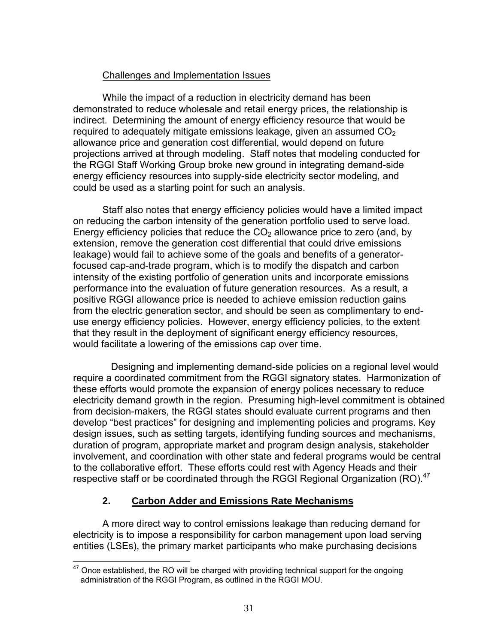### Challenges and Implementation Issues

 While the impact of a reduction in electricity demand has been demonstrated to reduce wholesale and retail energy prices, the relationship is indirect. Determining the amount of energy efficiency resource that would be required to adequately mitigate emissions leakage, given an assumed  $CO<sub>2</sub>$ allowance price and generation cost differential, would depend on future projections arrived at through modeling. Staff notes that modeling conducted for the RGGI Staff Working Group broke new ground in integrating demand-side energy efficiency resources into supply-side electricity sector modeling, and could be used as a starting point for such an analysis.

Staff also notes that energy efficiency policies would have a limited impact on reducing the carbon intensity of the generation portfolio used to serve load. Energy efficiency policies that reduce the  $CO<sub>2</sub>$  allowance price to zero (and, by extension, remove the generation cost differential that could drive emissions leakage) would fail to achieve some of the goals and benefits of a generatorfocused cap-and-trade program, which is to modify the dispatch and carbon intensity of the existing portfolio of generation units and incorporate emissions performance into the evaluation of future generation resources. As a result, a positive RGGI allowance price is needed to achieve emission reduction gains from the electric generation sector, and should be seen as complimentary to enduse energy efficiency policies. However, energy efficiency policies, to the extent that they result in the deployment of significant energy efficiency resources, would facilitate a lowering of the emissions cap over time.

 Designing and implementing demand-side policies on a regional level would require a coordinated commitment from the RGGI signatory states. Harmonization of these efforts would promote the expansion of energy polices necessary to reduce electricity demand growth in the region. Presuming high-level commitment is obtained from decision-makers, the RGGI states should evaluate current programs and then develop "best practices" for designing and implementing policies and programs. Key design issues, such as setting targets, identifying funding sources and mechanisms, duration of program, appropriate market and program design analysis, stakeholder involvement, and coordination with other state and federal programs would be central to the collaborative effort. These efforts could rest with Agency Heads and their respective staff or be coordinated through the RGGI Regional Organization (RO).<sup>47</sup>

# **2. Carbon Adder and Emissions Rate Mechanisms**

 A more direct way to control emissions leakage than reducing demand for electricity is to impose a responsibility for carbon management upon load serving entities (LSEs), the primary market participants who make purchasing decisions

<sup>1</sup>  $47$  Once established, the RO will be charged with providing technical support for the ongoing administration of the RGGI Program, as outlined in the RGGI MOU.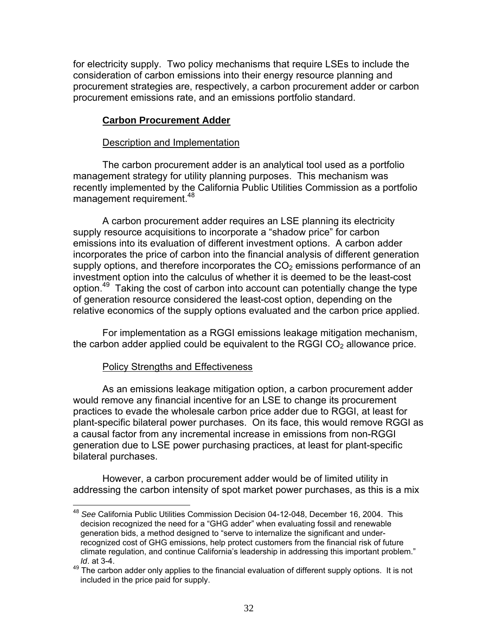for electricity supply. Two policy mechanisms that require LSEs to include the consideration of carbon emissions into their energy resource planning and procurement strategies are, respectively, a carbon procurement adder or carbon procurement emissions rate, and an emissions portfolio standard.

# **Carbon Procurement Adder**

### Description and Implementation

The carbon procurement adder is an analytical tool used as a portfolio management strategy for utility planning purposes. This mechanism was recently implemented by the California Public Utilities Commission as a portfolio management requirement.<sup>48</sup>

A carbon procurement adder requires an LSE planning its electricity supply resource acquisitions to incorporate a "shadow price" for carbon emissions into its evaluation of different investment options. A carbon adder incorporates the price of carbon into the financial analysis of different generation supply options, and therefore incorporates the  $CO<sub>2</sub>$  emissions performance of an investment option into the calculus of whether it is deemed to be the least-cost option.<sup>49</sup> Taking the cost of carbon into account can potentially change the type of generation resource considered the least-cost option, depending on the relative economics of the supply options evaluated and the carbon price applied.

 For implementation as a RGGI emissions leakage mitigation mechanism, the carbon adder applied could be equivalent to the RGGI  $CO<sub>2</sub>$  allowance price.

### Policy Strengths and Effectiveness

As an emissions leakage mitigation option, a carbon procurement adder would remove any financial incentive for an LSE to change its procurement practices to evade the wholesale carbon price adder due to RGGI, at least for plant-specific bilateral power purchases. On its face, this would remove RGGI as a causal factor from any incremental increase in emissions from non-RGGI generation due to LSE power purchasing practices, at least for plant-specific bilateral purchases.

However, a carbon procurement adder would be of limited utility in addressing the carbon intensity of spot market power purchases, as this is a mix

<sup>1</sup> <sup>48</sup> *See* California Public Utilities Commission Decision 04-12-048, December 16, 2004. This decision recognized the need for a "GHG adder" when evaluating fossil and renewable generation bids, a method designed to "serve to internalize the significant and underrecognized cost of GHG emissions, help protect customers from the financial risk of future climate regulation, and continue California's leadership in addressing this important problem." *Id*. at 3-4.

 $49$  The carbon adder only applies to the financial evaluation of different supply options. It is not included in the price paid for supply.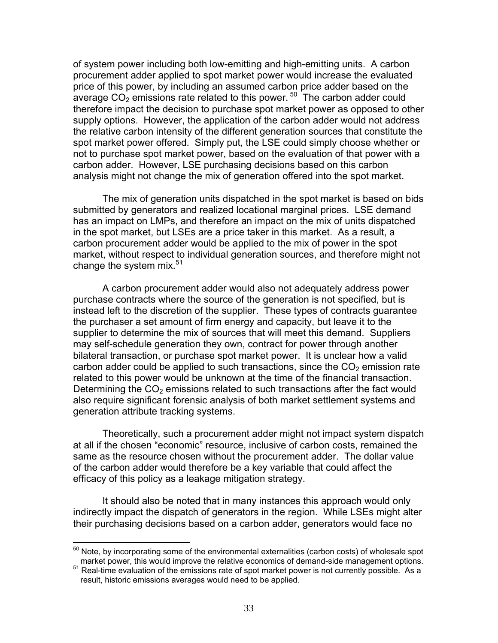of system power including both low-emitting and high-emitting units. A carbon procurement adder applied to spot market power would increase the evaluated price of this power, by including an assumed carbon price adder based on the average  $CO<sub>2</sub>$  emissions rate related to this power.  $50$  The carbon adder could therefore impact the decision to purchase spot market power as opposed to other supply options. However, the application of the carbon adder would not address the relative carbon intensity of the different generation sources that constitute the spot market power offered. Simply put, the LSE could simply choose whether or not to purchase spot market power, based on the evaluation of that power with a carbon adder. However, LSE purchasing decisions based on this carbon analysis might not change the mix of generation offered into the spot market.

The mix of generation units dispatched in the spot market is based on bids submitted by generators and realized locational marginal prices. LSE demand has an impact on LMPs, and therefore an impact on the mix of units dispatched in the spot market, but LSEs are a price taker in this market. As a result, a carbon procurement adder would be applied to the mix of power in the spot market, without respect to individual generation sources, and therefore might not change the system mix. $51$ 

A carbon procurement adder would also not adequately address power purchase contracts where the source of the generation is not specified, but is instead left to the discretion of the supplier. These types of contracts guarantee the purchaser a set amount of firm energy and capacity, but leave it to the supplier to determine the mix of sources that will meet this demand. Suppliers may self-schedule generation they own, contract for power through another bilateral transaction, or purchase spot market power. It is unclear how a valid carbon adder could be applied to such transactions, since the  $CO<sub>2</sub>$  emission rate related to this power would be unknown at the time of the financial transaction. Determining the  $CO<sub>2</sub>$  emissions related to such transactions after the fact would also require significant forensic analysis of both market settlement systems and generation attribute tracking systems.

Theoretically, such a procurement adder might not impact system dispatch at all if the chosen "economic" resource, inclusive of carbon costs, remained the same as the resource chosen without the procurement adder. The dollar value of the carbon adder would therefore be a key variable that could affect the efficacy of this policy as a leakage mitigation strategy.

It should also be noted that in many instances this approach would only indirectly impact the dispatch of generators in the region. While LSEs might alter their purchasing decisions based on a carbon adder, generators would face no

 $\overline{a}$ 

 $50$  Note, by incorporating some of the environmental externalities (carbon costs) of wholesale spot

market power, this would improve the relative economics of demand-side management options.<br><sup>51</sup> Real-time evaluation of the emissions rate of spot market power is not currently possible. As a result, historic emissions averages would need to be applied.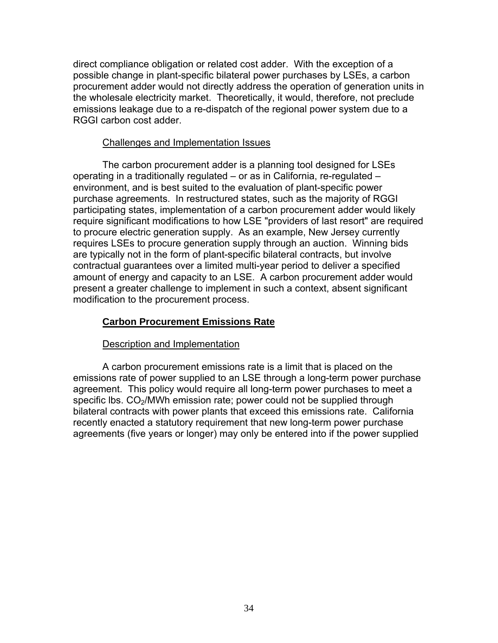direct compliance obligation or related cost adder. With the exception of a possible change in plant-specific bilateral power purchases by LSEs, a carbon procurement adder would not directly address the operation of generation units in the wholesale electricity market. Theoretically, it would, therefore, not preclude emissions leakage due to a re-dispatch of the regional power system due to a RGGI carbon cost adder.

### Challenges and Implementation Issues

 The carbon procurement adder is a planning tool designed for LSEs operating in a traditionally regulated – or as in California, re-regulated – environment, and is best suited to the evaluation of plant-specific power purchase agreements. In restructured states, such as the majority of RGGI participating states, implementation of a carbon procurement adder would likely require significant modifications to how LSE "providers of last resort" are required to procure electric generation supply. As an example, New Jersey currently requires LSEs to procure generation supply through an auction. Winning bids are typically not in the form of plant-specific bilateral contracts, but involve contractual guarantees over a limited multi-year period to deliver a specified amount of energy and capacity to an LSE. A carbon procurement adder would present a greater challenge to implement in such a context, absent significant modification to the procurement process.

# **Carbon Procurement Emissions Rate**

### Description and Implementation

A carbon procurement emissions rate is a limit that is placed on the emissions rate of power supplied to an LSE through a long-term power purchase agreement. This policy would require all long-term power purchases to meet a specific lbs. CO<sub>2</sub>/MWh emission rate; power could not be supplied through bilateral contracts with power plants that exceed this emissions rate. California recently enacted a statutory requirement that new long-term power purchase agreements (five years or longer) may only be entered into if the power supplied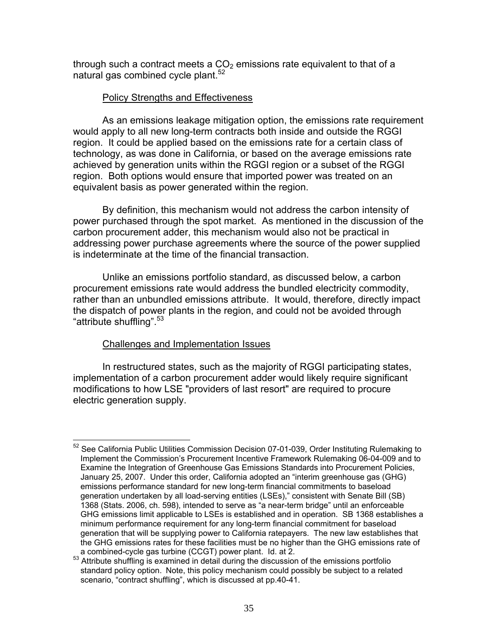through such a contract meets a  $CO<sub>2</sub>$  emissions rate equivalent to that of a natural gas combined cycle plant.<sup>52</sup>

### **Policy Strengths and Effectiveness**

 As an emissions leakage mitigation option, the emissions rate requirement would apply to all new long-term contracts both inside and outside the RGGI region. It could be applied based on the emissions rate for a certain class of technology, as was done in California, or based on the average emissions rate achieved by generation units within the RGGI region or a subset of the RGGI region. Both options would ensure that imported power was treated on an equivalent basis as power generated within the region.

By definition, this mechanism would not address the carbon intensity of power purchased through the spot market. As mentioned in the discussion of the carbon procurement adder, this mechanism would also not be practical in addressing power purchase agreements where the source of the power supplied is indeterminate at the time of the financial transaction.

Unlike an emissions portfolio standard, as discussed below, a carbon procurement emissions rate would address the bundled electricity commodity, rather than an unbundled emissions attribute. It would, therefore, directly impact the dispatch of power plants in the region, and could not be avoided through "attribute shuffling".<sup>53</sup>

# Challenges and Implementation Issues

In restructured states, such as the majority of RGGI participating states, implementation of a carbon procurement adder would likely require significant modifications to how LSE "providers of last resort" are required to procure electric generation supply.

 $\overline{a}$  $52$  See California Public Utilities Commission Decision 07-01-039, Order Instituting Rulemaking to Implement the Commission's Procurement Incentive Framework Rulemaking 06-04-009 and to Examine the Integration of Greenhouse Gas Emissions Standards into Procurement Policies, January 25, 2007. Under this order, California adopted an "interim greenhouse gas (GHG) emissions performance standard for new long-term financial commitments to baseload generation undertaken by all load-serving entities (LSEs)," consistent with Senate Bill (SB) 1368 (Stats. 2006, ch. 598), intended to serve as "a near-term bridge" until an enforceable GHG emissions limit applicable to LSEs is established and in operation. SB 1368 establishes a minimum performance requirement for any long-term financial commitment for baseload generation that will be supplying power to California ratepayers. The new law establishes that the GHG emissions rates for these facilities must be no higher than the GHG emissions rate of a combined-cycle gas turbine (CCGT) power plant. Id. at 2.

 $\frac{2}{3}$  Attribute shuffling is examined in detail during the discussion of the emissions portfolio standard policy option. Note, this policy mechanism could possibly be subject to a related scenario, "contract shuffling", which is discussed at pp.40-41.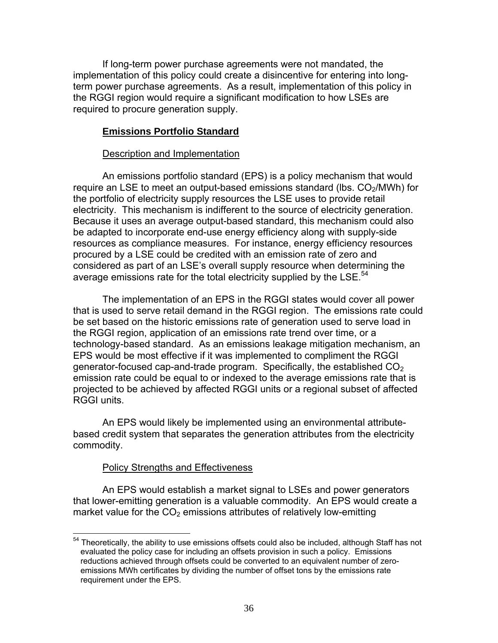If long-term power purchase agreements were not mandated, the implementation of this policy could create a disincentive for entering into longterm power purchase agreements. As a result, implementation of this policy in the RGGI region would require a significant modification to how LSEs are required to procure generation supply.

# **Emissions Portfolio Standard**

### Description and Implementation

 An emissions portfolio standard (EPS) is a policy mechanism that would require an LSE to meet an output-based emissions standard (lbs.  $CO<sub>2</sub>/MWh$ ) for the portfolio of electricity supply resources the LSE uses to provide retail electricity. This mechanism is indifferent to the source of electricity generation. Because it uses an average output-based standard, this mechanism could also be adapted to incorporate end-use energy efficiency along with supply-side resources as compliance measures. For instance, energy efficiency resources procured by a LSE could be credited with an emission rate of zero and considered as part of an LSE's overall supply resource when determining the average emissions rate for the total electricity supplied by the  $LSE$ .<sup>54</sup>

 The implementation of an EPS in the RGGI states would cover all power that is used to serve retail demand in the RGGI region. The emissions rate could be set based on the historic emissions rate of generation used to serve load in the RGGI region, application of an emissions rate trend over time, or a technology-based standard. As an emissions leakage mitigation mechanism, an EPS would be most effective if it was implemented to compliment the RGGI generator-focused cap-and-trade program. Specifically, the established  $CO<sub>2</sub>$ emission rate could be equal to or indexed to the average emissions rate that is projected to be achieved by affected RGGI units or a regional subset of affected RGGI units.

An EPS would likely be implemented using an environmental attributebased credit system that separates the generation attributes from the electricity commodity.

# Policy Strengths and Effectiveness

An EPS would establish a market signal to LSEs and power generators that lower-emitting generation is a valuable commodity. An EPS would create a market value for the  $CO<sub>2</sub>$  emissions attributes of relatively low-emitting

<sup>1</sup> <sup>54</sup> Theoretically, the ability to use emissions offsets could also be included, although Staff has not evaluated the policy case for including an offsets provision in such a policy. Emissions reductions achieved through offsets could be converted to an equivalent number of zeroemissions MWh certificates by dividing the number of offset tons by the emissions rate requirement under the EPS.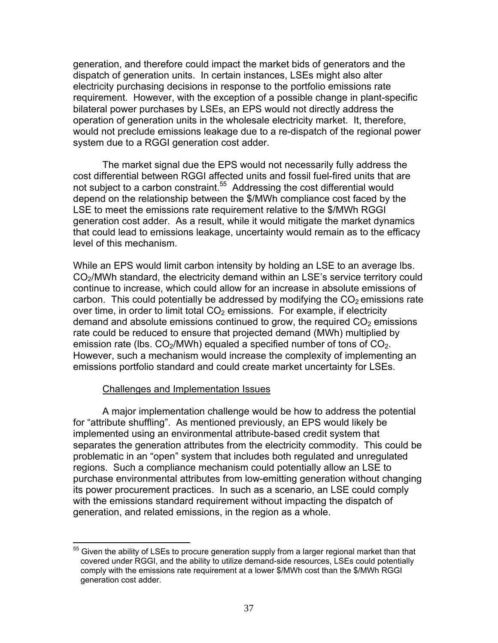generation, and therefore could impact the market bids of generators and the dispatch of generation units. In certain instances, LSEs might also alter electricity purchasing decisions in response to the portfolio emissions rate requirement. However, with the exception of a possible change in plant-specific bilateral power purchases by LSEs, an EPS would not directly address the operation of generation units in the wholesale electricity market. It, therefore, would not preclude emissions leakage due to a re-dispatch of the regional power system due to a RGGI generation cost adder.

The market signal due the EPS would not necessarily fully address the cost differential between RGGI affected units and fossil fuel-fired units that are not subject to a carbon constraint.<sup>55</sup> Addressing the cost differential would depend on the relationship between the \$/MWh compliance cost faced by the LSE to meet the emissions rate requirement relative to the \$/MWh RGGI generation cost adder. As a result, while it would mitigate the market dynamics that could lead to emissions leakage, uncertainty would remain as to the efficacy level of this mechanism.

While an EPS would limit carbon intensity by holding an LSE to an average lbs. CO<sub>2</sub>/MWh standard, the electricity demand within an LSE's service territory could continue to increase, which could allow for an increase in absolute emissions of carbon. This could potentially be addressed by modifying the  $CO<sub>2</sub>$  emissions rate over time, in order to limit total  $CO<sub>2</sub>$  emissions. For example, if electricity demand and absolute emissions continued to grow, the required  $CO<sub>2</sub>$  emissions rate could be reduced to ensure that projected demand (MWh) multiplied by emission rate (lbs.  $CO<sub>2</sub>/MWh$ ) equaled a specified number of tons of  $CO<sub>2</sub>$ . However, such a mechanism would increase the complexity of implementing an emissions portfolio standard and could create market uncertainty for LSEs.

### Challenges and Implementation Issues

A major implementation challenge would be how to address the potential for "attribute shuffling". As mentioned previously, an EPS would likely be implemented using an environmental attribute-based credit system that separates the generation attributes from the electricity commodity. This could be problematic in an "open" system that includes both regulated and unregulated regions. Such a compliance mechanism could potentially allow an LSE to purchase environmental attributes from low-emitting generation without changing its power procurement practices. In such as a scenario, an LSE could comply with the emissions standard requirement without impacting the dispatch of generation, and related emissions, in the region as a whole.

<sup>1</sup>  $55$  Given the ability of LSEs to procure generation supply from a larger regional market than that covered under RGGI, and the ability to utilize demand-side resources, LSEs could potentially comply with the emissions rate requirement at a lower \$/MWh cost than the \$/MWh RGGI generation cost adder.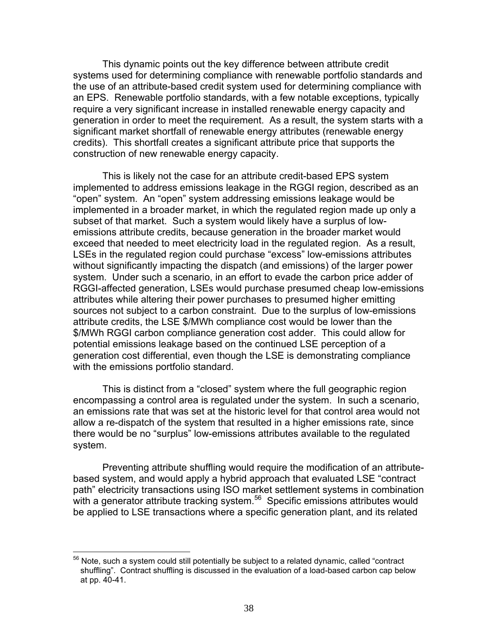This dynamic points out the key difference between attribute credit systems used for determining compliance with renewable portfolio standards and the use of an attribute-based credit system used for determining compliance with an EPS. Renewable portfolio standards, with a few notable exceptions, typically require a very significant increase in installed renewable energy capacity and generation in order to meet the requirement. As a result, the system starts with a significant market shortfall of renewable energy attributes (renewable energy credits). This shortfall creates a significant attribute price that supports the construction of new renewable energy capacity.

 This is likely not the case for an attribute credit-based EPS system implemented to address emissions leakage in the RGGI region, described as an "open" system. An "open" system addressing emissions leakage would be implemented in a broader market, in which the regulated region made up only a subset of that market. Such a system would likely have a surplus of lowemissions attribute credits, because generation in the broader market would exceed that needed to meet electricity load in the regulated region. As a result, LSEs in the regulated region could purchase "excess" low-emissions attributes without significantly impacting the dispatch (and emissions) of the larger power system. Under such a scenario, in an effort to evade the carbon price adder of RGGI-affected generation, LSEs would purchase presumed cheap low-emissions attributes while altering their power purchases to presumed higher emitting sources not subject to a carbon constraint. Due to the surplus of low-emissions attribute credits, the LSE \$/MWh compliance cost would be lower than the \$/MWh RGGI carbon compliance generation cost adder. This could allow for potential emissions leakage based on the continued LSE perception of a generation cost differential, even though the LSE is demonstrating compliance with the emissions portfolio standard.

This is distinct from a "closed" system where the full geographic region encompassing a control area is regulated under the system. In such a scenario, an emissions rate that was set at the historic level for that control area would not allow a re-dispatch of the system that resulted in a higher emissions rate, since there would be no "surplus" low-emissions attributes available to the regulated system.

 Preventing attribute shuffling would require the modification of an attributebased system, and would apply a hybrid approach that evaluated LSE "contract path" electricity transactions using ISO market settlement systems in combination with a generator attribute tracking system. $56$  Specific emissions attributes would be applied to LSE transactions where a specific generation plant, and its related

1

 $56$  Note, such a system could still potentially be subject to a related dynamic, called "contract shuffling". Contract shuffling is discussed in the evaluation of a load-based carbon cap below at pp. 40-41.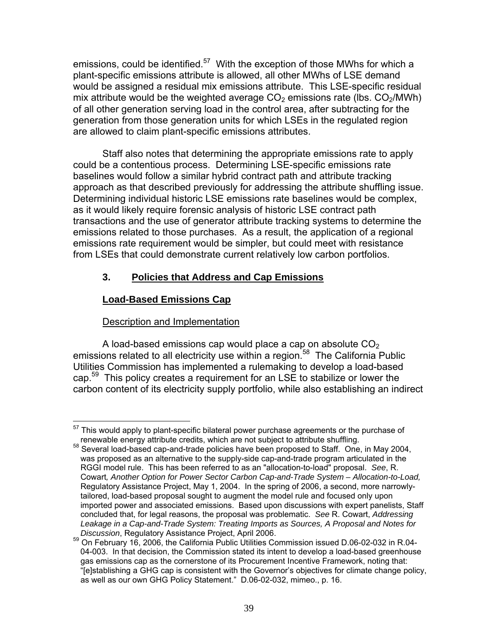emissions, could be identified.<sup>57</sup> With the exception of those MWhs for which a plant-specific emissions attribute is allowed, all other MWhs of LSE demand would be assigned a residual mix emissions attribute. This LSE-specific residual mix attribute would be the weighted average  $CO<sub>2</sub>$  emissions rate (lbs.  $CO<sub>2</sub>/MWh$ ) of all other generation serving load in the control area, after subtracting for the generation from those generation units for which LSEs in the regulated region are allowed to claim plant-specific emissions attributes.

Staff also notes that determining the appropriate emissions rate to apply could be a contentious process. Determining LSE-specific emissions rate baselines would follow a similar hybrid contract path and attribute tracking approach as that described previously for addressing the attribute shuffling issue. Determining individual historic LSE emissions rate baselines would be complex, as it would likely require forensic analysis of historic LSE contract path transactions and the use of generator attribute tracking systems to determine the emissions related to those purchases. As a result, the application of a regional emissions rate requirement would be simpler, but could meet with resistance from LSEs that could demonstrate current relatively low carbon portfolios.

# **3. Policies that Address and Cap Emissions**

# **Load-Based Emissions Cap**

# Description and Implementation

A load-based emissions cap would place a cap on absolute  $CO<sub>2</sub>$ emissions related to all electricity use within a region.<sup>58</sup> The California Public Utilities Commission has implemented a rulemaking to develop a load-based cap.<sup>59</sup> This policy creates a requirement for an LSE to stabilize or lower the carbon content of its electricity supply portfolio, while also establishing an indirect

<sup>1</sup>  $57$  This would apply to plant-specific bilateral power purchase agreements or the purchase of

renewable energy attribute credits, which are not subject to attribute shuffling. 58 Several load-based cap-and-trade policies have been proposed to Staff. One, in May 2004, was proposed as an alternative to the supply-side cap-and-trade program articulated in the RGGI model rule. This has been referred to as an "allocation-to-load" proposal. *See*, R. Cowart*, Another Option for Power Sector Carbon Cap-and-Trade System – Allocation-to-Load,* Regulatory Assistance Project, May 1, 2004. In the spring of 2006, a second, more narrowlytailored, load-based proposal sought to augment the model rule and focused only upon imported power and associated emissions. Based upon discussions with expert panelists, Staff concluded that, for legal reasons, the proposal was problematic. *See* R. Cowart, *Addressing Leakage in a Cap-and-Trade System: Treating Imports as Sources, A Proposal and Notes for* 

<sup>&</sup>lt;sup>59</sup> On February 16, 2006, the California Public Utilities Commission issued D.06-02-032 in R.04-04-003. In that decision, the Commission stated its intent to develop a load-based greenhouse gas emissions cap as the cornerstone of its Procurement Incentive Framework, noting that: "[e]stablishing a GHG cap is consistent with the Governor's objectives for climate change policy, as well as our own GHG Policy Statement." D.06-02-032, mimeo., p. 16.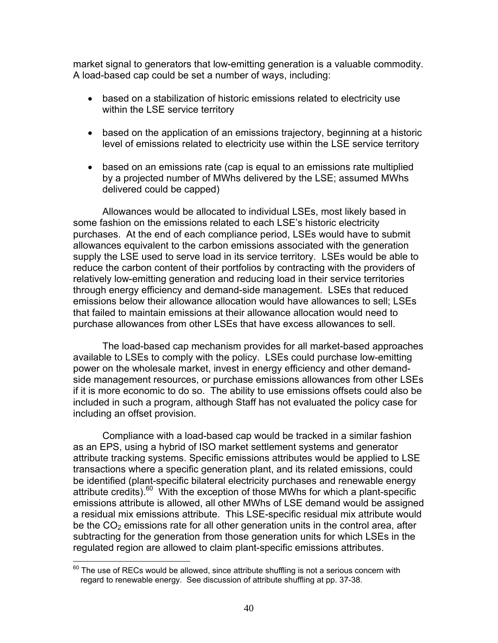market signal to generators that low-emitting generation is a valuable commodity. A load-based cap could be set a number of ways, including:

- based on a stabilization of historic emissions related to electricity use within the LSE service territory
- based on the application of an emissions trajectory, beginning at a historic level of emissions related to electricity use within the LSE service territory
- based on an emissions rate (cap is equal to an emissions rate multiplied by a projected number of MWhs delivered by the LSE; assumed MWhs delivered could be capped)

Allowances would be allocated to individual LSEs, most likely based in some fashion on the emissions related to each LSE's historic electricity purchases. At the end of each compliance period, LSEs would have to submit allowances equivalent to the carbon emissions associated with the generation supply the LSE used to serve load in its service territory. LSEs would be able to reduce the carbon content of their portfolios by contracting with the providers of relatively low-emitting generation and reducing load in their service territories through energy efficiency and demand-side management. LSEs that reduced emissions below their allowance allocation would have allowances to sell; LSEs that failed to maintain emissions at their allowance allocation would need to purchase allowances from other LSEs that have excess allowances to sell.

The load-based cap mechanism provides for all market-based approaches available to LSEs to comply with the policy. LSEs could purchase low-emitting power on the wholesale market, invest in energy efficiency and other demandside management resources, or purchase emissions allowances from other LSEs if it is more economic to do so. The ability to use emissions offsets could also be included in such a program, although Staff has not evaluated the policy case for including an offset provision.

Compliance with a load-based cap would be tracked in a similar fashion as an EPS, using a hybrid of ISO market settlement systems and generator attribute tracking systems. Specific emissions attributes would be applied to LSE transactions where a specific generation plant, and its related emissions, could be identified (plant-specific bilateral electricity purchases and renewable energy attribute credits).<sup>60</sup> With the exception of those MWhs for which a plant-specific emissions attribute is allowed, all other MWhs of LSE demand would be assigned a residual mix emissions attribute. This LSE-specific residual mix attribute would be the  $CO<sub>2</sub>$  emissions rate for all other generation units in the control area, after subtracting for the generation from those generation units for which LSEs in the regulated region are allowed to claim plant-specific emissions attributes.

 $\overline{a}$ 

 $^{60}$  The use of RECs would be allowed, since attribute shuffling is not a serious concern with regard to renewable energy. See discussion of attribute shuffling at pp. 37-38.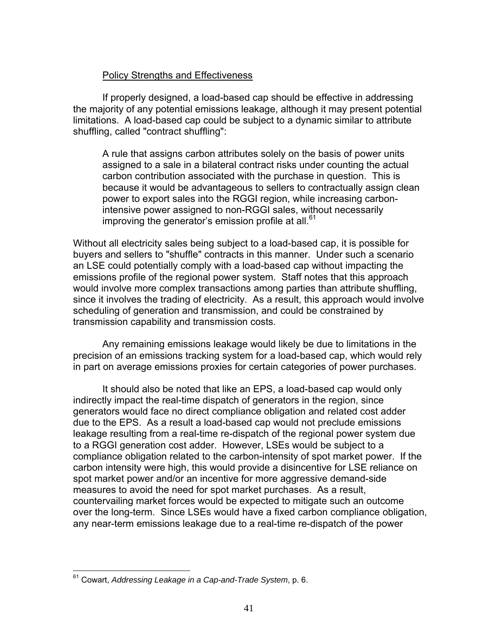# Policy Strengths and Effectiveness

 If properly designed, a load-based cap should be effective in addressing the majority of any potential emissions leakage, although it may present potential limitations. A load-based cap could be subject to a dynamic similar to attribute shuffling, called "contract shuffling":

A rule that assigns carbon attributes solely on the basis of power units assigned to a sale in a bilateral contract risks under counting the actual carbon contribution associated with the purchase in question. This is because it would be advantageous to sellers to contractually assign clean power to export sales into the RGGI region, while increasing carbonintensive power assigned to non-RGGI sales, without necessarily improving the generator's emission profile at all. $61$ 

Without all electricity sales being subject to a load-based cap, it is possible for buyers and sellers to "shuffle" contracts in this manner. Under such a scenario an LSE could potentially comply with a load-based cap without impacting the emissions profile of the regional power system. Staff notes that this approach would involve more complex transactions among parties than attribute shuffling, since it involves the trading of electricity. As a result, this approach would involve scheduling of generation and transmission, and could be constrained by transmission capability and transmission costs.

Any remaining emissions leakage would likely be due to limitations in the precision of an emissions tracking system for a load-based cap, which would rely in part on average emissions proxies for certain categories of power purchases.

It should also be noted that like an EPS, a load-based cap would only indirectly impact the real-time dispatch of generators in the region, since generators would face no direct compliance obligation and related cost adder due to the EPS. As a result a load-based cap would not preclude emissions leakage resulting from a real-time re-dispatch of the regional power system due to a RGGI generation cost adder. However, LSEs would be subject to a compliance obligation related to the carbon-intensity of spot market power. If the carbon intensity were high, this would provide a disincentive for LSE reliance on spot market power and/or an incentive for more aggressive demand-side measures to avoid the need for spot market purchases. As a result, countervailing market forces would be expected to mitigate such an outcome over the long-term. Since LSEs would have a fixed carbon compliance obligation, any near-term emissions leakage due to a real-time re-dispatch of the power

 $\overline{a}$ 61 Cowart, *Addressing Leakage in a Cap-and-Trade System*, p. 6.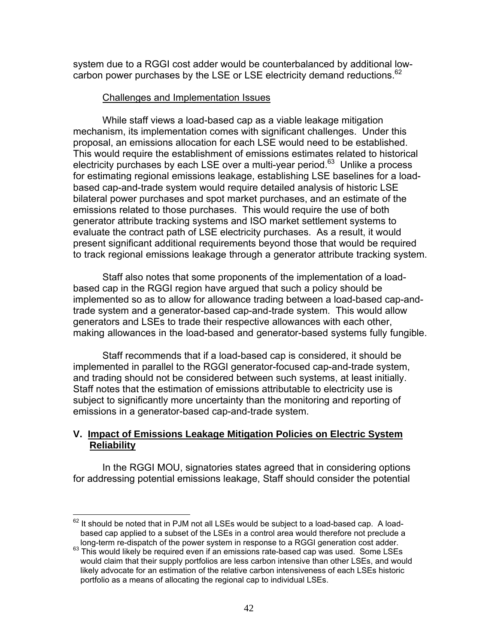system due to a RGGI cost adder would be counterbalanced by additional lowcarbon power purchases by the LSE or LSE electricity demand reductions.<sup>62</sup>

### Challenges and Implementation Issues

While staff views a load-based cap as a viable leakage mitigation mechanism, its implementation comes with significant challenges. Under this proposal, an emissions allocation for each LSE would need to be established. This would require the establishment of emissions estimates related to historical electricity purchases by each LSE over a multi-year period. $63$  Unlike a process for estimating regional emissions leakage, establishing LSE baselines for a loadbased cap-and-trade system would require detailed analysis of historic LSE bilateral power purchases and spot market purchases, and an estimate of the emissions related to those purchases. This would require the use of both generator attribute tracking systems and ISO market settlement systems to evaluate the contract path of LSE electricity purchases. As a result, it would present significant additional requirements beyond those that would be required to track regional emissions leakage through a generator attribute tracking system.

 Staff also notes that some proponents of the implementation of a loadbased cap in the RGGI region have argued that such a policy should be implemented so as to allow for allowance trading between a load-based cap-andtrade system and a generator-based cap-and-trade system. This would allow generators and LSEs to trade their respective allowances with each other, making allowances in the load-based and generator-based systems fully fungible.

Staff recommends that if a load-based cap is considered, it should be implemented in parallel to the RGGI generator-focused cap-and-trade system, and trading should not be considered between such systems, at least initially. Staff notes that the estimation of emissions attributable to electricity use is subject to significantly more uncertainty than the monitoring and reporting of emissions in a generator-based cap-and-trade system.

# **V. Impact of Emissions Leakage Mitigation Policies on Electric System Reliability**

 In the RGGI MOU, signatories states agreed that in considering options for addressing potential emissions leakage, Staff should consider the potential

 $\overline{a}$  $62$  It should be noted that in PJM not all LSEs would be subject to a load-based cap. A loadbased cap applied to a subset of the LSEs in a control area would therefore not preclude a

long-term re-dispatch of the power system in response to a RGGI generation cost adder.<br><sup>63</sup> This would likely be required even if an emissions rate-based cap was used. Some LSEs would claim that their supply portfolios are less carbon intensive than other LSEs, and would likely advocate for an estimation of the relative carbon intensiveness of each LSEs historic portfolio as a means of allocating the regional cap to individual LSEs.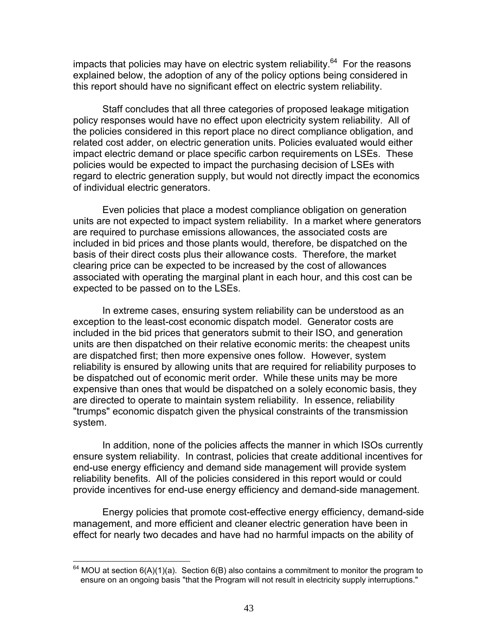impacts that policies may have on electric system reliability.<sup>64</sup> For the reasons explained below, the adoption of any of the policy options being considered in this report should have no significant effect on electric system reliability.

Staff concludes that all three categories of proposed leakage mitigation policy responses would have no effect upon electricity system reliability. All of the policies considered in this report place no direct compliance obligation, and related cost adder, on electric generation units. Policies evaluated would either impact electric demand or place specific carbon requirements on LSEs. These policies would be expected to impact the purchasing decision of LSEs with regard to electric generation supply, but would not directly impact the economics of individual electric generators.

Even policies that place a modest compliance obligation on generation units are not expected to impact system reliability. In a market where generators are required to purchase emissions allowances, the associated costs are included in bid prices and those plants would, therefore, be dispatched on the basis of their direct costs plus their allowance costs. Therefore, the market clearing price can be expected to be increased by the cost of allowances associated with operating the marginal plant in each hour, and this cost can be expected to be passed on to the LSEs.

In extreme cases, ensuring system reliability can be understood as an exception to the least-cost economic dispatch model. Generator costs are included in the bid prices that generators submit to their ISO, and generation units are then dispatched on their relative economic merits: the cheapest units are dispatched first; then more expensive ones follow. However, system reliability is ensured by allowing units that are required for reliability purposes to be dispatched out of economic merit order. While these units may be more expensive than ones that would be dispatched on a solely economic basis, they are directed to operate to maintain system reliability. In essence, reliability "trumps" economic dispatch given the physical constraints of the transmission system.

In addition, none of the policies affects the manner in which ISOs currently ensure system reliability. In contrast, policies that create additional incentives for end-use energy efficiency and demand side management will provide system reliability benefits. All of the policies considered in this report would or could provide incentives for end-use energy efficiency and demand-side management.

 Energy policies that promote cost-effective energy efficiency, demand-side management, and more efficient and cleaner electric generation have been in effect for nearly two decades and have had no harmful impacts on the ability of

<sup>1</sup>  $64$  MOU at section 6(A)(1)(a). Section 6(B) also contains a commitment to monitor the program to ensure on an ongoing basis "that the Program will not result in electricity supply interruptions."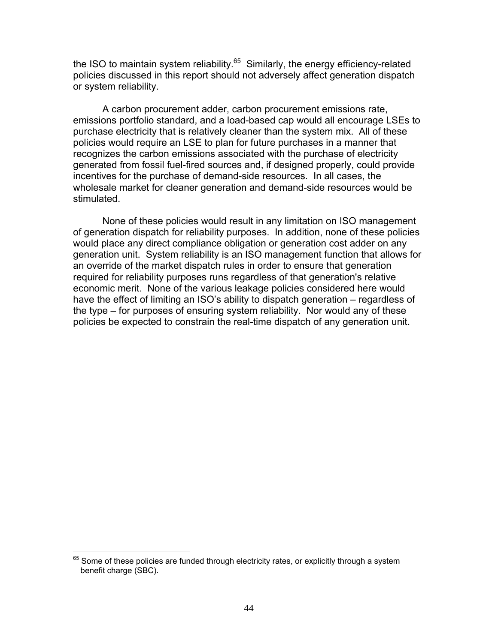the ISO to maintain system reliability. $65$  Similarly, the energy efficiency-related policies discussed in this report should not adversely affect generation dispatch or system reliability.

 A carbon procurement adder, carbon procurement emissions rate, emissions portfolio standard, and a load-based cap would all encourage LSEs to purchase electricity that is relatively cleaner than the system mix. All of these policies would require an LSE to plan for future purchases in a manner that recognizes the carbon emissions associated with the purchase of electricity generated from fossil fuel-fired sources and, if designed properly, could provide incentives for the purchase of demand-side resources. In all cases, the wholesale market for cleaner generation and demand-side resources would be stimulated.

None of these policies would result in any limitation on ISO management of generation dispatch for reliability purposes. In addition, none of these policies would place any direct compliance obligation or generation cost adder on any generation unit. System reliability is an ISO management function that allows for an override of the market dispatch rules in order to ensure that generation required for reliability purposes runs regardless of that generation's relative economic merit. None of the various leakage policies considered here would have the effect of limiting an ISO's ability to dispatch generation – regardless of the type – for purposes of ensuring system reliability. Nor would any of these policies be expected to constrain the real-time dispatch of any generation unit.

1

 $65$  Some of these policies are funded through electricity rates, or explicitly through a system benefit charge (SBC).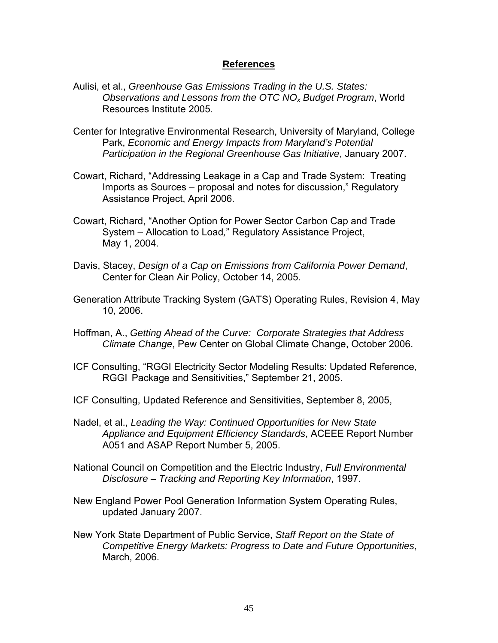### **References**

- Aulisi, et al., *Greenhouse Gas Emissions Trading in the U.S. States: Observations and Lessons from the OTC NOx Budget Program*, World Resources Institute 2005.
- Center for Integrative Environmental Research, University of Maryland, College Park, *Economic and Energy Impacts from Maryland's Potential Participation in the Regional Greenhouse Gas Initiative*, January 2007.
- Cowart, Richard, "Addressing Leakage in a Cap and Trade System: Treating Imports as Sources – proposal and notes for discussion," Regulatory Assistance Project, April 2006.
- Cowart, Richard, "Another Option for Power Sector Carbon Cap and Trade System – Allocation to Load*,*" Regulatory Assistance Project, May 1, 2004.
- Davis, Stacey, *Design of a Cap on Emissions from California Power Demand*, Center for Clean Air Policy, October 14, 2005.
- Generation Attribute Tracking System (GATS) Operating Rules, Revision 4, May 10, 2006.
- Hoffman, A., *Getting Ahead of the Curve: Corporate Strategies that Address Climate Change*, Pew Center on Global Climate Change, October 2006.
- ICF Consulting, "RGGI Electricity Sector Modeling Results: Updated Reference, RGGI Package and Sensitivities," September 21, 2005.
- ICF Consulting, Updated Reference and Sensitivities, September 8, 2005,
- Nadel, et al., *Leading the Way: Continued Opportunities for New State Appliance and Equipment Efficiency Standards*, ACEEE Report Number A051 and ASAP Report Number 5, 2005.
- National Council on Competition and the Electric Industry, *Full Environmental Disclosure – Tracking and Reporting Key Information*, 1997.
- New England Power Pool Generation Information System Operating Rules, updated January 2007.
- New York State Department of Public Service, *Staff Report on the State of Competitive Energy Markets: Progress to Date and Future Opportunities*, March, 2006.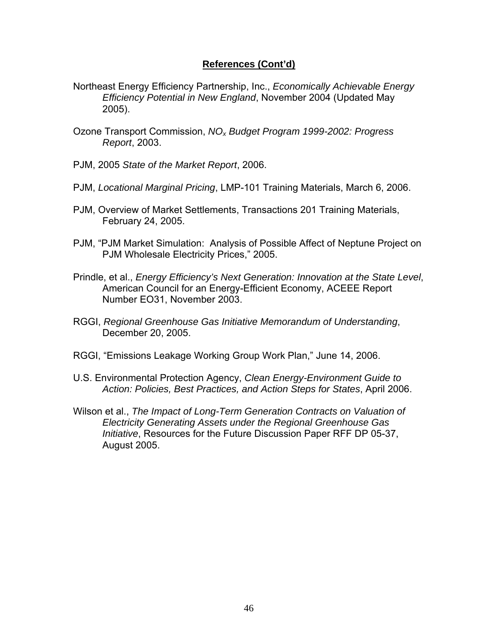## **References (Cont'd)**

- Northeast Energy Efficiency Partnership, Inc., *Economically Achievable Energy Efficiency Potential in New England*, November 2004 (Updated May 2005).
- Ozone Transport Commission, *NOx Budget Program 1999-2002: Progress Report*, 2003.
- PJM, 2005 *State of the Market Report*, 2006.
- PJM, *Locational Marginal Pricing*, LMP-101 Training Materials, March 6, 2006.
- PJM, Overview of Market Settlements, Transactions 201 Training Materials, February 24, 2005.
- PJM, "PJM Market Simulation: Analysis of Possible Affect of Neptune Project on PJM Wholesale Electricity Prices," 2005.
- Prindle, et al., *Energy Efficiency's Next Generation: Innovation at the State Level*, American Council for an Energy-Efficient Economy, ACEEE Report Number EO31, November 2003.
- RGGI, *Regional Greenhouse Gas Initiative Memorandum of Understanding*, December 20, 2005.
- RGGI, "Emissions Leakage Working Group Work Plan," June 14, 2006.
- U.S. Environmental Protection Agency, *Clean Energy-Environment Guide to Action: Policies, Best Practices, and Action Steps for States*, April 2006.
- Wilson et al., *The Impact of Long-Term Generation Contracts on Valuation of Electricity Generating Assets under the Regional Greenhouse Gas Initiative*, Resources for the Future Discussion Paper RFF DP 05-37, August 2005.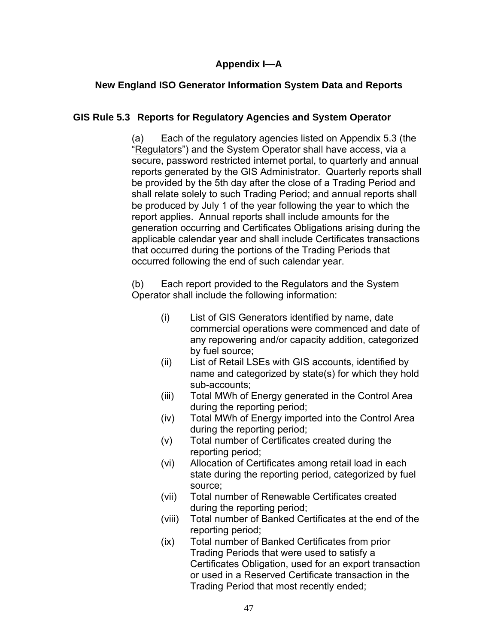# **Appendix I—A**

# **New England ISO Generator Information System Data and Reports**

# **GIS Rule 5.3 Reports for Regulatory Agencies and System Operator**

(a) Each of the regulatory agencies listed on Appendix 5.3 (the "Regulators") and the System Operator shall have access, via a secure, password restricted internet portal, to quarterly and annual reports generated by the GIS Administrator. Quarterly reports shall be provided by the 5th day after the close of a Trading Period and shall relate solely to such Trading Period; and annual reports shall be produced by July 1 of the year following the year to which the report applies. Annual reports shall include amounts for the generation occurring and Certificates Obligations arising during the applicable calendar year and shall include Certificates transactions that occurred during the portions of the Trading Periods that occurred following the end of such calendar year.

(b) Each report provided to the Regulators and the System Operator shall include the following information:

- (i) List of GIS Generators identified by name, date commercial operations were commenced and date of any repowering and/or capacity addition, categorized by fuel source;
- (ii) List of Retail LSEs with GIS accounts, identified by name and categorized by state(s) for which they hold sub-accounts;
- (iii) Total MWh of Energy generated in the Control Area during the reporting period;
- (iv) Total MWh of Energy imported into the Control Area during the reporting period;
- (v) Total number of Certificates created during the reporting period;
- (vi) Allocation of Certificates among retail load in each state during the reporting period, categorized by fuel source;
- (vii) Total number of Renewable Certificates created during the reporting period;
- (viii) Total number of Banked Certificates at the end of the reporting period;
- (ix) Total number of Banked Certificates from prior Trading Periods that were used to satisfy a Certificates Obligation, used for an export transaction or used in a Reserved Certificate transaction in the Trading Period that most recently ended;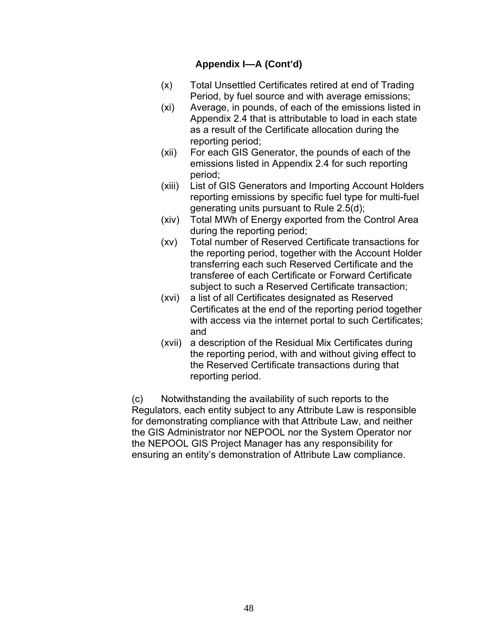- (x) Total Unsettled Certificates retired at end of Trading Period, by fuel source and with average emissions;
- (xi) Average, in pounds, of each of the emissions listed in Appendix 2.4 that is attributable to load in each state as a result of the Certificate allocation during the reporting period;
- (xii) For each GIS Generator, the pounds of each of the emissions listed in Appendix 2.4 for such reporting period;
- (xiii) List of GIS Generators and Importing Account Holders reporting emissions by specific fuel type for multi-fuel generating units pursuant to Rule 2.5(d);
- (xiv) Total MWh of Energy exported from the Control Area during the reporting period;
- (xv) Total number of Reserved Certificate transactions for the reporting period, together with the Account Holder transferring each such Reserved Certificate and the transferee of each Certificate or Forward Certificate subject to such a Reserved Certificate transaction;
- (xvi) a list of all Certificates designated as Reserved Certificates at the end of the reporting period together with access via the internet portal to such Certificates; and
- (xvii) a description of the Residual Mix Certificates during the reporting period, with and without giving effect to the Reserved Certificate transactions during that reporting period.

(c) Notwithstanding the availability of such reports to the Regulators, each entity subject to any Attribute Law is responsible for demonstrating compliance with that Attribute Law, and neither the GIS Administrator nor NEPOOL nor the System Operator nor the NEPOOL GIS Project Manager has any responsibility for ensuring an entity's demonstration of Attribute Law compliance.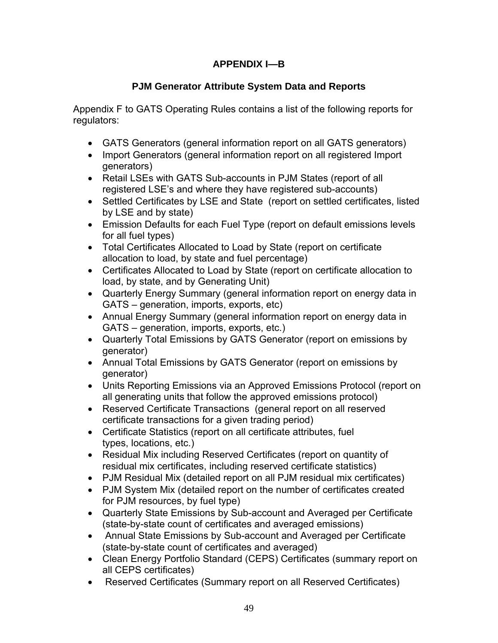# **APPENDIX I—B**

# **PJM Generator Attribute System Data and Reports**

Appendix F to GATS Operating Rules contains a list of the following reports for regulators:

- GATS Generators (general information report on all GATS generators)
- Import Generators (general information report on all registered Import generators)
- Retail LSEs with GATS Sub-accounts in PJM States (report of all registered LSE's and where they have registered sub-accounts)
- Settled Certificates by LSE and State (report on settled certificates, listed by LSE and by state)
- Emission Defaults for each Fuel Type (report on default emissions levels for all fuel types)
- Total Certificates Allocated to Load by State (report on certificate allocation to load, by state and fuel percentage)
- Certificates Allocated to Load by State (report on certificate allocation to load, by state, and by Generating Unit)
- Quarterly Energy Summary (general information report on energy data in GATS – generation, imports, exports, etc)
- Annual Energy Summary (general information report on energy data in GATS – generation, imports, exports, etc.)
- Quarterly Total Emissions by GATS Generator (report on emissions by generator)
- Annual Total Emissions by GATS Generator (report on emissions by generator)
- Units Reporting Emissions via an Approved Emissions Protocol (report on all generating units that follow the approved emissions protocol)
- Reserved Certificate Transactions (general report on all reserved certificate transactions for a given trading period)
- Certificate Statistics (report on all certificate attributes, fuel types, locations, etc.)
- Residual Mix including Reserved Certificates (report on quantity of residual mix certificates, including reserved certificate statistics)
- PJM Residual Mix (detailed report on all PJM residual mix certificates)
- PJM System Mix (detailed report on the number of certificates created for PJM resources, by fuel type)
- Quarterly State Emissions by Sub-account and Averaged per Certificate (state-by-state count of certificates and averaged emissions)
- Annual State Emissions by Sub-account and Averaged per Certificate (state-by-state count of certificates and averaged)
- Clean Energy Portfolio Standard (CEPS) Certificates (summary report on all CEPS certificates)
- Reserved Certificates (Summary report on all Reserved Certificates)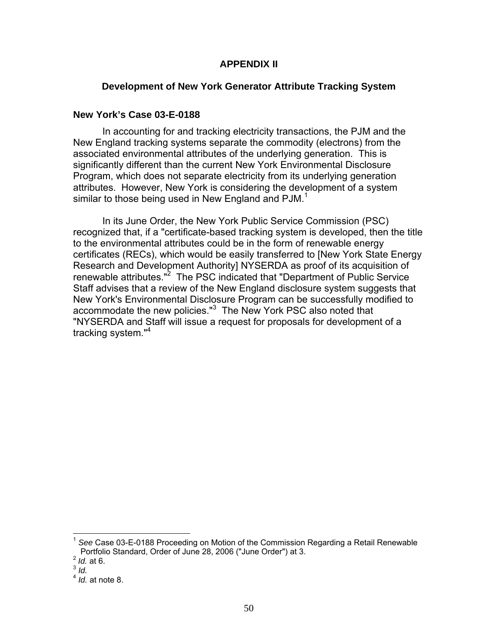### **APPENDIX II**

# **Development of New York Generator Attribute Tracking System**

### **New York's Case 03-E-0188**

 In accounting for and tracking electricity transactions, the PJM and the New England tracking systems separate the commodity (electrons) from the associated environmental attributes of the underlying generation. This is significantly different than the current New York Environmental Disclosure Program, which does not separate electricity from its underlying generation attributes. However, New York is considering the development of a system similar to those being used in New England and PJM.<sup>1</sup>

 In its June Order, the New York Public Service Commission (PSC) recognized that, if a "certificate-based tracking system is developed, then the title to the environmental attributes could be in the form of renewable energy certificates (RECs), which would be easily transferred to [New York State Energy Research and Development Authority] NYSERDA as proof of its acquisition of renewable attributes."<sup>2</sup> The PSC indicated that "Department of Public Service Staff advises that a review of the New England disclosure system suggests that New York's Environmental Disclosure Program can be successfully modified to accommodate the new policies."<sup>3</sup> The New York PSC also noted that "NYSERDA and Staff will issue a request for proposals for development of a tracking system."<sup>4</sup>

 $\overline{a}$ 

<sup>1</sup> *See* Case 03-E-0188 Proceeding on Motion of the Commission Regarding a Retail Renewable Portfolio Standard, Order of June 28, 2006 ("June Order") at 3. 2 *Id.* at 6.

<sup>3</sup> *Id.* 

<sup>4</sup> *Id.* at note 8.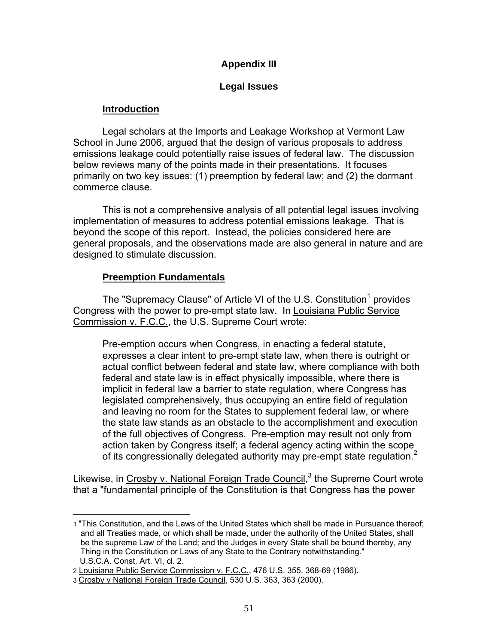# **Appendix III**

### **Legal Issues**

# **Introduction**

 Legal scholars at the Imports and Leakage Workshop at Vermont Law School in June 2006, argued that the design of various proposals to address emissions leakage could potentially raise issues of federal law. The discussion below reviews many of the points made in their presentations. It focuses primarily on two key issues: (1) preemption by federal law; and (2) the dormant commerce clause.

 This is not a comprehensive analysis of all potential legal issues involving implementation of measures to address potential emissions leakage. That is beyond the scope of this report. Instead, the policies considered here are general proposals, and the observations made are also general in nature and are designed to stimulate discussion.

# **Preemption Fundamentals**

The "Supremacy Clause" of Article VI of the U.S. Constitution<sup>1</sup> provides Congress with the power to pre-empt state law. In Louisiana Public Service Commission v. F.C.C., the U.S. Supreme Court wrote:

Pre-emption occurs when Congress, in enacting a federal statute, expresses a clear intent to pre-empt state law, when there is outright or actual conflict between federal and state law, where compliance with both federal and state law is in effect physically impossible, where there is implicit in federal law a barrier to state regulation, where Congress has legislated comprehensively, thus occupying an entire field of regulation and leaving no room for the States to supplement federal law, or where the state law stands as an obstacle to the accomplishment and execution of the full objectives of Congress. Pre-emption may result not only from action taken by Congress itself; a federal agency acting within the scope of its congressionally delegated authority may pre-empt state regulation.<sup>2</sup>

Likewise, in Crosby v. National Foreign Trade Council,<sup>3</sup> the Supreme Court wrote that a "fundamental principle of the Constitution is that Congress has the power

<sup>1</sup> 1 "This Constitution, and the Laws of the United States which shall be made in Pursuance thereof; and all Treaties made, or which shall be made, under the authority of the United States, shall be the supreme Law of the Land; and the Judges in every State shall be bound thereby, any Thing in the Constitution or Laws of any State to the Contrary notwithstanding." U.S.C.A. Const. Art. VI, cl. 2.

<sup>2</sup> Louisiana Public Service Commission v. F.C.C., 476 U.S. 355, 368-69 (1986).

<sup>3</sup> Crosby v National Foreign Trade Council, 530 U.S. 363, 363 (2000).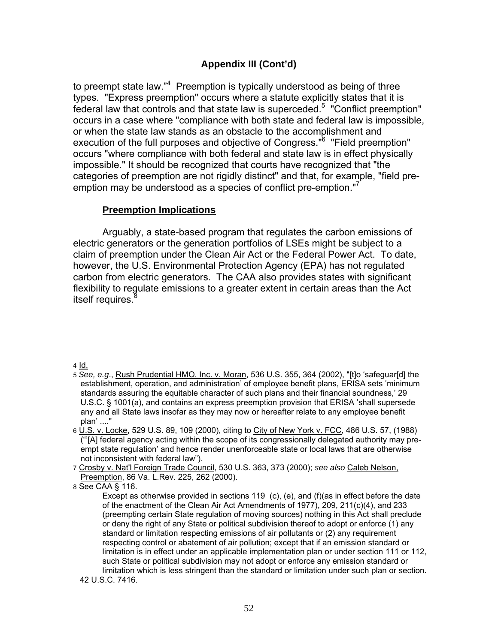to preempt state law."<sup>4</sup> Preemption is typically understood as being of three types. "Express preemption" occurs where a statute explicitly states that it is federal law that controls and that state law is superceded.<sup>5</sup> "Conflict preemption" occurs in a case where "compliance with both state and federal law is impossible, or when the state law stands as an obstacle to the accomplishment and execution of the full purposes and objective of Congress."<sup>6</sup> "Field preemption" occurs "where compliance with both federal and state law is in effect physically impossible." It should be recognized that courts have recognized that "the categories of preemption are not rigidly distinct" and that, for example, "field preemption may be understood as a species of conflict pre-emption."<sup>7</sup>

### **Preemption Implications**

 Arguably, a state-based program that regulates the carbon emissions of electric generators or the generation portfolios of LSEs might be subject to a claim of preemption under the Clean Air Act or the Federal Power Act. To date, however, the U.S. Environmental Protection Agency (EPA) has not regulated carbon from electric generators. The CAA also provides states with significant flexibility to regulate emissions to a greater extent in certain areas than the Act itself requires.<sup>8</sup>

 $\overline{a}$ 4 Id.

<sup>5</sup> *See, e.g*., Rush Prudential HMO, Inc. v. Moran, 536 U.S. 355, 364 (2002), "[t]o 'safeguar[d] the establishment, operation, and administration' of employee benefit plans, ERISA sets 'minimum standards assuring the equitable character of such plans and their financial soundness,' 29 U.S.C. § 1001(a), and contains an express preemption provision that ERISA 'shall supersede any and all State laws insofar as they may now or hereafter relate to any employee benefit plan' ...."

<sup>6</sup> U.S. v. Locke, 529 U.S. 89, 109 (2000), citing to City of New York v. FCC, 486 U.S. 57, (1988) ("'[A] federal agency acting within the scope of its congressionally delegated authority may preempt state regulation' and hence render unenforceable state or local laws that are otherwise not inconsistent with federal law").

<sup>7</sup> Crosby v. Nat'l Foreign Trade Council, 530 U.S. 363, 373 (2000); *see also* Caleb Nelson, Preemption, 86 Va. L.Rev. 225, 262 (2000).

<sup>8</sup> See CAA § 116.

Except as otherwise provided in sections 119 (c), (e), and (f)(as in effect before the date of the enactment of the Clean Air Act Amendments of 1977), 209, 211(c)(4), and 233 (preempting certain State regulation of moving sources) nothing in this Act shall preclude or deny the right of any State or political subdivision thereof to adopt or enforce (1) any standard or limitation respecting emissions of air pollutants or (2) any requirement respecting control or abatement of air pollution; except that if an emission standard or limitation is in effect under an applicable implementation plan or under section 111 or 112, such State or political subdivision may not adopt or enforce any emission standard or limitation which is less stringent than the standard or limitation under such plan or section.

 <sup>42</sup> U.S.C. 7416.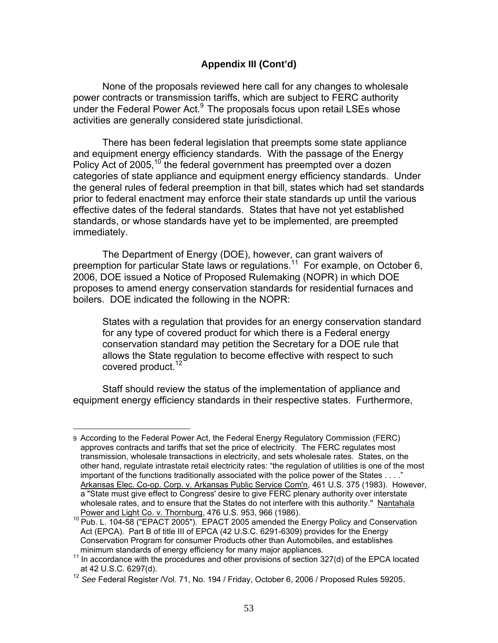None of the proposals reviewed here call for any changes to wholesale power contracts or transmission tariffs, which are subject to FERC authority under the Federal Power Act. $9$  The proposals focus upon retail LSEs whose activities are generally considered state jurisdictional.

 There has been federal legislation that preempts some state appliance and equipment energy efficiency standards. With the passage of the Energy Policy Act of 2005,<sup>10</sup> the federal government has preempted over a dozen categories of state appliance and equipment energy efficiency standards. Under the general rules of federal preemption in that bill, states which had set standards prior to federal enactment may enforce their state standards up until the various effective dates of the federal standards. States that have not yet established standards, or whose standards have yet to be implemented, are preempted immediately.

 The Department of Energy (DOE), however, can grant waivers of preemption for particular State laws or regulations.<sup>11</sup> For example, on October 6, 2006, DOE issued a Notice of Proposed Rulemaking (NOPR) in which DOE proposes to amend energy conservation standards for residential furnaces and boilers. DOE indicated the following in the NOPR:

States with a regulation that provides for an energy conservation standard for any type of covered product for which there is a Federal energy conservation standard may petition the Secretary for a DOE rule that allows the State regulation to become effective with respect to such covered product.<sup>12</sup>

 Staff should review the status of the implementation of appliance and equipment energy efficiency standards in their respective states. Furthermore,

<sup>&</sup>lt;u>.</u> 9 According to the Federal Power Act, the Federal Energy Regulatory Commission (FERC) approves contracts and tariffs that set the price of electricity. The FERC regulates most transmission, wholesale transactions in electricity, and sets wholesale rates. States, on the other hand, regulate intrastate retail electricity rates: "the regulation of utilities is one of the most important of the functions traditionally associated with the police power of the States . . . ." Arkansas Elec. Co-op. Corp. v. Arkansas Public Service Com'n, 461 U.S. 375 (1983). However, a "State must give effect to Congress' desire to give FERC plenary authority over interstate wholesale rates, and to ensure that the States do not interfere with this authority." Nantahala

Power and Light Co. v. Thornburg, 476 U.S. 953, 966 (1986).<br><sup>10</sup> Pub. L. 104-58 ("EPACT 2005"). EPACT 2005 amended the Energy Policy and Conservation Act (EPCA). Part B of title III of EPCA (42 U.S.C. 6291-6309) provides for the Energy Conservation Program for consumer Products other than Automobiles, and establishes

 $<sup>11</sup>$  In accordance with the procedures and other provisions of section 327(d) of the EPCA located</sup> at 42 U.S.C. 6297(d).

<sup>&</sup>lt;sup>12</sup> See Federal Register /Vol. 71, No. 194 / Friday, October 6, 2006 / Proposed Rules 59205.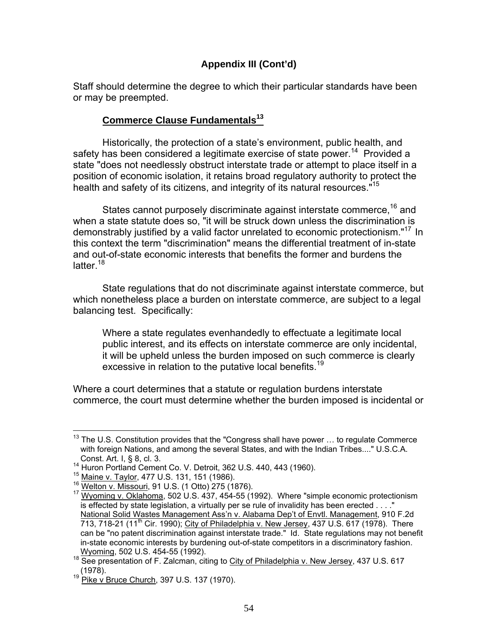Staff should determine the degree to which their particular standards have been or may be preempted.

# **Commerce Clause Fundamentals<sup>13</sup>**

 Historically, the protection of a state's environment, public health, and safety has been considered a legitimate exercise of state power.<sup>14</sup> Provided a state "does not needlessly obstruct interstate trade or attempt to place itself in a position of economic isolation, it retains broad regulatory authority to protect the health and safety of its citizens, and integrity of its natural resources."<sup>15</sup>

States cannot purposely discriminate against interstate commerce,<sup>16</sup> and when a state statute does so, "it will be struck down unless the discrimination is demonstrably justified by a valid factor unrelated to economic protectionism."<sup>17</sup> In this context the term "discrimination" means the differential treatment of in-state and out-of-state economic interests that benefits the former and burdens the latter.<sup>18</sup>

 State regulations that do not discriminate against interstate commerce, but which nonetheless place a burden on interstate commerce, are subject to a legal balancing test. Specifically:

Where a state regulates evenhandedly to effectuate a legitimate local public interest, and its effects on interstate commerce are only incidental, it will be upheld unless the burden imposed on such commerce is clearly excessive in relation to the putative local benefits.<sup>19</sup>

Where a court determines that a statute or regulation burdens interstate commerce, the court must determine whether the burden imposed is incidental or

<sup>1</sup>  $13$  The U.S. Constitution provides that the "Congress shall have power ... to regulate Commerce with foreign Nations, and among the several States, and with the Indian Tribes...." U.S.C.A.

Const. Art. I, § 8, cl. 3.<br>
<sup>14</sup> Huron Portland Cement Co. V. Detroit, 362 U.S. 440, 443 (1960).<br>
<sup>15</sup> <u>Maine v. Taylor,</u> 477 U.S. 131, 151 (1986).<br>
<sup>16</sup> Welton v. Missouri, 91 U.S. (1 Otto) 275 (1876).<br>
<sup>17</sup> Wyoming v. Ok is effected by state legislation, a virtually per se rule of invalidity has been erected . . . ." National Solid Wastes Management Ass'n v. Alabama Dep't of Envtl. Management, 910 F.2d 713, 718-21 (11<sup>th</sup> Cir. 1990); City of Philadelphia v. New Jersey, 437 U.S. 617 (1978). There can be "no patent discrimination against interstate trade." Id. State regulations may not benefit in-state economic interests by burdening out-of-state competitors in a discriminatory fashion.

Wyoming, 502 U.S. 454-55 (1992).<br><sup>18</sup> See presentation of F. Zalcman, citing to City of Philadelphia v. New Jersey, 437 U.S. 617 (1978).<br><sup>19</sup> Pike v Bruce Church, 397 U.S. 137 (1970).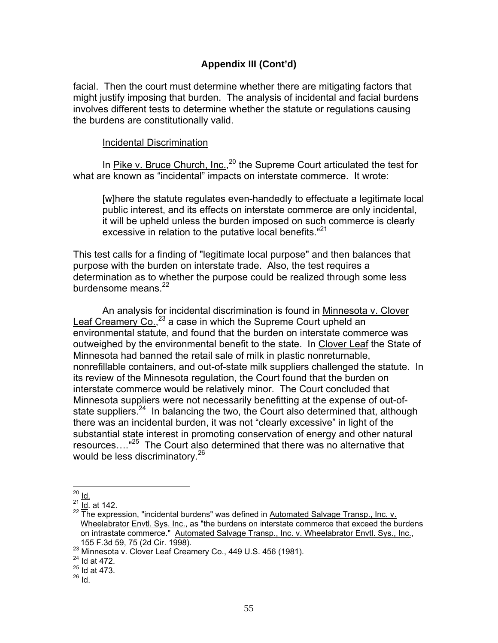facial. Then the court must determine whether there are mitigating factors that might justify imposing that burden. The analysis of incidental and facial burdens involves different tests to determine whether the statute or regulations causing the burdens are constitutionally valid.

#### Incidental Discrimination

In *Pike v. Bruce Church, Inc.,*<sup>20</sup> the Supreme Court articulated the test for what are known as "incidental" impacts on interstate commerce. It wrote:

[w]here the statute regulates even-handedly to effectuate a legitimate local public interest, and its effects on interstate commerce are only incidental, it will be upheld unless the burden imposed on such commerce is clearly excessive in relation to the putative local benefits."<sup>21</sup>

This test calls for a finding of "legitimate local purpose" and then balances that purpose with the burden on interstate trade. Also, the test requires a determination as to whether the purpose could be realized through some less burdensome means.<sup>22</sup>

An analysis for incidental discrimination is found in Minnesota v. Clover Leaf Creamery Co.,<sup>23</sup> a case in which the Supreme Court upheld an environmental statute, and found that the burden on interstate commerce was outweighed by the environmental benefit to the state. In Clover Leaf the State of Minnesota had banned the retail sale of milk in plastic nonreturnable, nonrefillable containers, and out-of-state milk suppliers challenged the statute. In its review of the Minnesota regulation, the Court found that the burden on interstate commerce would be relatively minor. The Court concluded that Minnesota suppliers were not necessarily benefitting at the expense of out-ofstate suppliers.  $24$  In balancing the two, the Court also determined that, although there was an incidental burden, it was not "clearly excessive" in light of the substantial state interest in promoting conservation of energy and other natural resources...."<sup>25</sup> The Court also determined that there was no alternative that would be less discriminatory.<sup>26</sup>

<sup>1</sup> <sup>20</sup> <u>Id.</u>

 $^{21}$   $\frac{16}{10}$  at 142.

<sup>&</sup>lt;sup>22</sup> The expression, "incidental burdens" was defined in Automated Salvage Transp., Inc. v. Wheelabrator Envtl. Sys. Inc., as "the burdens on interstate commerce that exceed the burdens on intrastate commerce." Automated Salvage Transp., Inc. v. Wheelabrator Envtl. Sys., Inc., 155 F.3d 59, 75 (2d Cir. 1998).<br><sup>23</sup> Minnesota v. Clover Leaf Creamery Co., 449 U.S. 456 (1981).<br><sup>24</sup> Id at 472.

 $25$  Id at 473.

 $26$   $\overline{1}$ d.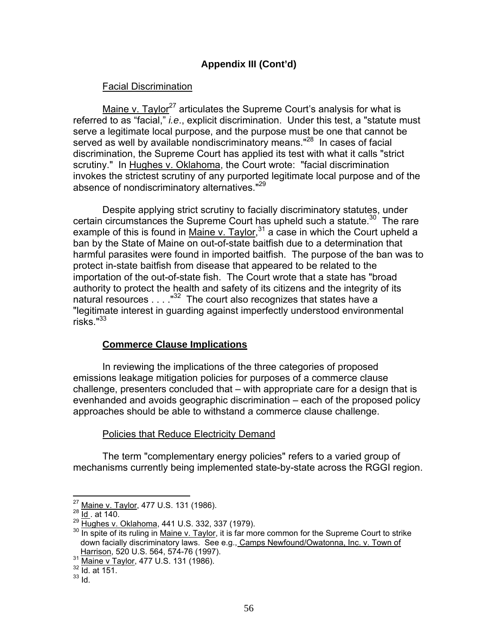### Facial Discrimination

Maine v. Taylor<sup>27</sup> articulates the Supreme Court's analysis for what is referred to as "facial," *i.e*., explicit discrimination. Under this test, a "statute must serve a legitimate local purpose, and the purpose must be one that cannot be served as well by available nondiscriminatory means."<sup>28</sup> In cases of facial discrimination, the Supreme Court has applied its test with what it calls "strict scrutiny." In Hughes v. Oklahoma, the Court wrote: "facial discrimination invokes the strictest scrutiny of any purported legitimate local purpose and of the absence of nondiscriminatory alternatives."<sup>29</sup>

Despite applying strict scrutiny to facially discriminatory statutes, under certain circumstances the Supreme Court has upheld such a statute.<sup>30</sup> The rare example of this is found in Maine v. Taylor,  $31$  a case in which the Court upheld a ban by the State of Maine on out-of-state baitfish due to a determination that harmful parasites were found in imported baitfish. The purpose of the ban was to protect in-state baitfish from disease that appeared to be related to the importation of the out-of-state fish. The Court wrote that a state has "broad authority to protect the health and safety of its citizens and the integrity of its natural resources  $\ldots$ ."<sup>32</sup> The court also recognizes that states have a "legitimate interest in guarding against imperfectly understood environmental risks."<sup>33</sup>

# **Commerce Clause Implications**

 In reviewing the implications of the three categories of proposed emissions leakage mitigation policies for purposes of a commerce clause challenge, presenters concluded that – with appropriate care for a design that is evenhanded and avoids geographic discrimination – each of the proposed policy approaches should be able to withstand a commerce clause challenge.

### Policies that Reduce Electricity Demand

 The term "complementary energy policies" refers to a varied group of mechanisms currently being implemented state-by-state across the RGGI region.

<sup>1</sup> 

<sup>&</sup>lt;sup>27</sup> Maine v. Taylor, 477 U.S. 131 (1986).<br><sup>28</sup> <u>Id.</u>. at 140.<br><sup>29</sup> Hughes v. Oklahoma, 441 U.S. 332, 337 (1979).

<sup>&</sup>lt;sup>30</sup> In spite of its ruling in Maine v. Taylor, it is far more common for the Supreme Court to strike down facially discriminatory laws. See e.g., Camps Newfound/Owatonna, Inc. v. Town of 31 Harrison, 520 U.S. 564, 574-76 (1997).<br>32 <u>Maine v Taylor</u>, 477 U.S. 131 (1986).<br><sup>32</sup> Id. at 151.

 $33$  Id.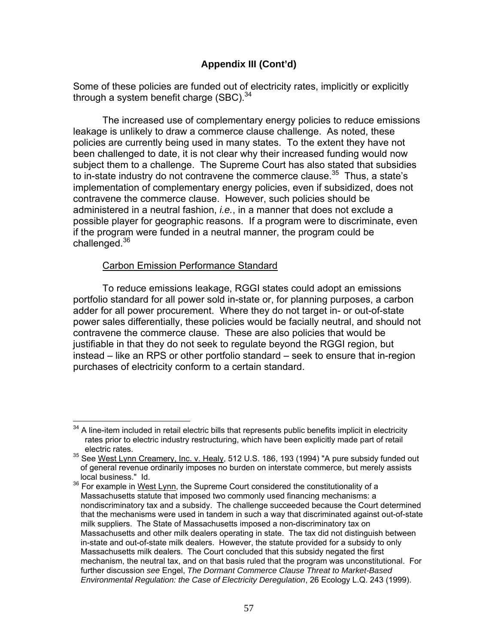### **Appendix III (Cont'd)**

Some of these policies are funded out of electricity rates, implicitly or explicitly through a system benefit charge  $(SBC)^{34}$ 

The increased use of complementary energy policies to reduce emissions leakage is unlikely to draw a commerce clause challenge. As noted, these policies are currently being used in many states. To the extent they have not been challenged to date, it is not clear why their increased funding would now subject them to a challenge. The Supreme Court has also stated that subsidies to in-state industry do not contravene the commerce clause.<sup>35</sup> Thus, a state's implementation of complementary energy policies, even if subsidized, does not contravene the commerce clause. However, such policies should be administered in a neutral fashion, *i.e.*, in a manner that does not exclude a possible player for geographic reasons. If a program were to discriminate, even if the program were funded in a neutral manner, the program could be challenged.<sup>36</sup>

### Carbon Emission Performance Standard

 To reduce emissions leakage, RGGI states could adopt an emissions portfolio standard for all power sold in-state or, for planning purposes, a carbon adder for all power procurement. Where they do not target in- or out-of-state power sales differentially, these policies would be facially neutral, and should not contravene the commerce clause. These are also policies that would be justifiable in that they do not seek to regulate beyond the RGGI region, but instead – like an RPS or other portfolio standard – seek to ensure that in-region purchases of electricity conform to a certain standard.

 $\overline{\phantom{a}}$  $34$  A line-item included in retail electric bills that represents public benefits implicit in electricity rates prior to electric industry restructuring, which have been explicitly made part of retail electric rates.

<sup>&</sup>lt;sup>35</sup> See West Lynn Creamery, Inc. v. Healy, 512 U.S. 186, 193 (1994) "A pure subsidy funded out of general revenue ordinarily imposes no burden on interstate commerce, but merely assists local business." Id.

<sup>36</sup> For example in West Lynn, the Supreme Court considered the constitutionality of a Massachusetts statute that imposed two commonly used financing mechanisms: a nondiscriminatory tax and a subsidy. The challenge succeeded because the Court determined that the mechanisms were used in tandem in such a way that discriminated against out-of-state milk suppliers. The State of Massachusetts imposed a non-discriminatory tax on Massachusetts and other milk dealers operating in state. The tax did not distinguish between in-state and out-of-state milk dealers. However, the statute provided for a subsidy to only Massachusetts milk dealers. The Court concluded that this subsidy negated the first mechanism, the neutral tax, and on that basis ruled that the program was unconstitutional. For further discussion *see* Engel, *The Dormant Commerce Clause Threat to Market-Based Environmental Regulation: the Case of Electricity Deregulation*, 26 Ecology L.Q. 243 (1999).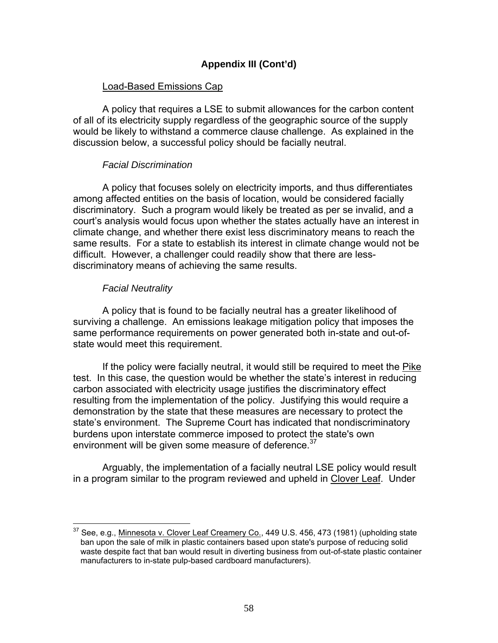### **Appendix III (Cont'd)**

### Load-Based Emissions Cap

 A policy that requires a LSE to submit allowances for the carbon content of all of its electricity supply regardless of the geographic source of the supply would be likely to withstand a commerce clause challenge. As explained in the discussion below, a successful policy should be facially neutral.

### *Facial Discrimination*

 A policy that focuses solely on electricity imports, and thus differentiates among affected entities on the basis of location, would be considered facially discriminatory. Such a program would likely be treated as per se invalid, and a court's analysis would focus upon whether the states actually have an interest in climate change, and whether there exist less discriminatory means to reach the same results. For a state to establish its interest in climate change would not be difficult. However, a challenger could readily show that there are lessdiscriminatory means of achieving the same results.

#### *Facial Neutrality*

1

 A policy that is found to be facially neutral has a greater likelihood of surviving a challenge. An emissions leakage mitigation policy that imposes the same performance requirements on power generated both in-state and out-ofstate would meet this requirement.

 If the policy were facially neutral, it would still be required to meet the Pike test. In this case, the question would be whether the state's interest in reducing carbon associated with electricity usage justifies the discriminatory effect resulting from the implementation of the policy. Justifying this would require a demonstration by the state that these measures are necessary to protect the state's environment. The Supreme Court has indicated that nondiscriminatory burdens upon interstate commerce imposed to protect the state's own environment will be given some measure of deference.  $37$ 

Arguably, the implementation of a facially neutral LSE policy would result in a program similar to the program reviewed and upheld in Clover Leaf. Under

 $37$  See, e.g., Minnesota v. Clover Leaf Creamery Co., 449 U.S. 456, 473 (1981) (upholding state ban upon the sale of milk in plastic containers based upon state's purpose of reducing solid waste despite fact that ban would result in diverting business from out-of-state plastic container manufacturers to in-state pulp-based cardboard manufacturers).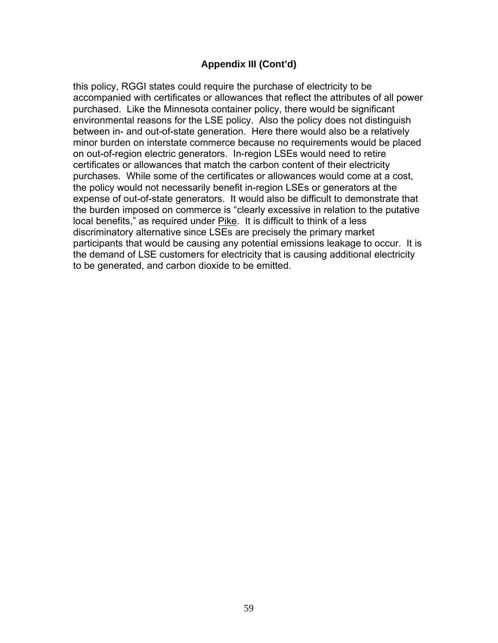### **Appendix III (Cont'd)**

this policy, RGGI states could require the purchase of electricity to be accompanied with certificates or allowances that reflect the attributes of all power purchased. Like the Minnesota container policy, there would be significant environmental reasons for the LSE policy. Also the policy does not distinguish between in- and out-of-state generation. Here there would also be a relatively minor burden on interstate commerce because no requirements would be placed on out-of-region electric generators. In-region LSEs would need to retire certificates or allowances that match the carbon content of their electricity purchases. While some of the certificates or allowances would come at a cost, the policy would not necessarily benefit in-region LSEs or generators at the expense of out-of-state generators. It would also be difficult to demonstrate that the burden imposed on commerce is "clearly excessive in relation to the putative local benefits," as required under Pike. It is difficult to think of a less discriminatory alternative since LSEs are precisely the primary market participants that would be causing any potential emissions leakage to occur. It is the demand of LSE customers for electricity that is causing additional electricity to be generated, and carbon dioxide to be emitted.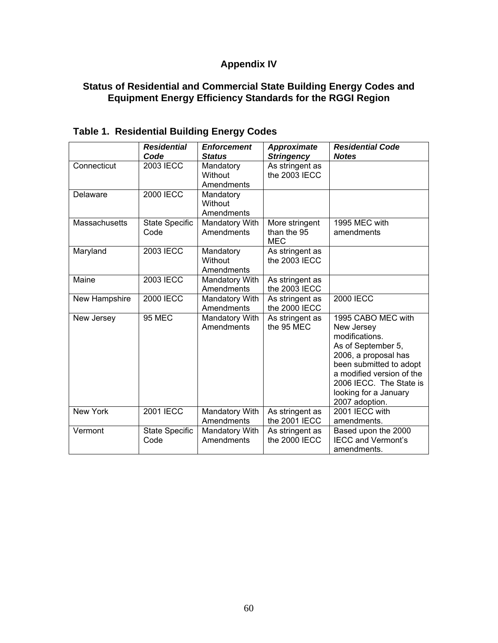## **Appendix IV**

### **Status of Residential and Commercial State Building Energy Codes and Equipment Energy Efficiency Standards for the RGGI Region**

|                 | <b>Residential</b><br>Code    | <b>Enforcement</b><br><b>Status</b> | <b>Approximate</b><br><b>Stringency</b>     | <b>Residential Code</b><br><b>Notes</b>                                                                                                                                                                                        |
|-----------------|-------------------------------|-------------------------------------|---------------------------------------------|--------------------------------------------------------------------------------------------------------------------------------------------------------------------------------------------------------------------------------|
| Connecticut     | <b>2003 IECC</b>              | Mandatory<br>Without<br>Amendments  | As stringent as<br>the 2003 IECC            |                                                                                                                                                                                                                                |
| Delaware        | <b>2000 IECC</b>              | Mandatory<br>Without<br>Amendments  |                                             |                                                                                                                                                                                                                                |
| Massachusetts   | <b>State Specific</b><br>Code | Mandatory With<br>Amendments        | More stringent<br>than the 95<br><b>MEC</b> | 1995 MEC with<br>amendments                                                                                                                                                                                                    |
| Maryland        | 2003 IECC                     | Mandatory<br>Without<br>Amendments  | As stringent as<br>the 2003 IECC            |                                                                                                                                                                                                                                |
| Maine           | <b>2003 IECC</b>              | Mandatory With<br>Amendments        | As stringent as<br>the 2003 IECC            |                                                                                                                                                                                                                                |
| New Hampshire   | <b>2000 IECC</b>              | Mandatory With<br>Amendments        | As stringent as<br>the 2000 IECC            | <b>2000 IECC</b>                                                                                                                                                                                                               |
| New Jersey      | <b>95 MEC</b>                 | Mandatory With<br>Amendments        | As stringent as<br>the 95 MEC               | 1995 CABO MEC with<br>New Jersey<br>modifications.<br>As of September 5,<br>2006, a proposal has<br>been submitted to adopt<br>a modified version of the<br>2006 IECC. The State is<br>looking for a January<br>2007 adoption. |
| <b>New York</b> | <b>2001 IECC</b>              | Mandatory With<br>Amendments        | As stringent as<br>the 2001 IECC            | 2001 IECC with<br>amendments.                                                                                                                                                                                                  |
| Vermont         | <b>State Specific</b><br>Code | Mandatory With<br>Amendments        | As stringent as<br>the 2000 IECC            | Based upon the 2000<br><b>IECC and Vermont's</b><br>amendments.                                                                                                                                                                |

# **Table 1. Residential Building Energy Codes**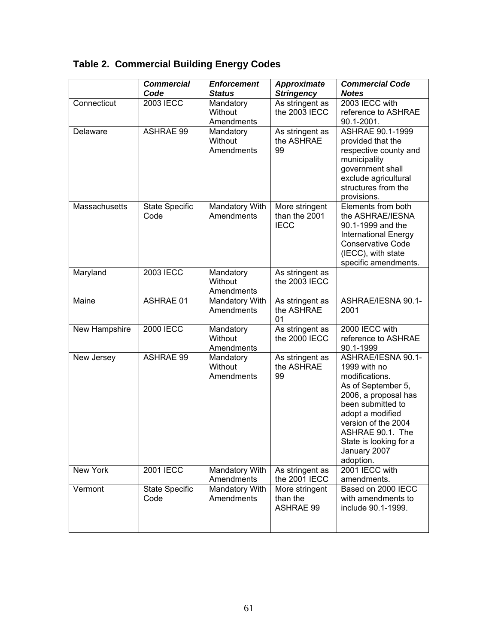|               | <b>Commercial</b><br>Code     | <b>Enforcement</b><br><b>Status</b> | <b>Approximate</b><br><b>Stringency</b>        | <b>Commercial Code</b><br><b>Notes</b>                                                                                                                                                                                                        |
|---------------|-------------------------------|-------------------------------------|------------------------------------------------|-----------------------------------------------------------------------------------------------------------------------------------------------------------------------------------------------------------------------------------------------|
| Connecticut   | 2003 IECC                     | Mandatory<br>Without<br>Amendments  | As stringent as<br>the 2003 IECC               | 2003 IECC with<br>reference to ASHRAE<br>90.1-2001.                                                                                                                                                                                           |
| Delaware      | <b>ASHRAE 99</b>              | Mandatory<br>Without<br>Amendments  | As stringent as<br>the ASHRAE<br>99            | ASHRAE 90.1-1999<br>provided that the<br>respective county and<br>municipality<br>government shall<br>exclude agricultural<br>structures from the<br>provisions.                                                                              |
| Massachusetts | <b>State Specific</b><br>Code | Mandatory With<br>Amendments        | More stringent<br>than the 2001<br><b>IECC</b> | Elements from both<br>the ASHRAE/IESNA<br>90.1-1999 and the<br><b>International Energy</b><br><b>Conservative Code</b><br>(IECC), with state<br>specific amendments.                                                                          |
| Maryland      | <b>2003 IECC</b>              | Mandatory<br>Without<br>Amendments  | As stringent as<br>the 2003 IECC               |                                                                                                                                                                                                                                               |
| Maine         | <b>ASHRAE 01</b>              | Mandatory With<br>Amendments        | As stringent as<br>the ASHRAE<br>01            | ASHRAE/IESNA 90.1-<br>2001                                                                                                                                                                                                                    |
| New Hampshire | <b>2000 IECC</b>              | Mandatory<br>Without<br>Amendments  | As stringent as<br>the 2000 IECC               | 2000 IECC with<br>reference to ASHRAE<br>90.1-1999                                                                                                                                                                                            |
| New Jersey    | <b>ASHRAE 99</b>              | Mandatory<br>Without<br>Amendments  | As stringent as<br>the ASHRAE<br>99            | ASHRAE/IESNA 90.1-<br>1999 with no<br>modifications.<br>As of September 5,<br>2006, a proposal has<br>been submitted to<br>adopt a modified<br>version of the 2004<br>ASHRAE 90.1. The<br>State is looking for a<br>January 2007<br>adoption. |
| New York      | 2001 IECC                     | Mandatory With<br>Amendments        | As stringent as<br>the 2001 IECC               | 2001 IECC with<br>amendments.                                                                                                                                                                                                                 |
| Vermont       | <b>State Specific</b><br>Code | Mandatory With<br>Amendments        | More stringent<br>than the<br><b>ASHRAE 99</b> | Based on 2000 IECC<br>with amendments to<br>include 90.1-1999.                                                                                                                                                                                |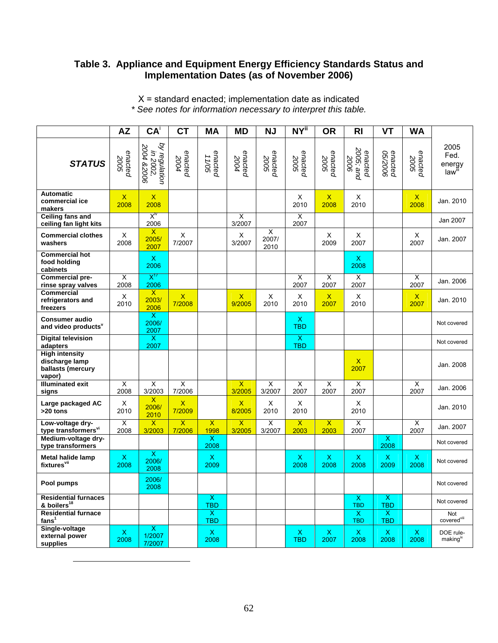#### **Table 3. Appliance and Equipment Energy Efficiency Standards Status and Implementation Dates (as of November 2006)**

|                                                                        | <b>AZ</b>                       | $CA^{\dagger}$                           | <b>CT</b>                           | <b>MA</b>                             | <b>MD</b>                         | <b>NJ</b>          | <b>NY</b> <sup>ii</sup>         | <b>OR</b>                         | <b>RI</b>                         | <b>VT</b>                             | <b>WA</b>            |                                                         |
|------------------------------------------------------------------------|---------------------------------|------------------------------------------|-------------------------------------|---------------------------------------|-----------------------------------|--------------------|---------------------------------|-----------------------------------|-----------------------------------|---------------------------------------|----------------------|---------------------------------------------------------|
| <b>STATUS</b>                                                          | enacted<br>2005                 | by regulation<br>in 2002,<br>2004 &2006  | enacted<br>2004                     | enacted<br>11/05                      | enacted<br>2004                   | enacted<br>2005    | enacted<br>2005                 | enacted<br>2005                   | 2005; and<br>enacted<br>2006      | enacted<br>9002/90                    | enacted<br>2005      | 2005<br>Fed.<br>energy<br>$law^{\overline{\mathbb{I}}}$ |
| <b>Automatic</b><br>commercial ice<br>makers                           | $\mathsf X$<br>2008             | $\mathsf X$<br>2008                      |                                     |                                       |                                   |                    | X<br>2010                       | $\mathsf X$<br>2008               | X<br>2010                         |                                       | $\mathsf{X}$<br>2008 | Jan. 2010                                               |
| <b>Ceiling fans and</b><br>ceiling fan light kits                      |                                 | $X^{\text{iv}}$<br>2006                  |                                     |                                       | X<br>3/2007                       |                    | X<br>2007                       |                                   |                                   |                                       |                      | Jan 2007                                                |
| <b>Commercial clothes</b><br>washers                                   | X<br>2008                       | X<br>2005/<br>2007                       | X<br>7/2007                         |                                       | X<br>3/2007                       | X<br>2007/<br>2010 |                                 | X<br>2009                         | X<br>2007                         |                                       | X<br>2007            | Jan. 2007                                               |
| <b>Commercial hot</b><br>food holding<br>cabinets                      |                                 | $\mathsf{X}$<br>2006                     |                                     |                                       |                                   |                    |                                 |                                   | $\boldsymbol{\mathsf{X}}$<br>2008 |                                       |                      |                                                         |
| <b>Commercial pre-</b><br>rinse spray valves                           | $\overline{\mathsf{x}}$<br>2008 | $X^{\mathcal{U}}$<br>2006                |                                     |                                       |                                   |                    | X<br>2007                       | $\overline{\mathsf{x}}$<br>2007   | X<br>2007                         |                                       | Χ<br>2007            | Jan. 2006                                               |
| <b>Commercial</b><br>refrigerators and<br>freezers                     | X<br>2010                       | $\mathsf{x}$<br>2003/<br>2006            | $\mathsf{X}$<br>7/2008              |                                       | $\mathsf{x}$<br>9/2005            | X<br>2010          | X<br>2010                       | $\boldsymbol{\mathsf{X}}$<br>2007 | X<br>2010                         |                                       | $\mathsf{X}$<br>2007 | Jan. 2010                                               |
| <b>Consumer audio</b><br>and video products <sup>v</sup>               |                                 | $\overline{\mathsf{x}}$<br>2006/<br>2007 |                                     |                                       |                                   |                    | X<br><b>TBD</b>                 |                                   |                                   |                                       |                      | Not covered                                             |
| <b>Digital television</b><br>adapters                                  |                                 | $\boldsymbol{\mathsf{X}}$<br>2007        |                                     |                                       |                                   |                    | X<br><b>TBD</b>                 |                                   |                                   |                                       |                      | Not covered                                             |
| <b>High intensity</b><br>discharge lamp<br>ballasts (mercury<br>vapor) |                                 |                                          |                                     |                                       |                                   |                    |                                 |                                   | $\mathsf{X}$<br>2007              |                                       |                      | Jan. 2008                                               |
| <b>Illuminated exit</b><br>signs                                       | $\overline{\mathsf{x}}$<br>2008 | $\overline{\mathsf{x}}$<br>3/2003        | X<br>7/2006                         |                                       | $\overline{\mathsf{x}}$<br>3/2005 | X<br>3/2007        | X<br>2007                       | $\overline{\mathsf{x}}$<br>2007   | $\overline{\mathsf{x}}$<br>2007   |                                       | X<br>2007            | Jan. 2006                                               |
| Large packaged AC<br>>20 tons                                          | X<br>2010                       | X<br>2006/<br>2010                       | $\boldsymbol{\mathsf{x}}$<br>7/2009 |                                       | $\mathsf{x}$<br>8/2005            | Χ<br>2010          | Χ<br>2010                       |                                   | X<br>2010                         |                                       |                      | Jan. 2010                                               |
| Low-voltage dry-<br>type transformers <sup>vi</sup>                    | $\overline{\mathsf{x}}$<br>2008 | $\overline{\mathsf{x}}$<br>3/2003        | $\overline{\mathsf{x}}$<br>7/2006   | $\overline{\mathsf{x}}$<br>1998       | $\overline{\mathsf{x}}$<br>3/2005 | X<br>3/2007        | $\overline{\mathsf{x}}$<br>2003 | $\overline{\mathsf{x}}$<br>2003   | $\overline{\mathsf{x}}$<br>2007   |                                       | X<br>2007            | Jan. 2007                                               |
| Medium-voltage dry-<br>type transformers                               |                                 |                                          |                                     | х<br>2008                             |                                   |                    |                                 |                                   |                                   | $\mathsf{X}$<br>2008                  |                      | Not covered                                             |
| <b>Metal halide lamp</b><br>fixtures <sup>vii</sup>                    | X<br>2008                       | $\overline{\mathsf{x}}$<br>2006/<br>2008 |                                     | $\pmb{\mathsf{X}}$<br>2009            |                                   |                    | X<br>2008                       | X<br>2008                         | X<br>2008                         | $\mathsf{X}$<br>2009                  | X<br>2008            | Not covered                                             |
| Pool pumps                                                             |                                 | 2006/<br>2008                            |                                     |                                       |                                   |                    |                                 |                                   |                                   |                                       |                      | Not covered                                             |
| <b>Residential furnaces</b><br>& boilers <sup>18</sup>                 |                                 |                                          |                                     | $\overline{\mathsf{x}}$<br><b>TBD</b> |                                   |                    |                                 |                                   | $\overline{X}$<br><b>TBD</b>      | $\overline{\mathsf{x}}$<br><b>TBD</b> |                      | Not covered                                             |
| <b>Residential furnace</b><br>fans <sup>1</sup>                        |                                 |                                          |                                     | X.<br><b>TBD</b>                      |                                   |                    |                                 |                                   | $\mathsf{X}$<br><b>TBD</b>        | $\mathsf{X}$<br><b>TBD</b>            |                      | Not<br>covered <sup>viii</sup>                          |
| Single-voltage<br>external power<br>supplies                           | $\mathsf X$<br>2008             | $\mathsf{X}$<br>1/2007<br>7/2007         |                                     | $\mathsf X$<br>2008                   |                                   |                    | $\mathsf X$<br><b>TBD</b>       | $\mathsf X$<br>2007               | $\mathsf X$<br>2008               | $\mathsf X$<br>2008                   | $\mathsf X$<br>2008  | DOE rule-<br>making <sup>ix</sup>                       |

X = standard enacted; implementation date as indicated *\* See notes for information necessary to interpret this table.* 

 $\overline{\phantom{a}}$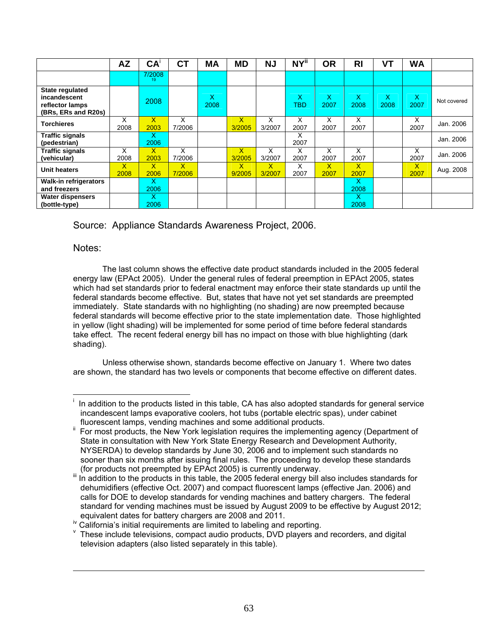|                                                                           | <b>AZ</b> | CA <sup>T</sup>      | <b>CT</b>   | <b>MA</b> | <b>MD</b>              | <b>NJ</b>    | NY"       | <b>OR</b>  | <b>RI</b>  | VТ        | <b>WA</b> |             |
|---------------------------------------------------------------------------|-----------|----------------------|-------------|-----------|------------------------|--------------|-----------|------------|------------|-----------|-----------|-------------|
|                                                                           |           | 7/2008<br>19         |             |           |                        |              |           |            |            |           |           |             |
| State regulated<br>incandescent<br>reflector lamps<br>(BRs, ERs and R20s) |           | 2008                 |             | X<br>2008 |                        |              | X.<br>TBD | X<br>2007  | X.<br>2008 | X<br>2008 | X<br>2007 | Not covered |
| <b>Torchieres</b>                                                         | x<br>2008 | $\mathsf{X}$<br>2003 | X<br>7/2006 |           | X.<br>3/2005           | x<br>3/2007  | x<br>2007 | x<br>2007  | X<br>2007  |           | x<br>2007 | Jan. 2006   |
| <b>Traffic signals</b><br>(pedestrian)                                    |           | x<br>2006            |             |           |                        |              | x<br>2007 |            |            |           |           | Jan. 2006   |
| <b>Traffic signals</b><br>(vehicular)                                     | x<br>2008 | $\mathsf{X}$<br>2003 | x<br>7/2006 |           | $\mathsf{X}$<br>3/2005 | x<br>3/2007  | x<br>2007 | x<br>2007  | x<br>2007  |           | х<br>2007 | Jan. 2006   |
| <b>Unit heaters</b>                                                       | x<br>2008 | $\mathsf{X}$<br>2006 | x<br>7/2006 |           | $\mathsf{X}$<br>9/2005 | X.<br>3/2007 | x<br>2007 | X.<br>2007 | x<br>2007  |           | x<br>2007 | Aug. 2008   |
| Walk-in refrigerators<br>and freezers                                     |           | x<br>2006            |             |           |                        |              |           |            | x<br>2008  |           |           |             |
| Water dispensers<br>(bottle-type)                                         |           | x<br>2006            |             |           |                        |              |           |            | x<br>2008  |           |           |             |

Source: Appliance Standards Awareness Project, 2006.

#### Notes:

 $\overline{\phantom{a}}$ 

 $\overline{\phantom{a}}$ 

The last column shows the effective date product standards included in the 2005 federal energy law (EPAct 2005). Under the general rules of federal preemption in EPAct 2005, states which had set standards prior to federal enactment may enforce their state standards up until the federal standards become effective. But, states that have not yet set standards are preempted immediately. State standards with no highlighting (no shading) are now preempted because federal standards will become effective prior to the state implementation date. Those highlighted in yellow (light shading) will be implemented for some period of time before federal standards take effect. The recent federal energy bill has no impact on those with blue highlighting (dark shading).

Unless otherwise shown, standards become effective on January 1. Where two dates are shown, the standard has two levels or components that become effective on different dates.

i In addition to the products listed in this table, CA has also adopted standards for general service incandescent lamps evaporative coolers, hot tubs (portable electric spas), under cabinet

fluorescent lamps, vending machines and some additional products.<br>For most products, the New York legislation requires the implementing agency (Department of State in consultation with New York State Energy Research and Development Authority, NYSERDA) to develop standards by June 30, 2006 and to implement such standards no sooner than six months after issuing final rules. The proceeding to develop these standards (for products not preempted by EPAct 2005) is currently underway.

 $\frac{m}{2}$  In addition to the products in this table, the 2005 federal energy bill also includes standards for dehumidifiers (effective Oct. 2007) and compact fluorescent lamps (effective Jan. 2006) and calls for DOE to develop standards for vending machines and battery chargers. The federal standard for vending machines must be issued by August 2009 to be effective by August 2012; equivalent dates for battery chargers are 2008 and 2011.<br><sup>iv</sup> California's initial requirements are limited to labeling and reporting.

 $V$  These include televisions, compact audio products, DVD players and recorders, and digital television adapters (also listed separately in this table).